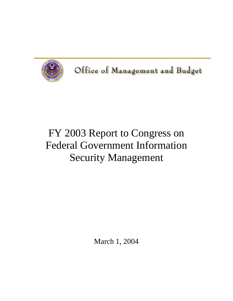

Office of Management and Budget

# FY 2003 Report to Congress on Federal Government Information Security Management

March 1, 2004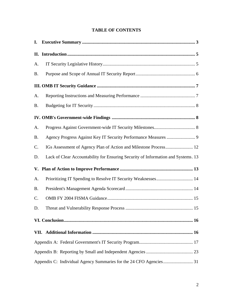## **TABLE OF CONTENTS**

| I.        |                                                                                   |
|-----------|-----------------------------------------------------------------------------------|
|           |                                                                                   |
| A.        |                                                                                   |
| <b>B.</b> |                                                                                   |
|           |                                                                                   |
| A.        |                                                                                   |
| <b>B.</b> |                                                                                   |
|           |                                                                                   |
| A.        |                                                                                   |
| <b>B.</b> |                                                                                   |
| C.        | IGs Assessment of Agency Plan of Action and Milestone Process 12                  |
| D.        | Lack of Clear Accountability for Ensuring Security of Information and Systems. 13 |
|           |                                                                                   |
| A.        |                                                                                   |
| <b>B.</b> |                                                                                   |
| C.        |                                                                                   |
| D.        |                                                                                   |
|           |                                                                                   |
|           |                                                                                   |
|           |                                                                                   |
|           |                                                                                   |
|           |                                                                                   |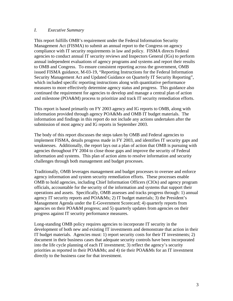#### *I. Executive Summary*

This report fulfills OMB's requirement under the Federal Information Security Management Act (FISMA) to submit an annual report to the Congress on agency compliance with IT security requirements in law and policy. FISMA directs Federal agencies to conduct annual IT security reviews and Inspectors General (IGs) to perform annual independent evaluations of agency programs and systems and report their results to OMB and Congress. To ensure consistent reporting across the government, OMB issued FISMA guidance, M-03-19, "Reporting Instructions for the Federal Information Security Management Act and Updated Guidance on Quarterly IT Security Reporting", which included specific reporting instructions along with quantitative performance measures to more effectively determine agency status and progress. This guidance also continued the requirement for agencies to develop and manage a central plan of action and milestone (POA&M) process to prioritize and track IT security remediation efforts.

This report is based primarily on FY 2003 agency and IG reports to OMB, along with information provided through agency POA&Ms and OMB IT budget materials. The information and findings in this report do not include any actions undertaken after the submission of most agency and IG reports in September 2003.

The body of this report discusses the steps taken by OMB and Federal agencies to implement FISMA, details progress made in FY 2003, and identifies IT security gaps and weaknesses. Additionally, the report lays out a plan of action that OMB is pursuing with agencies throughout FY 2004 to close those gaps and improve the security of Federal information and systems. This plan of action aims to resolve information and security challenges through both management and budget processes.

Traditionally, OMB leverages management and budget processes to oversee and enforce agency information and system security remediation efforts. These processes enable OMB to hold agencies, including Chief Information Officers (CIOs) and agency program officials, accountable for the security of the information and systems that support their operations and assets. Specifically, OMB assesses and tracks progress through: 1) annual agency IT security reports and POA&Ms; 2) IT budget materials; 3) the President's Management Agenda under the E-Government Scorecard; 4) quarterly reports from agencies on their POA&M progress; and 5) quarterly updates from agencies on their progress against IT security performance measures.

Long-standing OMB policy requires agencies to incorporate IT security in the development of both new and existing IT investments and demonstrate that action in their IT budget materials. Agencies must: 1) report security costs for their IT investments; 2) document in their business cases that adequate security controls have been incorporated into the life cycle planning of each IT investment; 3) reflect the agency's security priorities as reported in their POA&Ms; and 4) tie their POA&Ms for an IT investment directly to the business case for that investment.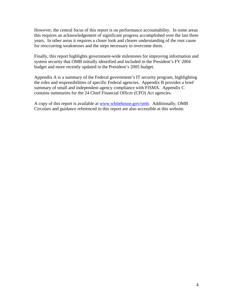However, the central focus of this report is on performance accountability. In some areas this requires an acknowledgement of significant progress accomplished over the last three years. In other areas it requires a closer look and clearer understanding of the root cause for reoccurring weaknesses and the steps necessary to overcome them.

Finally, this report highlights government-wide milestones for improving information and system security that OMB initially identified and included in the President's FY 2004 budget and more recently updated in the President's 2005 budget.

Appendix A is a summary of the Federal government's IT security program, highlighting the roles and responsibilities of specific Federal agencies. Appendix B provides a brief summary of small and independent agency compliance with FISMA. Appendix C contains summaries for the 24 Chief Financial Officer (CFO) Act agencies.

A copy of this report is available at [www.whitehouse.gov/omb](http://www.whitehouse.gov/omb). Additionally, OMB Circulars and guidance referenced in this report are also accessible at this website.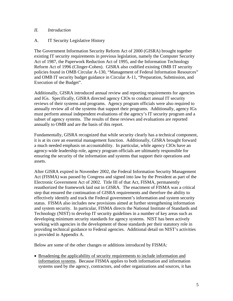## *II. Introduction*

## A. IT Security Legislative History

The Government Information Security Reform Act of 2000 (GISRA) brought together existing IT security requirements in previous legislation, namely the Computer Security Act of 1987, the Paperwork Reduction Act of 1995, and the Information Technology Reform Act of 1996 (Clinger-Cohen). GISRA also codified existing OMB IT security policies found in OMB Circular A-130, "Management of Federal Information Resources" and OMB IT security budget guidance in Circular A-11, "Preparation, Submission, and Execution of the Budget".

Additionally, GISRA introduced annual review and reporting requirements for agencies and IGs. Specifically, GISRA directed agency CIOs to conduct annual IT security reviews of their systems and programs. Agency program officials were also required to annually review all of the systems that support their programs. Additionally, agency IGs must perform annual independent evaluations of the agency's IT security program and a subset of agency systems. The results of these reviews and evaluations are reported annually to OMB and are the basis of this report.

Fundamentally, GISRA recognized that while security clearly has a technical component, it is at its core an essential management function. Additionally, GISRA brought forward a much needed emphasis on accountability. In particular, while agency CIOs have an agency-wide leadership role, agency program officials are ultimately responsible for ensuring the security of the information and systems that support their operations and assets.

After GISRA expired in November 2002, the Federal Information Security Management Act (FISMA) was passed by Congress and signed into law by the President as part of the Electronic Government Act of 2002. Title III of that Act, FISMA, permanently reauthorized the framework laid out in GISRA. The enactment of FISMA was a critical step that ensured the continuation of GISRA requirements and therefore the ability to effectively identify and track the Federal government's information and system security status. FISMA also includes new provisions aimed at further strengthening information and system security. In particular, FISMA directs the National Institute of Standards and Technology (NIST) to develop IT security guidelines in a number of key areas such as developing minimum security standards for agency systems. NIST has been actively working with agencies in the development of those standards per their statutory role in providing technical guidance to Federal agencies. Additional detail on NIST's activities is provided in Appendix A.

Below are some of the other changes or additions introduced by FISMA:

• Broadening the applicability of security requirements to include information and information systems. Because FISMA applies to both information and information systems used by the agency, contractors, and other organizations and sources, it has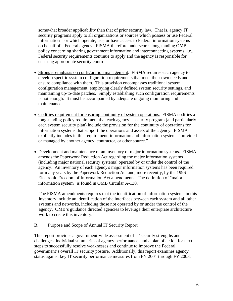somewhat broader applicability than that of prior security law. That is, agency IT security programs apply to all organizations or sources which possess or use Federal information – or which operate, use, or have access to Federal information systems – on behalf of a Federal agency. FISMA therefore underscores longstanding OMB policy concerning sharing government information and interconnecting systems, i.e., Federal security requirements continue to apply and the agency is responsible for ensuring appropriate security controls.

- Stronger emphasis on configuration management.FISMA requires each agency to develop specific system configuration requirements that meet their own needs and ensure compliance with them. This provision encompasses traditional system configuration management, employing clearly defined system security settings, and maintaining up-to-date patches. Simply establishing such configuration requirements is not enough. It must be accompanied by adequate ongoing monitoring and maintenance.
- Codifies requirement for ensuring continuity of system operations.FISMA codifies a longstanding policy requirement that each agency's security program (and particularly each system security plan) include the provision for the continuity of operations for information systems that support the operations and assets of the agency. FISMA explicitly includes in this requirement, information and information systems "provided or managed by another agency, contractor, or other source."
- Development and maintenance of an inventory of major information systems.FISMA amends the Paperwork Reduction Act regarding the major information systems (including major national security systems) operated by or under the control of the agency. An inventory of each agency's major information systems has been required for many years by the Paperwork Reduction Act and, more recently, by the 1996 Electronic Freedom of Information Act amendments. The definition of "major information system" is found in OMB Circular A-130.

 The FISMA amendments requires that the identification of information systems in this inventory include an identification of the interfaces between each system and all other systems and networks, including those not operated by or under the control of the agency. OMB's guidance directed agencies to leverage their enterprise architecture work to create this inventory.

#### B. Purpose and Scope of Annual IT Security Report

This report provides a government-wide assessment of IT security strengths and challenges, individual summaries of agency performance, and a plan of action for next steps to successfully resolve weaknesses and continue to improve the Federal government's overall IT security posture. Additionally, this report examines agency status against key IT security performance measures from FY 2001 through FY 2003.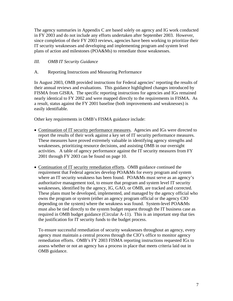The agency summaries in Appendix C are based solely on agency and IG work conducted in FY 2003 and do not include any efforts undertaken after September 2003. However, since completion of their FY 2003 reviews, agencies have been working to prioritize their IT security weaknesses and developing and implementing program and system level plans of action and milestones (POA&Ms) to remediate those weaknesses.

## *III. OMB IT Security Guidance*

A. Reporting Instructions and Measuring Performance

In August 2003, OMB provided instructions for Federal agencies' reporting the results of their annual reviews and evaluations. This guidance highlighted changes introduced by FISMA from GISRA. The specific reporting instructions for agencies and IGs remained nearly identical to FY 2002 and were mapped directly to the requirements in FISMA. As a result, status against the FY 2001 baseline (both improvements and weaknesses) is easily identifiable.

Other key requirements in OMB's FISMA guidance include:

- Continuation of IT security performance measures. Agencies and IGs were directed to report the results of their work against a key set of IT security performance measures. These measures have proved extremely valuable in identifying agency strengths and weaknesses, prioritizing resource decisions, and assisting OMB in our oversight activities. A table of agency performance against the IT security measures from FY 2001 through FY 2003 can be found on page 10.
- Continuation of IT security remediation efforts. OMB guidance continued the requirement that Federal agencies develop POA&Ms for every program and system where an IT security weakness has been found. POA&Ms must serve as an agency's authoritative management tool, to ensure that program and system level IT security weaknesses, identified by the agency, IG, GAO, or OMB, are tracked and corrected. These plans must be developed, implemented, and managed by the agency official who owns the program or system (either an agency program official or the agency CIO depending on the system) where the weakness was found. System-level POA&Ms must also be tied directly to the system budget request through the IT business case as required in OMB budget guidance (Circular A-11). This is an important step that ties the justification for IT security funds to the budget process.

To ensure successful remediation of security weaknesses throughout an agency, every agency must maintain a central process through the CIO's office to monitor agency remediation efforts. OMB's FY 2003 FISMA reporting instructions requested IGs to assess whether or not an agency has a process in place that meets criteria laid out in OMB guidance.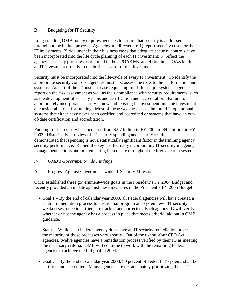## B. Budgeting for IT Security

Long-standing OMB policy requires agencies to ensure that security is addressed throughout the budget process. Agencies are directed to: 1) report security costs for their IT investments; 2) document in their business cases that adequate security controls have been incorporated into the life cycle planning of each IT investment; 3) reflect the agency's security priorities as reported in their POA&Ms; and 4) tie their POA&Ms for an IT investment directly to the business case for that investment.

Security must be incorporated into the life-cycle of every IT investment. To identify the appropriate security controls, agencies must first assess the risks to their information and systems. As part of the IT business case requesting funds for major systems, agencies report on the risk assessment as well as their compliance with security requirements, such as the development of security plans and certification and accreditation. Failure to appropriately incorporate security in new and existing IT investment puts the investment at considerable risk for funding. Most of these weaknesses can be found in operational systems that either have never been certified and accredited or systems that have an outof-date certification and accreditation.

Funding for IT security has increased from \$2.7 billion in FY 2002 to \$4.2 billion in FY 2003. Historically, a review of IT security spending and security results has demonstrated that spending is not a statistically significant factor in determining agency security performance. Rather, the key is effectively incorporating IT security in agency management actions and implementing IT security throughout the lifecycle of a system.

## *IV. OMB's Government-wide Findings*

A. Progress Against Government-wide IT Security Milestones

OMB established three government-wide goals in the President's FY 2004 Budget and recently provided an update against these measures in the President's FY 2005 Budget:

• Goal 1 – By the end of calendar year 2003, all Federal agencies will have created a central remediation process to ensure that program and system level IT security weaknesses, once identified, are tracked and corrected.Each agency IG will verify whether or not the agency has a process in place that meets criteria laid out in OMB guidance.

Status – While each Federal agency does have an IT security remediation process, the maturity of those processes vary greatly. Out of the twenty-four CFO Act agencies, twelve agencies have a remediation process verified by their IG as meeting the necessary criteria. OMB will continue to work with the remaining Federal agencies to achieve the full goal in 2004.

• Goal 2 – By the end of calendar year 2003, 80 percent of Federal IT systems shall be certified and accredited. Many agencies are not adequately prioritizing their IT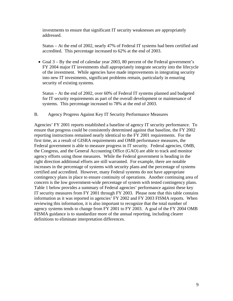investments to ensure that significant IT security weaknesses are appropriately addressed.

Status – At the end of 2002, nearly 47% of Federal IT systems had been certified and accredited. This percentage increased to 62% at the end of 2003.

• Goal 3 – By the end of calendar year 2003, 80 percent of the Federal government's FY 2004 major IT investments shall appropriately integrate security into the lifecycle of the investment.While agencies have made improvements in integrating security into new IT investments, significant problems remain, particularly in ensuring security of existing systems.

Status – At the end of 2002, over 60% of Federal IT systems planned and budgeted for IT security requirements as part of the overall development or maintenance of systems. This percentage increased to 78% at the end of 2003.

B. Agency Progress Against Key IT Security Performance Measures

Agencies' FY 2001 reports established a baseline of agency IT security performance. To ensure that progress could be consistently determined against that baseline, the FY 2002 reporting instructions remained nearly identical to the FY 2001 requirements. For the first time, as a result of GISRA requirements and OMB performance measures, the Federal government is able to measure progress in IT security. Federal agencies, OMB, the Congress, and the General Accounting Office (GAO) are able to track and monitor agency efforts using those measures. While the Federal government is heading in the right direction additional efforts are still warranted. For example, there are notable increases in the percentage of systems with security plans and the percentage of systems certified and accredited. However, many Federal systems do not have appropriate contingency plans in place to ensure continuity of operations. Another continuing area of concern is the low government-wide percentage of system with tested contingency plans. Table 1 below provides a summary of Federal agencies' performance against these key IT security measures from FY 2001 through FY 2003. Please note that this table contains information as it was reported in agencies' FY 2002 and FY 2003 FISMA reports. When reviewing this information, it is also important to recognize that the total number of agency systems tends to change from FY 2001 to FY 2003. A goal of the FY 2004 OMB FISMA guidance is to standardize more of the annual reporting, including clearer definitions to eliminate interpretation differences.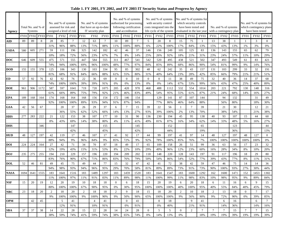| Agency      | Total No. and % of<br>Systems<br>FY02 FY03<br>FY01<br>8<br>89<br>89 |      |      |      | No. and % of systems<br>assessed for risk and<br>assigned a level of risk |                |        | No. and % of systems<br>that have an up-to-date<br>IT security plan |             |                | No. and % of systems<br>authorized for processing<br>following certification<br>and accreditation |        |                | No. and % of systems<br>with security control<br>costs integrated into the<br>life cycle of the system |                |                | No. and % of systems for<br>which security controls<br>have been tested and<br>evaluated in the last year |        |                | No. and % of systems<br>with a contingency plan |      |                | No. and % of systems for<br>which contingency plans<br>have been tested |                |
|-------------|---------------------------------------------------------------------|------|------|------|---------------------------------------------------------------------------|----------------|--------|---------------------------------------------------------------------|-------------|----------------|---------------------------------------------------------------------------------------------------|--------|----------------|--------------------------------------------------------------------------------------------------------|----------------|----------------|-----------------------------------------------------------------------------------------------------------|--------|----------------|-------------------------------------------------|------|----------------|-------------------------------------------------------------------------|----------------|
|             |                                                                     |      |      | FY01 | <b>FY02</b>                                                               | FY03           | FY01   | <b>FY02</b>                                                         | <b>FY03</b> | FY01           | <b>FY02</b>                                                                                       | FY03   | FY01           | <b>FY02</b>                                                                                            | FY03           | FY01           | <b>FY02</b>                                                                                               | FY03   | FY01           | <b>FY02</b>                                     | FY03 | FY01           | <b>FY02</b>                                                             | <b>FY03</b>    |
| AID         |                                                                     |      |      | 28   | 85                                                                        | $\tau$         | 12     | 63                                                                  | $\tau$      | 10             | 89                                                                                                | $\tau$ | 5              | 20                                                                                                     | 8              | 15             | 75                                                                                                        | -1     | 13             | 38                                              | -1   | -1             | 3                                                                       | $\overline{0}$ |
|             |                                                                     |      |      | 31%  | 96%                                                                       | 88%            | 13%    | 71%                                                                 | 88%         | 11%            | 100%                                                                                              | 88%    | 6%             | 22%                                                                                                    | 100%           | 17%            | 84%                                                                                                       | 13%    | 15%            | 43%                                             | 13%  | 1%             | 3%                                                                      | 0%             |
| <b>USDA</b> | 580                                                                 | 605  | 271  | 59   | 111                                                                       | 196            | 325    | 142                                                                 | 182         | 42             | 46                                                                                                | 37     | 146            | 156                                                                                                    | 249            | 105            | 125                                                                                                       | 83     | 136            | 143                                             | 155  | 65             | 62                                                                      | 79             |
|             |                                                                     |      |      | 10%  | 18%                                                                       | 72%            | 56%    | 23%                                                                 | 67%         | 7%             | 8%                                                                                                | 14%    | 25%            | 26%                                                                                                    | 92%            | 18%            | 21%                                                                                                       | 31%    | 23%            | 24%                                             | 57%  | 11%            | 10%                                                                     | 29%            |
| <b>DOC</b>  | 646                                                                 | 609  | 555  | 475  | 571                                                                       | 555            | 447    | 584                                                                 | 555         | 311            | 467                                                                                               | 541    | 542            | 520                                                                                                    | 495            | 438            | 521                                                                                                       | 502    | 347            | 493                                             | 549  | 61             | 83                                                                      | 421            |
|             |                                                                     |      |      | 74%  | 94%                                                                       | 100%           | 69%    | 96%                                                                 | 100%        | 48%            | 77%                                                                                               | 97%    | 84%            | 85%                                                                                                    | 89%            | 68%            | 86%                                                                                                       | 90%    | 54%            | 81%                                             | 99%  | 9%             | 14%                                                                     | 76%            |
| <b>DOD</b>  | 155                                                                 | 155  | 378  | 125  | 106                                                                       | 343            | 130    | 103                                                                 | 334         | 95             | 85                                                                                                | 302    | 48             | 62                                                                                                     | 242            | 35             | 43                                                                                                        | 157    | 131            | 103                                             | 299  | 33             | 32                                                                      | 191            |
|             |                                                                     |      |      | 81%  | 68%                                                                       | 91%            | 84%    | 66%                                                                 | 88%         | 61%            | 55%                                                                                               | 80%    | 31%            | 40%                                                                                                    | 64%            | 23%            | 28%                                                                                                       | 42%    | 85%            | 66%                                             | 79%  | 21%            | 21%                                                                     | 51%            |
| ED          | 57                                                                  | 92   | 76   | 42   | 92                                                                        | 76             | $22\,$ | 36                                                                  | 69          | $\overline{0}$ | $\mathbf{0}$                                                                                      | 10     | $\mathbf{0}$   | $\overline{0}$                                                                                         | 11             | 38             | 49                                                                                                        | 75     | 32             | 40                                              | 36   | 14             | 37                                                                      | 68             |
|             |                                                                     |      |      | 74%  | 100%                                                                      | 100%           | 39%    | 39%                                                                 | 91%         | 0%             | 0%                                                                                                | 13%    | 0%             | 0%                                                                                                     | 14%            | 67%            | 53%                                                                                                       | 99%    | 56%            | 43%                                             | 47%  | 25%            | 40%                                                                     | 89%            |
| <b>DOE</b>  | 961                                                                 | 906  | 1172 | 587  | 597                                                                       | 1041           | 719    | 720                                                                 | 1075        | 205            | 420                                                                                               | 970    | 468            | 488                                                                                                    | 1112           | 532            | 554                                                                                                       | 1014   | 203            | 221                                             | 792  | 130            | 148                                                                     | 316            |
|             |                                                                     |      |      | 61%  | 66%                                                                       | 89%            | 75%    | 79%                                                                 | 92%         | 21%            | 46%                                                                                               | 83%    | 49%            | 54%                                                                                                    | 95%            | 55%            | 61%                                                                                                       | 87%    | 21%            | 24%                                             | 68%  | 14%            | 16%                                                                     | 27%            |
| <b>EPA</b>  | 189                                                                 | 168  | 164  | 174  | 168                                                                       | 164            | 168    | 156                                                                 | 154         | 172            | 146                                                                                               | 154    |                | 129                                                                                                    | 141            | 87             | 107                                                                                                       | 144    |                | 94                                              | 132  |                | 31                                                                      | 49             |
|             |                                                                     |      |      | 92%  | 100%                                                                      | 100%           | 89%    | 93%                                                                 | 94%         | 91%            | 87%                                                                                               | 94%    |                | 77%                                                                                                    | 86%            | 46%            | 64%                                                                                                       | 88%    |                | 56%                                             | 80%  |                | 18%                                                                     | 30%            |
| <b>GSA</b>  | 42                                                                  | 56   | 67   |      | 20                                                                        | 37             | 26     | 29                                                                  | 37          | 6              | $\overline{7}$                                                                                    | 15     | 39             | 22                                                                                                     | 56             | $\mathbf{1}$   | $\overline{7}$                                                                                            | 39     |                | 21                                              | 30   |                | 12                                                                      | 21             |
|             |                                                                     |      |      |      | 36%                                                                       | 55%            | 62%    | 52%                                                                 | 66%         | 14%            | 13%                                                                                               | 27%    | 93%            | 39%                                                                                                    | 100%           | 2%             | 13%                                                                                                       | 70%    |                | 38%                                             | 54%  |                | 21%                                                                     | 38%            |
| <b>HHS</b>  | 277                                                                 | 283  | 222  | 21   | 122                                                                       | 153            | 38     | 107                                                                 | 177         | 10             | 31                                                                                                | 90     | 136            | 230                                                                                                    | 194            | 45             | 95                                                                                                        | 138    | 40             | 93                                              | 107  | 15             | 44                                                                      | 60             |
|             |                                                                     |      |      | 8%   | 43%                                                                       | 69%            | 14%    | 38%                                                                 | 80%         | 4%             | 11%                                                                                               | 41%    | 49%            | 81%                                                                                                    | 87%            | 16%            | 34%                                                                                                       | 62%    | 14%            | 33%                                             | 48%  | 5%             | 16%                                                                     | 27%            |
| <b>DHS</b>  |                                                                     |      | 346  |      |                                                                           | 147            |        |                                                                     | 155         |                |                                                                                                   | 145    |                |                                                                                                        | 152            |                |                                                                                                           | 65     |                |                                                 | 123  |                |                                                                         | 44             |
|             |                                                                     |      |      |      |                                                                           | 42%            |        |                                                                     | 45%         |                |                                                                                                   | 42%    |                |                                                                                                        | 44%            |                |                                                                                                           | 19%    |                |                                                 | 36%  |                |                                                                         | 13%            |
| <b>HUD</b>  | 48                                                                  | 127  | 197  | 42   | 119                                                                       | 17             | 46     | 107                                                                 | 17          | 41             | 92                                                                                                | 17     | 44             | 99                                                                                                     | 197            | 41             | 97                                                                                                        | 14     | 48             | 127                                             | 197  | 48             | 127                                                                     | $\theta$       |
|             |                                                                     |      |      | 88%  | 94%                                                                       | 9%             | 96%    | 84%                                                                 | 9%          | 85%            | 72%                                                                                               | 9%     | 92%            | 78%                                                                                                    | 100%           | 85%            | 76%                                                                                                       | 7%     | 100%           | 100%                                            | 100% | 100%           | 100%                                                                    | 0%             |
| DOI         | 224                                                                 | 224  | 164  | 27   | 42                                                                        | 71             | 34     | 70                                                                  | 87          | 18             | 49                                                                                                | 17     | 65             | 109                                                                                                    | 158            | 26             | 51                                                                                                        | 99     | 36             | 63                                              | 56   | 17             | 23                                                                      | 32             |
|             |                                                                     |      |      | 12%  | 19%                                                                       | 43%            | 15%    | 31%                                                                 | 53%         | 8%             | 22%                                                                                               | 10%    | 29%            | 49%                                                                                                    | 96%            | 12%            | 23%                                                                                                       | 60%    | 16%            | 28%                                             | 34%  | 8%             | 10%                                                                     | 20%            |
| DOJ         | 235                                                                 | 275  | 255  | 194  | 210                                                                       | 229            | 157    | 196                                                                 | 220         | 194            | 209                                                                                               | 202    | 118            | 148                                                                                                    | 220            | 128            | 143                                                                                                       | 197    | 91             | 117                                             | 196  | 18             | 29                                                                      | 80             |
|             |                                                                     |      |      | 83%  | 76%                                                                       | 90%            | 67%    | 71%                                                                 | 86%         | 83%            | 76%                                                                                               | 79%    | 50%            | 54%                                                                                                    | 86%            | 54%            | 52%                                                                                                       | 77%    | 39%            | 43%                                             | 77%  | 8%             | 11%                                                                     | 31%            |
| <b>DOL</b>  | 52                                                                  | 46   | 81   | 49   | 45                                                                        | 75             | 49     | 44                                                                  | 77          | 15             | 32                                                                                                | 47     | 42             | 41                                                                                                     | 72             | 38             | 42                                                                                                        | 59     | 47             | 46                                              | 75   | 14             | 14                                                                      | 36             |
|             |                                                                     |      |      | 94%  | 98%                                                                       | 93%            | 94%    | 96%                                                                 | 95%         | 29%            | 70%                                                                                               | 58%    | 81%            | 89%                                                                                                    | 89%            | 73%            | 91%                                                                                                       | 73%    | 90%            | 100%                                            | 93%  | 27%            | 30%                                                                     | 44%            |
| <b>NASA</b> | 1694                                                                | 1641 | 1555 | 183  | 1641                                                                      | 1516           | 183    | 1489                                                                | 1297        | 183            | 1459                                                                                              | 1520   | 183            | 1641                                                                                                   | 1547           | 183            | 1600                                                                                                      | 1292   | 162            | 1600                                            | 1471 | 152            | 1453                                                                    | 1302           |
|             |                                                                     |      |      | 11%  | 100%                                                                      | 97%            | 11%    | 91%                                                                 | 83%         | 11%            | 89%                                                                                               | 98%    | 11%            | 100%                                                                                                   | 99%            | 11%            | 98%                                                                                                       | 83%    | 10%            | 98%                                             | 95%  | 9%             | 89%                                                                     | 84%            |
| <b>NSF</b>  | 15                                                                  | 20   | 19   | 12   | 20                                                                        | 1 <sub>Q</sub> | 10     | 18                                                                  | 18          | $\Omega$       | 6                                                                                                 | 18     | 15             | 20                                                                                                     | 1 <sub>Q</sub> | 6              | 20                                                                                                        | 18     | 6              | 11                                              | 16   | 6              | $\Omega$                                                                | 15             |
|             |                                                                     |      |      | 80%  | 100%                                                                      | 100%           | 67%    | 90%                                                                 | 95%         | 0%             | 30%                                                                                               | 95%    | 100%           | 100%                                                                                                   | 100%           | 40%            | 100%                                                                                                      | 95%    | 40%            | 55%                                             | 84%  | 40%            | 45%                                                                     | 79%            |
| <b>NRC</b>  | 23                                                                  | 18   | 20   | 2    | 18                                                                        | 20             | 2      | 18                                                                  | 18          | 2              | 9                                                                                                 | 18     | 15             | 18                                                                                                     | 20             | 2              | 10                                                                                                        | 18     | 2              | 13                                              | 18   | $\overline{0}$ | 7                                                                       | 17             |
|             |                                                                     |      |      | 9%   | 100%                                                                      | 100%           | 9%     | 100%                                                                | 90%         | 9%             | 50%                                                                                               | 90%    | 65%            | 100%                                                                                                   | 100%           | 9%             | 56%                                                                                                       | 90%    | 9%             | 72%                                             | 90%  | 0%             | 39%                                                                     | 85%            |
| <b>OPM</b>  |                                                                     | 42   | 45   |      | 5                                                                         | 41             |        | 4                                                                   | 41          |                | $\mathbf{0}$                                                                                      | 41     |                | $\overline{0}$                                                                                         | 18             |                | 9                                                                                                         | 41     |                | 6                                               | 16   |                | 6                                                                       | 7              |
|             |                                                                     |      |      |      | 12%                                                                       | 91%            |        | 10%                                                                 | 91%         |                | 0%                                                                                                | 91%    |                | 0%                                                                                                     | 40%            |                | 21%                                                                                                       | 91%    |                | 14%                                             | 36%  |                | 14%                                                                     | 16%            |
| SBA         | 37                                                                  | 37   | 38   | 14   | 22                                                                        | 28             | 15     | 22                                                                  | 28          | 14             | 24                                                                                                | 28     | $\overline{0}$ | 5                                                                                                      | 5              | $\overline{0}$ | 2                                                                                                         | $\tau$ | $\overline{7}$ | 7                                               | 15   | $\tau$         | $\tau$                                                                  | 15             |
|             |                                                                     |      |      | 38%  | 59%                                                                       | 74%            | 41%    | 59%                                                                 | 74%         | 38%            | 65%                                                                                               | 74%    | $0\%$          | 14%                                                                                                    | 13%            | 0%             |                                                                                                           | 18%    | 19%            | 19%                                             | 39%  | 19%            | 19%                                                                     | 39%            |

#### **Table 1. FY 2001, FY 2002, and FY 2003 IT Security Status and Progress by Agency**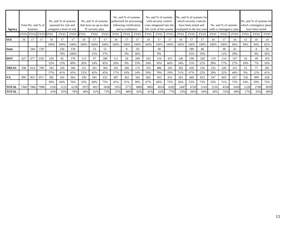| Agency       |             | Total No. and % of<br><b>Systems</b> |     |      | No. and % of systems<br>assessed for risk and<br>assigned a level of risk |      |             | No. and % of systems<br>that have an up-to-date<br>IT security plan |             |                      | No. and % of systems<br>authorized for processing<br>following certification<br>and accreditation |      |      | No. and % of systems<br>with security control<br>costs integrated into the<br>life cycle of the system |      |             | which security controls<br>have been tested and<br>evaluated in the last year | No. and % of systems for |             | No. and % of systems<br>with a contingency plan |      |             | have been tested | No. and % of systems for<br>which contingency plans |
|--------------|-------------|--------------------------------------|-----|------|---------------------------------------------------------------------------|------|-------------|---------------------------------------------------------------------|-------------|----------------------|---------------------------------------------------------------------------------------------------|------|------|--------------------------------------------------------------------------------------------------------|------|-------------|-------------------------------------------------------------------------------|--------------------------|-------------|-------------------------------------------------|------|-------------|------------------|-----------------------------------------------------|
|              | <b>FY01</b> | FY02 FY03 FY01                       |     |      | <b>FY02</b>                                                               | FY03 | <b>FY01</b> | FY02                                                                | <b>FY03</b> | FY02<br>FY03<br>FY01 |                                                                                                   | FY01 | FY02 | <b>FY03</b>                                                                                            | FY01 | <b>FY02</b> | <b>FY03</b>                                                                   | FY01                     | <b>FY02</b> | FY03                                            | FY01 | <b>FY02</b> | <b>FY03</b>      |                                                     |
| <b>SSA</b>   | 16          |                                      |     | 16   |                                                                           |      | 16          |                                                                     |             | 16                   |                                                                                                   |      | 16   |                                                                                                        |      | 16          |                                                                               |                          | 16          |                                                 | 16   | 15          | 16               | 14                                                  |
|              |             |                                      |     | 100% | 100%                                                                      | 100% | 100%        | 100%                                                                | 100%        | 100%                 | 100%                                                                                              | 100% | 100% | 100%                                                                                                   | 100% | 100%        | 100%                                                                          | 100%                     | 100%        | 100%                                            | 94%  | 94%         | 94%              | 82%                                                 |
| <b>State</b> |             | 344                                  | 139 |      | 256                                                                       | 139  |             | 53                                                                  | 51          |                      |                                                                                                   | 50   |      | 30                                                                                                     |      |             | 189                                                                           | 46                       |             | 38                                              | 41   |             | 0                | 50                                                  |
|              |             |                                      |     |      | 74%                                                                       | 100% |             | 15%                                                                 | 37%         |                      | 0%                                                                                                | 36%  |      | 9%                                                                                                     |      |             | 55%                                                                           | 33%                      |             | 11%                                             | 29%  |             | 0%               | 36%                                                 |
| <b>DOT</b>   | 427         | 677                                  | 630 | 220  | 85                                                                        | 378  | 113         | 97                                                                  | 286         | 111                  | 56                                                                                                | 209  | 102  | 110                                                                                                    | 415  | 146         | 100                                                                           | 328                      | 119         | 114                                             | 167  | 43          | 49               | 103                                                 |
|              |             |                                      |     | 52%  | 13%                                                                       | 60%  | 26%         | 14%                                                                 | 45%         | 26%                  | 8%                                                                                                | 33%  | 24%  | 16%                                                                                                    | 66%  | 34%         | 15%                                                                           | 52%                      | 28%         | 17%                                             | 27%  | 10%         | 7%               | 16%                                                 |
| <b>TREAS</b> | 598         | 624                                  | 708 | 343  | 258                                                                       | 304  | 131         | 261                                                                 | 304         | 101                  | 266                                                                                               | 172  | 355  | 486                                                                                                    | 203  | 302         | 418                                                                           | 156                      | 233         | 326                                             | 315  | 53          |                  | 291                                                 |
|              |             |                                      |     | 57%  | 41%                                                                       | 43%  | 22%         | 42%                                                                 | 43%         | 17%                  | 43%                                                                                               | 24%  | 59%  | 78%                                                                                                    | 29%  | 51%         | 67%                                                                           | 22%                      | 39%         | 52%                                             | 44%  | 9%          | 12%              | 41%                                                 |
| <b>VA</b>    | 995         | 851                                  | 871 | 582  | 542                                                                       | 663  | 330         | 581                                                                 | 632         | 407                  | 262                                                                                               | 342  | 662  | 563                                                                                                    | 631  | 263         | 469                                                                           | 633                      | 547         | 603                                             | 627  | 536         | 499              | 628                                                 |
|              |             |                                      |     | 58%  | 64%                                                                       | 76%  | 33%         | 68%                                                                 | 73%         | 41%                  | 31%                                                                                               | 39%  | 67%  | 66%                                                                                                    | 72%  | 26%         | 55%                                                                           | 73%                      | 55%         | 71%                                             | 72%  | 54%         | 59%              | 72%                                                 |
| <b>TOTAL</b> | 7360        | 7906 7998                            |     | 3195 | 5152                                                                      | 6236 | 2973        | 4917                                                                | 5838        | 1953                 | 3772                                                                                              | 4969 | 3001 | 4914                                                                                                   | 6182 | 2447        | 4743                                                                          | 5143                     | 2216        | 4334                                            | 5450 | 1228        | 2768             | 3839                                                |
| <b>TOTAL</b> |             |                                      |     | 43%  | 65%                                                                       | 78%  | 40%         | 62%                                                                 | 73%         | 27%                  | 48%                                                                                               | 62%  | 41%  | 62%                                                                                                    | 77%  | 33%         | 60%                                                                           | 64%                      | 30%         | 55%                                             | 68%  | 17%         | 35%              | 48%                                                 |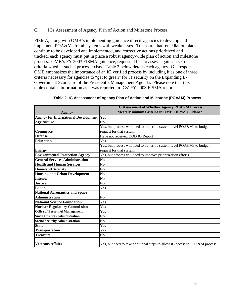## C. IGs Assessment of Agency Plan of Action and Milestone Process

FISMA, along with OMB's implementing guidance directs agencies to develop and implement POA&Ms for all systems with weaknesses. To ensure that remediation plans continue to be developed and implemented, and corrective actions prioritized and tracked, each agency must put in place a robust agency-wide plan of action and milestone process. OMB's FY 2003 FISMA guidance, requested IGs to assess against a set of criteria whether such a process exists. Table 2 below details each agency IG's response. OMB emphasizes the importance of an IG verified process by including it as one of three criteria necessary for agencies to "get to green" for IT security on the Expanding E-Government Scorecard of the President's Management Agenda. Please note that this table contains information as it was reported in IGs' FY 2003 FISMA reports.

|                                             | IG Assessment of Whether Agency POA&M Process                               |
|---------------------------------------------|-----------------------------------------------------------------------------|
| <b>Agency</b>                               | <b>Meets Minimum Criteria in OMB FISMA Guidance</b>                         |
| <b>Agency for International Development</b> | Yes                                                                         |
| <b>Agriculture</b>                          | No                                                                          |
|                                             | Yes, but process will need to better tie system-level POA&Ms to budget      |
| <b>Commerce</b>                             | request for that system.                                                    |
| <b>Defense</b>                              | Have not received DOD IG Report                                             |
| <b>Education</b>                            | Yes                                                                         |
|                                             | Yes, but process will need to better tie system-level POA&Ms to budget      |
| <b>Energy</b>                               | request for that system.                                                    |
| <b>Environmental Protection Agency</b>      | Yes, but process will need to improve prioritization efforts.               |
| <b>General Services Administration</b>      | N <sub>0</sub>                                                              |
| <b>Health and Human Services</b>            | N <sub>0</sub>                                                              |
| <b>Homeland Security</b>                    | No                                                                          |
| <b>Housing and Urban Development</b>        | No                                                                          |
| <b>Interior</b>                             | No                                                                          |
| <b>Justice</b>                              | No                                                                          |
| Labor                                       | Yes                                                                         |
| <b>National Aeronautics and Space</b>       |                                                                             |
| <b>Administration</b>                       | No                                                                          |
| <b>National Science Foundation</b>          | Yes                                                                         |
| <b>Nuclear Regulatory Commission</b>        | Yes                                                                         |
| <b>Office of Personnel Management</b>       | Yes                                                                         |
| <b>Small Business Administration</b>        | No                                                                          |
| <b>Social Security Administration</b>       | No                                                                          |
| <b>State</b>                                | Yes                                                                         |
| <b>Transportation</b>                       | Yes                                                                         |
| <b>Treasury</b>                             | No                                                                          |
| <b>Veterans Affairs</b>                     | Yes, but need to take additional steps to allow IG access to POA&M process. |

| Table 2. IG Assessment of Agency Plan of Action and Milestone (POA&M) Process |  |  |
|-------------------------------------------------------------------------------|--|--|
|                                                                               |  |  |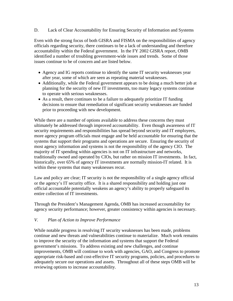D. Lack of Clear Accountability for Ensuring Security of Information and Systems

Even with the strong focus of both GISRA and FISMA on the responsibilities of agency officials regarding security, there continues to be a lack of understanding and therefore accountability within the Federal government. In the FY 2002 GISRA report, OMB identified a number of troubling government-wide issues and trends. Some of those issues continue to be of concern and are listed below.

- Agency and IG reports continue to identify the same IT security weaknesses year after year, some of which are seen as repeating material weaknesses.
- Additionally, while the Federal government appears to be doing a much better job at planning for the security of new IT investments, too many legacy systems continue to operate with serious weaknesses.
- As a result, there continues to be a failure to adequately prioritize IT funding decisions to ensure that remediation of significant security weaknesses are funded prior to proceeding with new development.

While there are a number of options available to address these concerns they must ultimately be addressed through improved accountability. Even though awareness of IT security requirements and responsibilities has spread beyond security and IT employees, more agency program officials must engage and be held accountable for ensuring that the systems that support their programs and operations are secure. Ensuring the security of most agency information and systems is not the responsibility of the agency CIO. The majority of IT spending within agencies is not on IT infrastructure and networks, traditionally owned and operated by CIOs, but rather on mission IT investments. In fact, historically, over 65% of agency IT investments are normally mission-IT related. It is within these systems that many weaknesses recur.

Law and policy are clear; IT security is not the responsibility of a single agency official or the agency's IT security office. It is a shared responsibility and holding just one official accountable potentially weakens an agency's ability to properly safeguard its entire collection of IT investments.

Through the President's Management Agenda, OMB has increased accountability for agency security performance; however, greater consistency within agencies is necessary.

## *V. Plan of Action to Improve Performance*

While notable progress in resolving IT security weaknesses has been made, problems continue and new threats and vulnerabilities continue to materialize. Much work remains to improve the security of the information and systems that support the Federal government's missions. To address existing and new challenges, and continue improvements, OMB will continue to work with agencies, GAO, and Congress to promote appropriate risk-based and cost-effective IT security programs, policies, and procedures to adequately secure our operations and assets. Throughout all of these steps OMB will be reviewing options to increase accountability.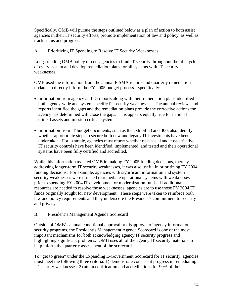Specifically, OMB will pursue the steps outlined below as a plan of action to both assist agencies in their IT security efforts, promote implementation of law and policy, as well as track status and progress.

## A. Prioritizing IT Spending to Resolve IT Security Weaknesses

Long-standing OMB policy directs agencies to fund IT security throughout the life cycle of every system and develop remediation plans for all systems with IT security weaknesses.

OMB used the information from the annual FISMA reports and quarterly remediation updates to directly inform the FY 2005 budget process. Specifically:

- Information from agency and IG reports along with their remediation plans identified both agency-wide and system specific IT security weaknesses. The annual reviews and reports identified the gaps and the remediation plans provide the corrective actions the agency has determined will close the gaps. This appears equally true for national critical assets and mission critical systems.
- Information from IT budget documents, such as the exhibit 53 and 300, also identify whether appropriate steps to secure both new and legacy IT investments have been undertaken. For example, agencies must report whether risk-based and cost-effective IT security controls have been identified, implemented, and tested and their operational systems have been fully certified and accredited.

While this information assisted OMB in making FY 2005 funding decisions, thereby addressing longer-term IT security weaknesses, it was also useful in prioritizing FY 2004 funding decisions. For example, agencies with significant information and system security weaknesses were directed to remediate operational systems with weaknesses prior to spending FY 2004 IT development or modernization funds. If additional resources are needed to resolve those weaknesses, agencies are to use those FY 2004 IT funds originally sought for new development. These steps were taken to reinforce both law and policy requirements and they underscore the President's commitment to security and privacy.

## B. President's Management Agenda Scorecard

Outside of OMB's annual conditional approval or disapproval of agency information security programs, the President's Management Agenda Scorecard is one of the most important mechanisms for both acknowledging agency IT security progress and highlighting significant problems. OMB uses all of the agency IT security materials to help inform the quarterly assessment of the scorecard.

To "get to green" under the Expanding E-Government Scorecard for IT security, agencies must meet the following three criteria: 1) demonstrate consistent progress in remediating IT security weaknesses; 2) attain certification and accreditations for 90% of their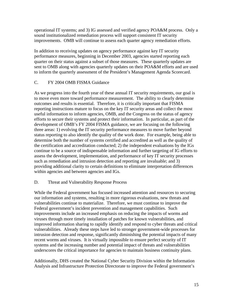operational IT systems; and 3) IG assessed and verified agency POA&M process. Only a sound institutionalized remediation process will support consistent IT security improvements. OMB will continue to assess each quarter agency remediation efforts.

In addition to receiving updates on agency performance against key IT security performance measures, beginning in December 2003, agencies started reporting each quarter on their status against a subset of those measures. These quarterly updates are sent to OMB along with agencies quarterly updates on their POA&M efforts and are used to inform the quarterly assessment of the President's Management Agenda Scorecard.

## C. FY 2004 OMB FISMA Guidance

As we progress into the fourth year of these annual IT security requirements, our goal is to move even more toward performance measurement. The ability to clearly determine outcomes and results is essential. Therefore, it is critically important that FISMA reporting instructions mature to focus on the key IT security areas and collect the most useful information to inform agencies, OMB, and the Congress on the status of agency efforts to secure their systems and protect their information. In particular, as part of the development of OMB's FY 2004 FISMA guidance, we are focusing on the following three areas: 1) evolving the IT security performance measures to move further beyond status reporting to also identify the quality of the work done. For example, being able to determine both the number of systems certified and accredited as well as the quality of the certification and accreditation conducted; 2) the independent evaluations by the IGs continue to be a source of indispensable information and further targeting of IG efforts to assess the development, implementation, and performance of key IT security processes such as remediation and intrusion detection and reporting are invaluable; and 3) providing additional clarity to certain definitions to eliminate interpretation differences within agencies and between agencies and IGs.

## D. Threat and Vulnerability Response Process

While the Federal government has focused increased attention and resources to securing our information and systems, resulting in more rigorous evaluations, new threats and vulnerabilities continue to materialize. Therefore, we must continue to improve the Federal government's incident prevention and management capabilities. Such improvements include an increased emphasis on reducing the impacts of worms and viruses through more timely installation of patches for known vulnerabilities, and improved information sharing to rapidly identify and respond to cyber threats and critical vulnerabilities. Already these steps have led to stronger government-wide processes for intrusion detection and response, significantly diminishing the potential impacts of many recent worms and viruses. It is virtually impossible to ensure perfect security of IT systems and the increasing number and potential impact of threats and vulnerabilities underscores the critical importance for agencies to maintain business continuity plans.

Additionally, DHS created the National Cyber Security Division within the Information Analysis and Infrastructure Protection Directorate to improve the Federal government's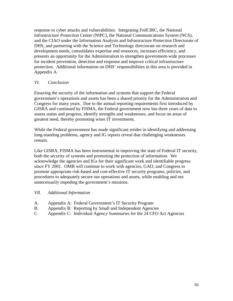response to cyber attacks and vulnerabilities. Integrating FedCIRC, the National Infrastructure Protection Center (NIPC), the National Communications System (NCS), and the CIAO under the Information Analysis and Infrastructure Protection Directorate of DHS, and partnering with the Science and Technology directorate on research and development needs, consolidates expertise and resources, increases efficiency, and presents an opportunity for the Administration to strengthen government-wide processes for incident prevention, detection and response and improve critical infrastructure protection. Additional information on DHS' responsibilities in this area is provided in Appendix A.

## *VI. Conclusion*

Ensuring the security of the information and systems that support the Federal government's operations and assets has been a shared priority for the Administration and Congress for many years. Due to the annual reporting requirements first introduced by GISRA and continued by FISMA, the Federal government now has three years of data to assess status and progress, identify strengths and weaknesses, and focus on areas of greatest need, thereby promoting wiser IT investments.

While the Federal government has made significant strides in identifying and addressing long-standing problems, agency and IG reports reveal that challenging weaknesses remain.

Like GISRA, FISMA has been instrumental in improving the state of Federal IT security, both the security of systems and promoting the protection of information. We acknowledge the agencies and IGs for their significant work and identifiable progress since FY 2001. OMB will continue to work with agencies, GAO, and Congress to promote appropriate risk-based and cost-effective IT security programs, policies, and procedures to adequately secure our operations and assets, while enabling and not unnecessarily impeding the government's missions.

## *VII. Additional Information*

- A. Appendix A: Federal Government's IT Security Program
- B. Appendix B: Reporting by Small and Independent Agencies
- C. Appendix C: Individual Agency Summaries for the 24 CFO Act Agencies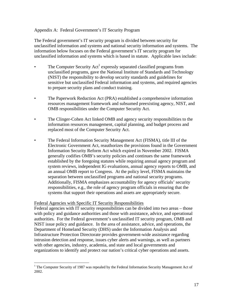#### Appendix A: Federal Government's IT Security Program

The Federal government's IT security program is divided between security for unclassified information and systems and national security information and systems. The information below focuses on the Federal government's IT security program for unclassified information and systems which is based in statute. Applicable laws include:

- The Computer Security  $Act^1$  $Act^1$  expressly separated classified programs from unclassified programs, gave the National Institute of Standards and Technology (NIST) the responsibility to develop security standards and guidelines for sensitive but unclassified Federal information and systems, and required agencies to prepare security plans and conduct training.
- The Paperwork Reduction Act (PRA) established a comprehensive information resources management framework and subsumed preexisting agency, NIST, and OMB responsibilities under the Computer Security Act.
- The Clinger-Cohen Act linked OMB and agency security responsibilities to the information resources management, capital planning, and budget process and replaced most of the Computer Security Act.
- The Federal Information Security Management Act (FISMA), title III of the Electronic Government Act, reauthorizes the provisions found in the Government Information Security Reform Act which expired in November 2002. FISMA generally codifies OMB's security policies and continues the same framework established by the foregoing statutes while requiring annual agency program and system reviews, independent IG evaluations, annual agency reports to OMB, and an annual OMB report to Congress. At the policy level, FISMA maintains the separation between unclassified programs and national security programs. Additionally, FISMA emphasizes accountability for agency officials' security responsibilities, e.g., the role of agency program officials in ensuring that the systems that support their operations and assets are appropriately secure.

#### Federal Agencies with Specific IT Security Responsibilities

1

Federal agencies with IT security responsibilities can be divided into two areas – those with policy and guidance authorities and those with assistance, advice, and operational authorities. For the Federal government's unclassified IT security program, OMB and NIST issue policy and guidance. In the area of assistance, advice, and operations, the Department of Homeland Security (DHS) under the Information Analysis and Infrastructure Protection Directorate provides government-wide assistance regarding intrusion detection and response, issues cyber alerts and warnings, as well as partners with other agencies, industry, academia, and state and local governments and organizations to identify and protect our nation's critical cyber operations and assets.

<span id="page-16-0"></span><sup>&</sup>lt;sup>1</sup> The Computer Security of 1987 was repealed by the Federal Information Security Management Act of 2002.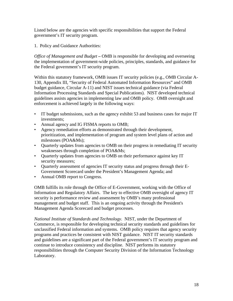Listed below are the agencies with specific responsibilities that support the Federal government's IT security program.

1. Policy and Guidance Authorities:

*Office of Management and Budget* – OMB is responsible for developing and overseeing the implementation of government-wide policies, principles, standards, and guidance for the Federal government's IT security program.

Within this statutory framework, OMB issues IT security policies (e.g., OMB Circular A-130, Appendix III, "Security of Federal Automated Information Resources" and OMB budget guidance, Circular A-11) and NIST issues technical guidance (via Federal Information Processing Standards and Special Publications). NIST developed technical guidelines assists agencies in implementing law and OMB policy. OMB oversight and enforcement is achieved largely in the following ways:

- IT budget submissions, such as the agency exhibit 53 and business cases for major IT investments;
- Annual agency and IG FISMA reports to OMB;
- Agency remediation efforts as demonstrated through their development, prioritization, and implementation of program and system level plans of action and milestones (POA&Ms);
- Quarterly updates from agencies to OMB on their progress in remediating IT security weaknesses through completion of POA&Ms;
- Quarterly updates from agencies to OMB on their performance against key IT security measures;
- Quarterly assessment of agencies IT security status and progress through their E-Government Scorecard under the President's Management Agenda; and
- Annual OMB report to Congress.

OMB fulfills its role through the Office of E-Government, working with the Office of Information and Regulatory Affairs. The key to effective OMB oversight of agency IT security is performance review and assessment by OMB's many professional management and budget staff. This is an ongoing activity through the President's Management Agenda Scorecard and budget processes.

*National Institute of Standards and Technology*. NIST, under the Department of Commerce, is responsible for developing technical security standards and guidelines for unclassified Federal information and systems. OMB policy requires that agency security programs and practices be consistent with NIST guidance. NIST IT security standards and guidelines are a significant part of the Federal government's IT security program and continue to introduce consistency and discipline. NIST performs its statutory responsibilities through the Computer Security Division of the Information Technology Laboratory.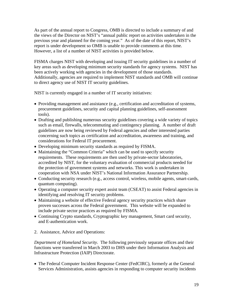As part of the annual report to Congress, OMB is directed to include a summary of and the views of the Director on NIST's "annual public report on activities undertaken in the previous year and planned for the coming year." As of the date of this report, NIST's report is under development so OMB is unable to provide comments at this time. However, a list of a number of NIST activities is provided below.

FISMA charges NIST with developing and issuing IT security guidelines in a number of key areas such as developing minimum security standards for agency systems. NIST has been actively working with agencies in the development of those standards. Additionally, agencies are required to implement NIST standards and OMB will continue to direct agency use of NIST IT security guidelines.

NIST is currently engaged in a number of IT security initiatives:

- Providing management and assistance (e.g., certification and accreditation of systems, procurement guidelines, security and capital planning guidelines, self-assessment tools).
- Drafting and publishing numerous security guidelines covering a wide variety of topics such as email, firewalls, telecommuting and contingency planning. A number of draft guidelines are now being reviewed by Federal agencies and other interested parties concerning such topics as certification and accreditation, awareness and training, and considerations for Federal IT procurement.
- Developing minimum security standards as required by FISMA.
- Maintaining the "Common Criteria" which can be used to specify security requirements. These requirements are then used by private-sector laboratories, accredited by NIST, for the voluntary evaluation of commercial products needed for the protection of government systems and networks. This work is undertaken in cooperation with NSA under NIST's National Information Assurance Partnership.
- Conducting security research (e.g., access control, wireless, mobile agents, smart-cards, quantum computing).
- Operating a computer security expert assist team (CSEAT) to assist Federal agencies in identifying and resolving IT security problems.
- Maintaining a website of effective Federal agency security practices which share proven successes across the Federal government. This website will be expanded to include private sector practices as required by FISMA.
- Continuing Crypto standards, Cryptographic key management, Smart card security, and E-authentication work.
- 2. Assistance, Advice and Operations:

*Department of Homeland Security*. The following previously separate offices and their functions were transferred in March 2003 to DHS under their Information Analysis and Infrastructure Protection (IAIP) Directorate.

• The Federal Computer Incident Response Center (FedCIRC), formerly at the General Services Administration, assists agencies in responding to computer security incidents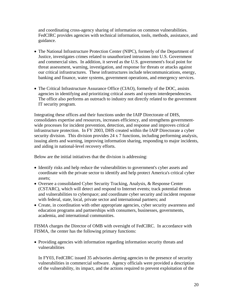and coordinating cross-agency sharing of information on common vulnerabilities. FedCIRC provides agencies with technical information, tools, methods, assistance, and guidance.

- The National Infrastructure Protection Center (NIPC), formerly of the Department of Justice, investigates crimes related to unauthorized intrusions into U.S. Government and commercial sites. In addition, it served as the U.S. government's focal point for threat assessment, warning, investigation, and response for threats or attacks against our critical infrastructures. These infrastructures include telecommunications, energy, banking and finance, water systems, government operations, and emergency services.
- The Critical Infrastructure Assurance Office (CIAO), formerly of the DOC, assists agencies in identifying and prioritizing critical assets and system interdependencies. The office also performs an outreach to industry not directly related to the government IT security program.

Integrating these offices and their functions under the IAIP Directorate of DHS, consolidates expertise and resources, increases efficiency, and strengthens governmentwide processes for incident prevention, detection, and response and improves critical infrastructure protection. In FY 2003, DHS created within the IAIP Directorate a cyber security division. This division provides 24 x 7 functions, including performing analysis, issuing alerts and warning, improving information sharing, responding to major incidents, and aiding in national-level recovery efforts.

Below are the initial initiatives that the division is addressing:

- Identify risks and help reduce the vulnerabilities to government's cyber assets and coordinate with the private sector to identify and help protect America's critical cyber assets;
- Oversee a consolidated Cyber Security Tracking, Analysis, & Response Center (CSTARC), which will detect and respond to Internet events; track potential threats and vulnerabilities to cyberspace; and coordinate cyber security and incident response with federal, state, local, private sector and international partners; and
- Create, in coordination with other appropriate agencies, cyber security awareness and education programs and partnerships with consumers, businesses, governments, academia, and international communities.

FISMA charges the Director of OMB with oversight of FedCIRC. In accordance with FISMA, the center has the following primary functions:

• Providing agencies with information regarding information security threats and vulnerabilities

In FY03, FedCIRC issued 35 advisories alerting agencies to the presence of security vulnerabilities in commercial software. Agency officials were provided a description of the vulnerability, its impact, and the actions required to prevent exploitation of the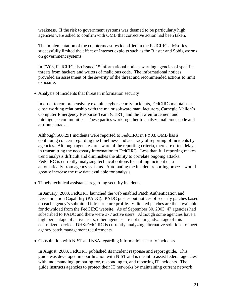weakness. If the risk to government systems was deemed to be particularly high, agencies were asked to confirm with OMB that corrective action had been taken.

The implementation of the countermeasures identified in the FedCIRC advisories successfully limited the effect of Internet exploits such as the Blaster and Sobig worms on government systems.

In FY03, FedCIRC also issued 15 informational notices warning agencies of specific threats from hackers and writers of malicious code. The informational notices provided an assessment of the severity of the threat and recommended actions to limit exposure.

• Analysis of incidents that threaten information security

In order to comprehensively examine cybersecurity incidents, FedCIRC maintains a close working relationship with the major software manufacturers, Carnegie Mellon's Computer Emergency Response Team (CERT) and the law enforcement and intelligence communities. These parties work together to analyze malicious code and attribute attacks.

Although 506,291 incidents were reported to FedCIRC in FY03, OMB has a continuing concern regarding the timeliness and accuracy of reporting of incidents by agencies. Although agencies are aware of the reporting criteria, there are often delays in transmitting the necessary information to FedCIRC. Less than full reporting makes trend analysis difficult and diminishes the ability to correlate ongoing attacks. FedCIRC is currently analyzing technical options for pulling incident data automatically from agency systems. Automating the incident reporting process would greatly increase the raw data available for analysis.

• Timely technical assistance regarding security incidents

In January, 2003, FedCIRC launched the web enabled Patch Authentication and Dissemination Capability (PADC). PADC pushes out notices of security patches based on each agency's submitted infrastructure profile. Validated patches are then available for download from the FedCIRC website. As of September 30, 2003, 47 agencies had subscribed to PADC and there were 377 active users. Although some agencies have a high percentage of active users, other agencies are not taking advantage of this centralized service. DHS/FedCIRC is currently analyzing alternative solutions to meet agency patch management requirements.

• Consultation with NIST and NSA regarding information security incidents

In August, 2003, FedCIRC published its incident response and report guide. This guide was developed in coordination with NIST and is meant to assist federal agencies with understanding, preparing for, responding to, and reporting IT incidents. The guide instructs agencies to protect their IT networks by maintaining current network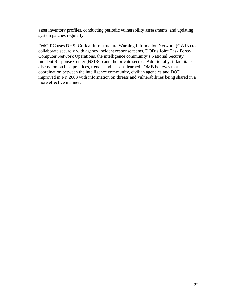asset inventory profiles, conducting periodic vulnerability assessments, and updating system patches regularly.

FedCIRC uses DHS' Critical Infrastructure Warning Information Network (CWIN) to collaborate securely with agency incident response teams, DOD's Joint Task Force-Computer Network Operations, the intelligence community's National Security Incident Response Center (NSIRC) and the private sector. Additionally, it facilitates discussion on best practices, trends, and lessons learned. OMB believes that coordination between the intelligence community, civilian agencies and DOD improved in FY 2003 with information on threats and vulnerabilities being shared in a more effective manner.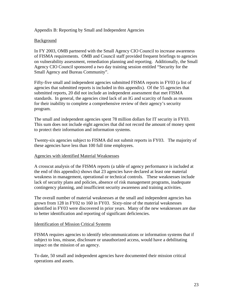#### Appendix B: Reporting by Small and Independent Agencies

#### Background

In FY 2003, OMB partnered with the Small Agency CIO Council to increase awareness of FISMA requirements. OMB and Council staff provided frequent briefings to agencies on vulnerability assessment, remediation planning and reporting. Additionally, the Small Agency CIO Council sponsored a two day training session entitled "Security for the Small Agency and Bureau Community".

Fifty-five small and independent agencies submitted FISMA reports in FY03 (a list of agencies that submitted reports is included in this appendix). Of the 55 agencies that submitted reports, 20 did not include an independent assessment that met FISMA standards. In general, the agencies cited lack of an IG and scarcity of funds as reasons for their inability to complete a comprehensive review of their agency's security program.

The small and independent agencies spent 78 million dollars for IT security in FY03. This sum does not include eight agencies that did not record the amount of money spent to protect their information and information systems.

Twenty-six agencies subject to FISMA did not submit reports in FY03. The majority of these agencies have less than 100 full time employees.

#### Agencies with identified Material Weaknesses

A crosscut analysis of the FISMA reports (a table of agency performance is included at the end of this appendix) shows that 23 agencies have declared at least one material weakness in management, operational or technical controls. These weaknesses include lack of security plans and policies, absence of risk management programs, inadequate contingency planning, and insufficient security awareness and training activities.

The overall number of material weaknesses at the small and independent agencies has grown from 128 in FY02 to 160 in FY03. Sixty-nine of the material weaknesses identified in FY03 were discovered in prior years. Many of the new weaknesses are due to better identification and reporting of significant deficiencies.

#### Identification of Mission Critical Systems

FISMA requires agencies to identify telecommunications or information systems that if subject to loss, misuse, disclosure or unauthorized access, would have a debilitating impact on the mission of an agency.

To date, 50 small and independent agencies have documented their mission critical operations and assets.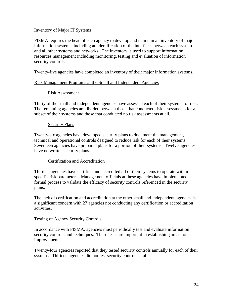#### Inventory of Major IT Systems

FISMA requires the head of each agency to develop and maintain an inventory of major information systems, including an identification of the interfaces between each system and all other systems and networks. The inventory is used to support information resources management including monitoring, testing and evaluation of information security controls.

Twenty-five agencies have completed an inventory of their major information systems.

#### Risk Management Programs at the Small and Independent Agencies

## Risk Assessment

Thirty of the small and independent agencies have assessed each of their systems for risk. The remaining agencies are divided between those that conducted risk assessments for a subset of their systems and those that conducted no risk assessments at all.

#### Security Plans

Twenty-six agencies have developed security plans to document the management, technical and operational controls designed to reduce risk for each of their systems. Seventeen agencies have prepared plans for a portion of their systems. Twelve agencies have no written security plans.

## Certification and Accreditation

Thirteen agencies have certified and accredited all of their systems to operate within specific risk parameters. Management officials at these agencies have implemented a formal process to validate the efficacy of security controls referenced in the security plans.

The lack of certification and accreditation at the other small and independent agencies is a significant concern with 27 agencies not conducting any certification or accreditation activities.

#### Testing of Agency Security Controls

In accordance with FISMA, agencies must periodically test and evaluate information security controls and techniques. These tests are important in establishing areas for improvement.

Twenty-four agencies reported that they tested security controls annually for each of their systems. Thirteen agencies did not test security controls at all.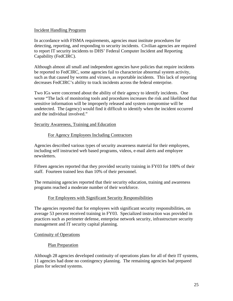#### Incident Handling Programs

In accordance with FISMA requirements, agencies must institute procedures for detecting, reporting, and responding to security incidents. Civilian agencies are required to report IT security incidents to DHS' Federal Computer Incident and Reporting Capability (FedCIRC).

Although almost all small and independent agencies have policies that require incidents be reported to FedCIRC, some agencies fail to characterize abnormal system activity, such as that caused by worms and viruses, as reportable incidents. This lack of reporting decreases FedCIRC's ability to track incidents across the federal enterprise.

Two IGs were concerned about the ability of their agency to identify incidents. One wrote "The lack of monitoring tools and procedures increases the risk and likelihood that sensitive information will be improperly released and system compromise will be undetected. The (agency) would find it difficult to identify when the incident occurred and the individual involved."

Security Awareness, Training and Education

#### For Agency Employees Including Contractors

Agencies described various types of security awareness material for their employees, including self instructed web based programs, videos, e-mail alerts and employee newsletters.

Fifteen agencies reported that they provided security training in FY03 for 100% of their staff. Fourteen trained less than 10% of their personnel.

The remaining agencies reported that their security education, training and awareness programs reached a moderate number of their workforce.

## For Employees with Significant Security Responsibilities

The agencies reported that for employees with significant security responsibilities, on average 53 percent received training in FY03. Specialized instruction was provided in practices such as perimeter defense, enterprise network security, infrastructure security management and IT security capital planning.

## Continuity of Operations

## Plan Preparation

Although 28 agencies developed continuity of operations plans for all of their IT systems, 11 agencies had done no contingency planning. The remaining agencies had prepared plans for selected systems.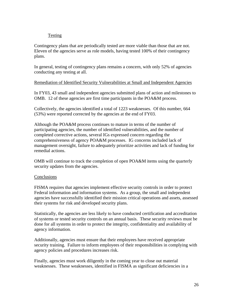## Testing

Contingency plans that are periodically tested are more viable than those that are not. Eleven of the agencies serve as role models, having tested 100% of their contingency plans.

In general, testing of contingency plans remains a concern, with only 52% of agencies conducting any testing at all.

## Remediation of Identified Security Vulnerabilities at Small and Independent Agencies

In FY03, 43 small and independent agencies submitted plans of action and milestones to OMB. 12 of these agencies are first time participants in the POA&M process.

Collectively, the agencies identified a total of 1223 weaknesses. Of this number, 664 (53%) were reported corrected by the agencies at the end of FY03.

Although the POA&M process continues to mature in terms of the number of participating agencies, the number of identified vulnerabilities, and the number of completed corrective actions, several IGs expressed concern regarding the comprehensiveness of agency POA&M processes. IG concerns included lack of management oversight, failure to adequately prioritize activities and lack of funding for remedial actions.

OMB will continue to track the completion of open POA&M items using the quarterly security updates from the agencies.

## **Conclusions**

FISMA requires that agencies implement effective security controls in order to protect Federal information and information systems. As a group, the small and independent agencies have successfully identified their mission critical operations and assets, assessed their systems for risk and developed security plans.

Statistically, the agencies are less likely to have conducted certification and accreditation of systems or tested security controls on an annual basis. These security reviews must be done for all systems in order to protect the integrity, confidentiality and availability of agency information.

Additionally, agencies must ensure that their employees have received appropriate security training. Failure to inform employees of their responsibilities in complying with agency policies and procedures increases risk.

Finally, agencies must work diligently in the coming year to close out material weaknesses. These weaknesses, identified in FISMA as significant deficiencies in a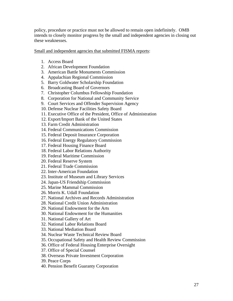policy, procedure or practice must not be allowed to remain open indefinitely. OMB intends to closely monitor progress by the small and independent agencies in closing out these weaknesses.

Small and independent agencies that submitted FISMA reports:

- 1. Access Board
- 2. African Development Foundation
- 3. American Battle Monuments Commission
- 4. Appalachian Regional Commission
- 5. Barry Goldwater Scholarship Foundation
- 6. Broadcasting Board of Governors
- 7. Christopher Columbus Fellowship Foundation
- 8. Corporation for National and Community Service
- 9. Court Services and Offender Supervision Agency
- 10. Defense Nuclear Facilities Safety Board
- 11. Executive Office of the President, Office of Administration
- 12. Export/Import Bank of the United States
- 13. Farm Credit Administration
- 14. Federal Communications Commission
- 15. Federal Deposit Insurance Corporation
- 16. Federal Energy Regulatory Commission
- 17. Federal Housing Finance Board
- 18. Federal Labor Relations Authority
- 19. Federal Maritime Commission
- 20. Federal Reserve System
- 21. Federal Trade Commission
- 22. Inter-American Foundation
- 23. Institute of Museum and Library Services
- 24. Japan-US Friendship Commission
- 25. Marine Mammal Commission
- 26. Morris K. Udall Foundation
- 27. National Archives and Records Administration
- 28. National Credit Union Administration
- 29. National Endowment for the Arts
- 30. National Endowment for the Humanities
- 31. National Gallery of Art
- 32. National Labor Relations Board
- 33. National Mediation Board
- 34. Nuclear Waste Technical Review Board
- 35. Occupational Safety and Health Review Commission
- 36. Office of Federal Housing Enterprise Oversight
- 37. Office of Special Counsel
- 38. Overseas Private Investment Corporation
- 39. Peace Corps
- 40. Pension Benefit Guaranty Corporation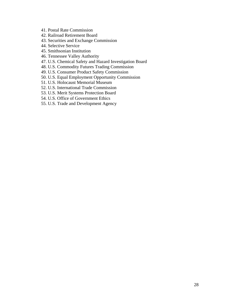- 41. Postal Rate Commission
- 42. Railroad Retirement Board
- 43. Securities and Exchange Commission
- 44. Selective Service
- 45. Smithsonian Institution
- 46. Tennessee Valley Authority
- 47. U.S. Chemical Safety and Hazard Investigation Board
- 48. U.S. Commodity Futures Trading Commission
- 49. U.S. Consumer Product Safety Commission
- 50. U.S. Equal Employment Opportunity Commission
- 51. U.S. Holocaust Memorial Museum
- 52. U.S. International Trade Commission
- 53. U.S. Merit Systems Protection Board
- 54. U.S. Office of Government Ethics
- 55. U.S. Trade and Development Agency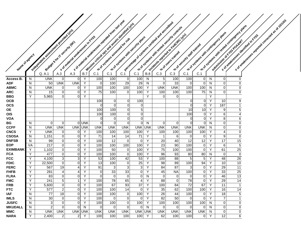|                               |        |                                             |                               |                                    |                  |                        | 4. 3 This is the state of the contract of the state of the state of the state of the state of the state of the state of the state of the state of the state of the state of the state of the state of the state of the state o<br>P. 7 Mission of thicks of a state of domining during |                        |                           |              | C. 1 Percontage of systems of critical and accredited |                              |                               |                                         |        |                                   | 7 - 1 % Systems with rested contingency plans | * of weaknesses reported corrected as a c round |
|-------------------------------|--------|---------------------------------------------|-------------------------------|------------------------------------|------------------|------------------------|----------------------------------------------------------------------------------------------------------------------------------------------------------------------------------------------------------------------------------------------------------------------------------------|------------------------|---------------------------|--------------|-------------------------------------------------------|------------------------------|-------------------------------|-----------------------------------------|--------|-----------------------------------|-----------------------------------------------|-------------------------------------------------|
|                               |        | Independent as see sment or or dide of Unit |                               |                                    |                  |                        |                                                                                                                                                                                                                                                                                        |                        |                           |              | 7 3/9/0 5 systems with tested security controls       |                              |                               | 1 vio of systems with contingency plans |        |                                   |                                               |                                                 |
|                               |        |                                             |                               | - * of material weaknesses in F103 |                  |                        |                                                                                                                                                                                                                                                                                        |                        |                           |              | A Kicidents espotedy of edicine Cyrill                |                              |                               |                                         |        |                                   |                                               | * of weaknesses identified in F103              |
|                               |        |                                             |                               | Publishers for IT security left    |                  |                        |                                                                                                                                                                                                                                                                                        |                        |                           |              |                                                       |                              | sle of security start visited |                                         |        |                                   |                                               |                                                 |
|                               |        |                                             |                               |                                    |                  |                        |                                                                                                                                                                                                                                                                                        |                        |                           |              |                                                       |                              |                               |                                         |        |                                   |                                               |                                                 |
| Narne of sgercy               |        |                                             |                               |                                    |                  |                        |                                                                                                                                                                                                                                                                                        |                        |                           |              |                                                       |                              |                               |                                         |        |                                   |                                               |                                                 |
|                               |        |                                             |                               |                                    |                  |                        |                                                                                                                                                                                                                                                                                        |                        |                           |              |                                                       |                              |                               |                                         |        |                                   |                                               |                                                 |
|                               |        |                                             |                               |                                    |                  |                        |                                                                                                                                                                                                                                                                                        |                        |                           |              |                                                       |                              |                               |                                         |        |                                   |                                               |                                                 |
|                               |        | Q. A.1                                      | A.3                           | A.3                                | B.7              | C.1                    | C.1                                                                                                                                                                                                                                                                                    | C.1                    | C.1                       | <b>B.8</b>   | C.3                                                   | C.3                          | C.1                           | C.1                                     |        |                                   |                                               |                                                 |
| Access $\overline{B}$ .       | N      | <b>UNK</b>                                  | $\overline{0}$                | $\overline{0}$                     | Y                | 100                    | 100                                                                                                                                                                                                                                                                                    | 0                      | 100                       | N            | 5                                                     | 100                          | 100                           | 0                                       | N      | $\overline{0}$                    | 0                                             |                                                 |
| <b>ADF</b>                    | N      | 50                                          | <b>UNK</b>                    | <b>UNK</b>                         | Υ                | 0                      | 100                                                                                                                                                                                                                                                                                    | 29                     | 29                        | N            | $\mathbf 0$                                           | 33                           | 0                             | $\pmb{0}$                               | N      | $\overline{0}$                    | 0                                             |                                                 |
| <b>ABMC</b>                   | N      | <b>UNK</b>                                  | $\overline{0}$                | $\overline{0}$                     | Υ                | 100                    | 100                                                                                                                                                                                                                                                                                    | 100                    | 100                       | Y            | <b>UNK</b>                                            | <b>UNK</b>                   | 100                           | 100                                     | N      | $\overline{0}$                    | $\pmb{0}$                                     |                                                 |
| <b>ARC</b>                    | N<br>Y | 15                                          | $\overline{0}$<br>$\Omega$    | 0<br>$\mathbf 0$                   | Υ<br>Y           | 75                     | 100                                                                                                                                                                                                                                                                                    | $\Omega$               | 100                       | Y<br>Y       | 100<br>$\Omega$                                       | 100<br>0                     | 100                           | 75                                      | N<br>Υ | $\Omega$                          | 0                                             |                                                 |
| <b>BBG</b><br><b>OCB</b>      |        | 5,965                                       |                               |                                    |                  | 100                    | 0                                                                                                                                                                                                                                                                                      | $\Omega$               | 100                       |              |                                                       |                              | 0                             | 0                                       | Υ      | 10                                | 9                                             |                                                 |
| <b>OCS</b>                    |        |                                             |                               |                                    |                  | $\Omega$               | $\Omega$                                                                                                                                                                                                                                                                               | $\Omega$               | $\Omega$                  |              |                                                       |                              | 0                             | $\overline{0}$                          | Y      | 187                               | $\mathbf{1}$                                  |                                                 |
| <b>OE</b>                     |        |                                             |                               |                                    |                  | 100                    | 100                                                                                                                                                                                                                                                                                    | $\overline{0}$         | $\sqrt{5}$                |              |                                                       |                              | 10                            | 10                                      | Y      | 9                                 | $\mathbf 5$                                   |                                                 |
| <b>OIS</b>                    |        |                                             |                               |                                    |                  | 100                    | 100                                                                                                                                                                                                                                                                                    | $\overline{0}$         | $\overline{0}$            |              |                                                       |                              | 100                           | $\overline{0}$                          | Y      | $6 \mid$                          | 4                                             |                                                 |
| <b>VOA</b>                    |        |                                             |                               |                                    |                  | $\overline{0}$         | 0                                                                                                                                                                                                                                                                                      | $\Omega$               | $\overline{0}$            |              |                                                       |                              | 0                             | $\overline{0}$                          | Y      | 8                                 | 6                                             |                                                 |
| BG<br><b>CCFF</b>             | N<br>N | 0<br><b>UNK</b>                             | $\overline{0}$<br><b>UNK</b>  |                                    | 0 UNK<br>UNK UNK | $\Omega$<br><b>UNK</b> | 0<br><b>UNK</b>                                                                                                                                                                                                                                                                        | $\Omega$<br><b>UNK</b> | $\overline{0}$<br>UNK UNK | <sub>N</sub> | $\overline{0}$<br><b>UNK</b>                          | $\overline{0}$<br><b>UNK</b> | $\mathbf 0$<br><b>UNK</b>     | 0 <br><b>UNK</b>                        | N<br>N | $\overline{0}$<br>$\overline{0}$  | $\pmb{0}$<br>0                                |                                                 |
| <b>CNCS</b>                   | Y      | <b>UNK</b>                                  | $\overline{0}$                | 0                                  | Y                | 100                    | 100                                                                                                                                                                                                                                                                                    | 100                    | 100                       | Y            | 100                                                   | 100                          | 100                           | 100                                     | Y      | $\vert 4 \vert$                   | $\pmb{0}$                                     |                                                 |
| <b>CSOSA</b>                  | N      | 1,151                                       | $\overline{0}$                | $\mathbf 0$                        | Y                | 71                     | 14                                                                                                                                                                                                                                                                                     | 14                     | 71                        | Y            | 1                                                     | 6                            | 0                             | 0                                       | Y      | 9                                 | $\overline{0}$                                |                                                 |
| <b>DNFSB</b>                  | N      | 99                                          | $\overline{0}$                | 0                                  | Y                | 100                    | 12                                                                                                                                                                                                                                                                                     | $\mathbf 0$            | 0                         | Y            | 20                                                    | 40                           | 12                            | 12                                      | Y      | 17                                | 15                                            |                                                 |
| <b>EOP</b>                    | VA     | 217                                         | $\overline{0}$                | $\mathbf 0$                        | Y                | 100                    | 100                                                                                                                                                                                                                                                                                    | 100                    | 100                       | Y            | 23                                                    | 90                           | 100                           | $\pmb{0}$                               | Y      | $6 \overline{6}$                  | $\sqrt{5}$                                    |                                                 |
| <b>EXIMBANK</b><br><b>FCA</b> | Y<br>Y | 1,102<br>477                                | $\mathbf 0$<br>$\overline{0}$ | $\mathbf 0$<br>$\mathbf 0$         | Y<br>Υ           | 100<br>100             | 50<br>100                                                                                                                                                                                                                                                                              | 0<br>$\mathbf 0$       | 100<br>100                | Y<br>Y       | 75<br>96                                              | 100<br>93                    | 100<br>80                     | $\pmb{0}$<br>80                         | Y<br>N | 61<br>$\overline{0}$              | 25<br>$\pmb{0}$                               |                                                 |
| <b>FCC</b>                    | Y      | 4,100                                       | $\mathbf{3}$                  | 3                                  | Υ                | 53                     | 100                                                                                                                                                                                                                                                                                    | 42                     | 53                        | Y            | 100                                                   | 88                           | 5                             | 5                                       | Y      | 48                                | 26                                            |                                                 |
| <b>FDIC</b>                   | Y      | 22,500                                      | $\overline{0}$                | 0                                  | Υ                | 13                     | 100                                                                                                                                                                                                                                                                                    | $\overline{0}$         | 25                        | Y            | 98                                                    | 89                           | 100                           | 94                                      | Υ      | 10                                | 10                                            |                                                 |
| <b>FERC</b>                   | Y      | 567                                         | 19                            | 4                                  | Y                | 91                     | 3                                                                                                                                                                                                                                                                                      | 3                      | $\mathbf{3}$              | Y            | 84                                                    | 87                           | 3                             | $\pmb{0}$                               | Υ      | 29                                | 11                                            |                                                 |
| <b>FHFB</b>                   | Y      | 281                                         | 4                             | 4                                  | Y                | $\mathbf 0$            | 33                                                                                                                                                                                                                                                                                     | 33                     | 0                         | Y            | 45                                                    | <b>NA</b>                    | 100                           | 0                                       | Y      | 33                                | 25                                            |                                                 |
| <b>FLRA</b>                   | Y      | 83                                          | $\overline{0}$                | 0                                  | Υ                | 0                      | 0                                                                                                                                                                                                                                                                                      | 0                      | 0                         | $\mathsf{N}$ | $\overline{0}$                                        | 0                            | 0                             | 0                                       | Υ      | 46                                | 13                                            |                                                 |
| <b>FMC</b><br><b>FRB</b>      | Y<br>Y | 241<br>5,600                                | 5<br>$\overline{0}$           | -1<br>0                            | Y<br>Υ           | 100<br>100             | 78<br>67                                                                                                                                                                                                                                                                               | 65<br>93               | $\vert 4 \vert$<br>37     | Y<br>Y       | 88<br>100                                             | $\overline{0}$<br>84         | 78<br>72                      | $\pmb{0}$<br>67                         | Y<br>Υ | 29<br>11                          | 14<br>$\mathbf{1}$                            |                                                 |
| <b>FTC</b>                    | Y      | 577                                         | $\overline{2}$                | $\Omega$                           | Υ                | 100                    | 100                                                                                                                                                                                                                                                                                    | 14                     | $\overline{0}$            | Y            | 35                                                    | 62                           | 100                           | 100                                     | Y      | 16                                | 14                                            |                                                 |
| <b>IAF</b>                    | N      | 77                                          | 18                            | $\overline{0}$                     | Y                | 100                    | 100                                                                                                                                                                                                                                                                                    | $\mathbf 0$            | 100                       | Y            | 26                                                    | 44                           | 100                           | 0                                       | Y      | 18                                | 5                                             |                                                 |
| <b>IMLS</b>                   | N      | 30                                          | $\overline{0}$                | $\overline{0}$                     | Y                | 100                    | 0                                                                                                                                                                                                                                                                                      | $\overline{0}$         | 0                         | Y            | 82                                                    | 50                           | $\mathbf 0$                   | $\pmb{0}$                               | Y      | $\overline{7}$                    | $\overline{1}$                                |                                                 |
| <b>JUSFC</b>                  | N      | 3                                           | $\overline{0}$                | $\overline{0}$                     | Υ                | 100                    | 100                                                                                                                                                                                                                                                                                    | $\overline{0}$         | 100                       | Y            | 100                                                   | 100                          | 100                           | 100                                     | N      | $\overline{0}$                    | $\pmb{0}$                                     |                                                 |
| <b>MKUDALL</b>                | N      | $\overline{c}$                              | $\overline{0}$                | $\mathbf 0$                        | N                | $\mathbf 0$            | $\mathbf 0$                                                                                                                                                                                                                                                                            | $\overline{0}$         | $\Omega$                  | $\mathsf{N}$ | $\overline{0}$                                        | $\overline{0}$               | $\mathbf 0$                   | $\mathbf 0$                             | N      | $\overline{0}$                    | 0                                             |                                                 |
| <b>MMC</b><br><b>NARA</b>     | N<br>Υ | <b>UNK</b><br>2,400                         | <b>UNK</b><br>$\mathbf{2}$    | $\overline{2}$                     | UNK UNK<br>Y     | <b>UNK</b><br>100      | <b>UNK</b><br>100                                                                                                                                                                                                                                                                      | <b>UNK</b><br>100      | UNK UNK<br>100            | Y            | <b>UNK</b><br>62                                      | <b>UNK</b><br>100            | <b>UNK</b><br>100             | <b>UNK</b><br> 0                        | N<br>Y | $\overline{0}$<br>$\overline{12}$ | 0<br>$\overline{6}$                           |                                                 |
|                               |        |                                             |                               |                                    |                  |                        |                                                                                                                                                                                                                                                                                        |                        |                           |              |                                                       |                              |                               |                                         |        |                                   |                                               |                                                 |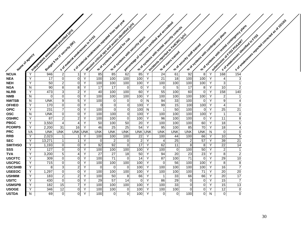|                               |        |                                        |                                  |                                   |        |                |                               | Interest of critical operations and complete interest und Units | level trace of systems of critical arc accidities |                                     |                       |                                  |                                       |        |                     | side systems with rested contingency plans |                                                   | <b>. of 1 or 102</b> |
|-------------------------------|--------|----------------------------------------|----------------------------------|-----------------------------------|--------|----------------|-------------------------------|-----------------------------------------------------------------|---------------------------------------------------|-------------------------------------|-----------------------|----------------------------------|---------------------------------------|--------|---------------------|--------------------------------------------|---------------------------------------------------|----------------------|
|                               |        | Independent as see sment provided unit |                                  |                                   |        |                |                               |                                                                 | 9/1 of systems with research security controls    |                                     |                       |                                  |                                       |        |                     |                                            |                                                   |                      |
|                               |        |                                        |                                  |                                   |        |                |                               |                                                                 |                                                   | Incidents exported to Feb City Clym |                       |                                  | ole of systems with contingency plans |        |                     |                                            | IF TO WE PARTICLE ASSESSED FOR DISCREPS ASSESSED. |                      |
|                               |        |                                        |                                  | -5 of material weaknesses in F103 |        |                |                               |                                                                 | of od Systems with society parts                  |                                     |                       |                                  |                                       |        |                     |                                            |                                                   |                      |
|                               |        |                                        |                                  | evidoe 5 for 1 security (str)     |        |                |                               |                                                                 |                                                   |                                     |                       | sie of security start trained    |                                       |        |                     |                                            |                                                   |                      |
|                               |        |                                        |                                  |                                   |        |                |                               |                                                                 |                                                   |                                     |                       |                                  |                                       |        |                     |                                            |                                                   |                      |
| Narre of agency               |        |                                        |                                  |                                   |        |                |                               |                                                                 |                                                   |                                     |                       |                                  |                                       |        |                     |                                            |                                                   |                      |
|                               |        |                                        |                                  |                                   |        |                |                               |                                                                 |                                                   |                                     |                       |                                  |                                       |        |                     |                                            |                                                   |                      |
|                               |        |                                        |                                  |                                   |        |                |                               |                                                                 |                                                   |                                     |                       |                                  |                                       |        |                     |                                            |                                                   |                      |
|                               |        |                                        |                                  |                                   |        |                |                               |                                                                 |                                                   |                                     |                       |                                  |                                       |        |                     |                                            |                                                   |                      |
| <b>NCUA</b>                   | Y      | 946                                    | $\overline{2}$                   | 1                                 | Y      | 85             | 85                            | 62                                                              | Y<br>85                                           | 24                                  | 61                    | 92                               | 8                                     | Y      | 168                 | 154                                        |                                                   |                      |
| <b>NEA</b>                    | Y      | 17                                     | $\overline{0}$                   | $\overline{0}$                    | Υ      | 100            | 100                           | 100                                                             | 100<br>Y                                          | 21                                  | 18                    | 100                              | 100                                   | Y      | $\overline{4}$      | $\ensuremath{\mathsf{3}}$                  |                                                   |                      |
| <b>NEH</b>                    | Y      | 50                                     | $\overline{2}$                   | $\mathbf 0$                       | Υ      | 100            | 100                           | 100                                                             | Y<br>100                                          | 100                                 | 100                   | 100                              | 100                                   | Y      | 3                   | $\mathbf{1}$                               |                                                   |                      |
| <b>NGA</b>                    | N      | 90                                     | 8 <sup>1</sup>                   | 8                                 | Y      | 17             | 17                            | $\mathbf 0$                                                     | Y<br>$\mathbf 0$                                  | $\mathbf 0$                         | 5 <sub>5</sub>        | 17                               | 8                                     | Y      | 10                  | $\sqrt{2}$                                 |                                                   |                      |
| <b>NLRB</b>                   | Y      | 473                                    | $\mathbf{3}$                     | $\overline{2}$                    | Y      | 40             | 100                           | 100                                                             | Y<br>60<br>Y                                      | 55                                  | 100                   | 60                               | 0                                     | Y      | 158                 | 140                                        |                                                   |                      |
| <b>NMB</b><br><b>NWTSB</b>    | N<br>N | 0<br><b>UNK</b>                        | $\overline{0}$<br>$\overline{9}$ | $\overline{0}$<br>$\overline{5}$  | Y<br>Y | 100<br>100     | 100<br>0                      | 100<br>0                                                        | 100<br>0<br>N                                     | 100<br>94                           | 100<br>33             | 100<br>100                       | 100<br>$\mathbf 0$                    | Y<br>Υ | $\overline{c}$<br>9 | $\mathbf{1}$<br>4                          |                                                   |                      |
| <b>OFHEO</b>                  | Y      | 170                                    | $\overline{0}$                   | $\mathbf 0$                       | Y      | $\overline{0}$ | $\overline{0}$                | $\mathbf 0$                                                     | Y<br>100                                          | 99                                  | 15                    | 100                              | 100                                   | Υ      | $\overline{4}$      | $\pmb{0}$                                  |                                                   |                      |
| <b>OPIC</b>                   | Y      | 231                                    | $\overline{7}$                   | $\mathbf 0$                       | Υ      | 100            | $\overline{0}$                | $\mathbf 0$                                                     | 100<br>N                                          | $\mathbf{1}$                        | 50                    | 100                              | 0                                     | Y      | 25                  | 21                                         |                                                   |                      |
| <b>OSC</b>                    | N      | <b>UNK</b>                             | $\overline{0}$                   | $\overline{0}$                    | Υ      | 100            | 100                           | $\mathbf 0$                                                     | Y<br>100                                          | 100                                 | 100                   | 100                              | 100                                   | Y      | $\mathbf{1}$        | $\pmb{0}$                                  |                                                   |                      |
| <b>OSHRC</b>                  | Y      | 87                                     | $\overline{2}$                   | $\overline{c}$                    | Y      | 100            | 100                           | $\mathbf 0$                                                     | Y<br>100                                          | 96                                  | 100                   | 100                              | 0                                     | Υ      | 11                  | 8                                          |                                                   |                      |
| <b>PBGC</b>                   | Y      | 3,550                                  | $\overline{4}$                   | $\boldsymbol{4}$                  | Y      | 50             | 100                           | 50                                                              | Y<br>20                                           | 100                                 | 100                   | 100                              | 60                                    | Y      | 18                  | 5                                          |                                                   |                      |
| <b>PCORPS</b>                 | Y      | 2,200                                  | 31                               | 16                                | Υ      | 46             | 25                            | 25                                                              | Y<br>54                                           | 95                                  | 100                   | 85                               | 70                                    | Y      | 18                  | $\overline{\mathbf{4}}$                    |                                                   |                      |
| <b>PRC</b>                    | VA     | <b>UNK</b>                             | <b>UNK</b>                       | UNK UNK                           |        | <b>UNK</b>     | <b>UNK</b>                    | <b>UNK</b>                                                      | <b>UNK</b><br><b>UNK</b>                          | <b>UNK</b>                          | UNK                   | UNK                              | <b>UNK</b>                            | N      | 0                   | $\pmb{0}$                                  |                                                   |                      |
| <b>RRB</b>                    | Y<br>Y | 2,023                                  | $\vert$ 1                        | $\mathbf{1}$                      | Υ<br>Y | 100            | 100                           | 100                                                             | 22<br>Y<br>Y                                      | 100                                 | 44                    | 100                              | 66                                    | Υ<br>Υ | 10                  | $\overline{5}$<br>$\overline{21}$          |                                                   |                      |
| <b>SEC</b><br><b>SMITHSO</b>  | Y      | 13,271<br>1,193                        | $\vert$<br> 0                    | $\mathbf{1}$<br>$\overline{0}$    | Y      | 0<br>92        | $\overline{\mathbf{c}}$<br>92 | 0<br>$\mathbf 0$                                                | $\overline{2}$<br>$\overline{17}$<br>Y            | 4<br>62                             | 25<br>11              | $\overline{c}$<br>8 <sup>1</sup> | 57<br>8                               | Y      | 39<br>22            | $\overline{14}$                            |                                                   |                      |
| <b>SSS</b>                    | Y      | 127                                    | 0                                | $\overline{0}$                    | Y      | 100            | 100                           | 100                                                             | Y<br>100                                          | 100                                 | 0                     | 100                              | 50                                    | Y      | $2 \vert$           | $\overline{1}$                             |                                                   |                      |
| <b>TVA</b>                    | Y      | 3,200                                  | 5 <sup>2</sup>                   | $\overline{4}$                    | Y      | 27             | 27                            | 18                                                              | Y<br>50                                           | 94                                  | 20                    | 23                               | 23                                    | Y      | 8                   | $\sqrt{2}$                                 |                                                   |                      |
| <b>USCFTC</b>                 | Y      | 309                                    | $\Omega$                         | $\overline{0}$                    | Y      | 100            | 71                            | $\mathbf 0$                                                     | Y<br>14                                           | 87                                  | 100                   | $\overline{71}$                  | 0                                     | Y      | 29                  | $10$                                       |                                                   |                      |
| <b>USCPSC</b>                 | Y      | 715                                    | $\overline{0}$                   | $\mathbf 0$                       | Y      | 100            | 100                           | 100                                                             | Y<br>100                                          | $\mathbf 0$                         | 56                    | 100                              | 100                                   | Y      | 8                   | $\bf 8$                                    |                                                   |                      |
| <b>USCSHIB</b>                | Y      | 8                                      | $\overline{3}$                   | $\overline{2}$                    | Y      | 0              | $\overline{0}$                | 0                                                               | Y<br>100                                          | 100                                 | 100                   | 100                              | 100                                   | Υ      | 16                  | $\overline{7}$                             |                                                   |                      |
| <b>USEEOC</b>                 | Y      | 1,297                                  | $\overline{0}$                   | $\mathbf 0$                       | Υ      | 100            | 100                           | 100                                                             | Y<br>100                                          | 100                                 | 100                   | 100                              | 71                                    | Y      | 20                  | 20                                         |                                                   |                      |
| <b>USHMM</b>                  | Y      | 183                                    | $\overline{2}$                   | $\overline{2}$                    | Y      | 100            | 50                            | 8                                                               | Y<br>66                                           | $\mathbf 1$                         | 33                    | 66                               | 66                                    | Y      | 20                  | 17                                         |                                                   |                      |
| <b>USITC</b>                  | Y      | 430                                    | $\overline{0}$                   | $\overline{0}$                    | Y      | 29             | 57                            | 14                                                              | Y<br>$\mathbf 0$                                  | 86                                  | 29                    | $\Omega$                         | $\mathbf 0$                           | Y      | 15                  | $\overline{7}$                             |                                                   |                      |
| <b>USMSPB</b><br><b>USOGE</b> | Y<br>Y | 182                                    | 15                               | $\overline{7}$<br>0               | Y<br>Y | 100            | 100                           | 100                                                             | Y<br>100<br>Y                                     | 100                                 | 33                    | $\Omega$<br>0                    | 0<br>0                                | Y<br>Y | 15                  | 13                                         |                                                   |                      |
| <b>USTDA</b>                  | N      | 346<br>69                              | 12<br>$\overline{0}$             | $\overline{0}$                    | Y      | 100<br>100     | 100<br>$\Omega$               | 0<br>$\Omega$                                                   | 100<br>Y<br>100                                   | 100<br>$\mathbf 0$                  | 100<br>$\overline{0}$ | 100                              | $\overline{0}$                        | N      | 12<br>$\Omega$      | $\mathbf 0$<br>$\Omega$                    |                                                   |                      |
|                               |        |                                        |                                  |                                   |        |                |                               |                                                                 |                                                   |                                     |                       |                                  |                                       |        |                     |                                            |                                                   |                      |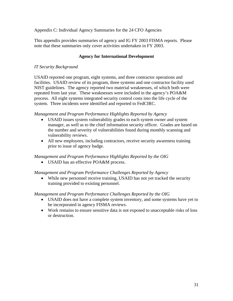Appendix C: Individual Agency Summaries for the 24 CFO Agencies

This appendix provides summaries of agency and IG FY 2003 FISMA reports. Please note that these summaries only cover activities undertaken in FY 2003.

## **Agency for International Development**

#### *IT Security Background*

USAID reported one program, eight systems, and three contractor operations and facilities. USAID review of its program, three systems and one contractor facility used NIST guidelines. The agency reported two material weaknesses, of which both were repeated from last year. These weaknesses were included in the agency's POA&M process. All eight systems integrated security control costs into the life cycle of the system. Three incidents were identified and reported to FedCIRC.

#### *Management and Program Performance Highlights Reported by Agency*

- USAID issues system vulnerability grades to each system owner and system manager, as well as to the chief information security officer. Grades are based on the number and severity of vulnerabilities found during monthly scanning and vulnerability reviews.
- All new employees, including contractors, receive security awareness training prior to issue of agency badge.

## *Management and Program Performance Highlights Reported by the OIG*

• USAID has an effective POA&M process.

#### *Management and Program Performance Challenges Reported by Agency*

• While new personnel receive training, USAID has not yet tracked the security training provided to existing personnel.

#### *Management and Program Performance Challenges Reported by the OIG*

- USAID does not have a complete system inventory, and some systems have yet to be incorporated in agency FISMA reviews.
- Work remains to ensure sensitive data is not exposed to unacceptable risks of loss or destruction.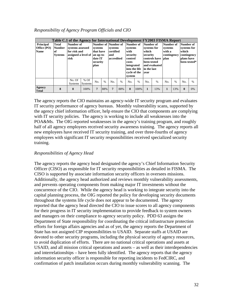| Responsibility of Agency Program Officials and CIO |  |  |  |  |  |
|----------------------------------------------------|--|--|--|--|--|
|----------------------------------------------------|--|--|--|--|--|

|                                                |                                                | Table C.1 of the Agency for International Development FY2003 FISMA Report              |                          |                                                     |               |                                                                  |      |                                                                                                                       |       |                                                                                     |                                |                                                              |               |                                                                                |      |
|------------------------------------------------|------------------------------------------------|----------------------------------------------------------------------------------------|--------------------------|-----------------------------------------------------|---------------|------------------------------------------------------------------|------|-----------------------------------------------------------------------------------------------------------------------|-------|-------------------------------------------------------------------------------------|--------------------------------|--------------------------------------------------------------|---------------|--------------------------------------------------------------------------------|------|
| <b>Principal</b><br>Office (PO)<br><b>Name</b> | Total<br><b>Number</b><br>of<br><b>Systems</b> | Number of<br>systems assessed<br>for risk and<br>assigned a level of an up-to-<br>risk |                          | systems<br>that have<br>date IT<br>security<br>plan |               | Number of Number of<br>systems<br>certified<br>and<br>accredited |      | Number of<br>systems<br>with<br>security<br>control<br>costs<br>integrated<br>into the life<br>cycle of the<br>system |       | Number of<br>systems for<br>which<br>security<br>been tested<br>in the last<br>vear | controls have<br>and evaluated | Number of<br>systems<br>with a<br>contingency<br><b>blan</b> |               | Number of<br>systems for<br>which<br>contingency<br>plans have<br>been tested* |      |
|                                                |                                                | No. Of<br><b>Systems</b>                                                               | $%$ Of<br><b>Systems</b> | No.                                                 | $\frac{0}{0}$ | No.                                                              | $\%$ | No.                                                                                                                   | $\%$  | No.                                                                                 | $\%$                           | No.                                                          | $\frac{0}{0}$ | No.                                                                            | $\%$ |
| Agency<br><b>Total</b>                         | 8                                              | 8                                                                                      | 100%                     | $\overline{7}$                                      | 88%           | $\overline{7}$                                                   | 88%  | 8                                                                                                                     | 100\% | $\mathbf{1}$                                                                        | 13%                            | $\mathbf{1}$                                                 | 13%           | $\mathbf{0}$                                                                   | 0%   |

The agency reports the CIO maintains an agency-wide IT security program and evaluates IT security performance of agency bureaus. Monthly vulnerability scans, supported by the agency chief information officer, help ensure the CIO that components are complying with IT security policies. The agency is working to include all weaknesses into the POA&Ms. The OIG reported weaknesses in the agency's training program, and roughly half of all agency employees received security awareness training. The agency reports all new employees have received IT security training, and over three-fourths of agency employees with significant IT security responsibilities received specialized security training.

## *Responsibilities of Agency Head*

The agency reports the agency head designated the agency's Chief Information Security Officer (CISO) as responsible for IT security responsibilities as detailed in FISMA. The CISO is supported by associate information security officers in oversees missions. Additionally, the agency head authorized and reviews monthly vulnerability assessments, and prevents operating components from making major IT investments without the concurrence of the CIO. While the agency head is working to integrate security into the capital planning process, the OIG reported the policy for developing security documents throughout the systems life cycle does not appear to be documented. The agency reported that the agency head directed the CIO to issue scores to all agency components for their progress in IT security implementation to provide feedback to system owners and managers on their compliance to agency security policy. PDD 63 assigns the Department of State responsibility for coordinating the critical infrastructure protection efforts for foreign affairs agencies and as of yet, the agency reports the Department of State has not assigned CIP responsibilities to USAID. Separate staffs at USAID are devoted to other security programs, including the physical security of agency resources, to avoid duplication of efforts. There are no national critical operations and assets at USAID, and all mission critical operations and assets – as well as their interdependencies and interrelationships – have been fully identified. The agency reports that the agency information security officer is responsible for reporting incidents to FedCIRC, and confirmation of patch installation occurs during monthly vulnerability scanning. The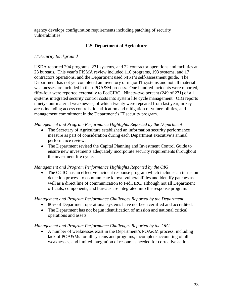agency develops configuration requirements including patching of security vulnerabilities.

## **U.S. Department of Agriculture**

## *IT Security Background*

USDA reported 204 programs, 271 systems, and 22 contractor operations and facilities at 23 bureaus. This year's FISMA review included 116 programs, 193 systems, and 17 contractors operations, and the Department used NIST's self-assessment guide. The Department has not yet completed an inventory of major IT systems and not all material weaknesses are included in their POA&M process. One hundred incidents were reported, fifty-four were reported externally to FedCIRC. Ninety-two percent (249 of 271) of all systems integrated security control costs into system life cycle management. OIG reports ninety-four material weaknesses, of which twenty were repeated from last year, in key areas including access controls, identification and mitigation of vulnerabilities, and management commitment in the Department's IT security program.

#### *Management and Program Performance Highlights Reported by the Department*

- The Secretary of Agriculture established an information security performance measure as part of consideration during each Department executive's annual performance review.
- The Department revised the Capital Planning and Investment Control Guide to ensure new investments adequately incorporate security requirements throughout the investment life cycle.

## *Management and Program Performance Highlights Reported by the OIG*

• The OCIO has an effective incident response program which includes an intrusion detection process to communicate known vulnerabilities and identify patches as well as a direct line of communication to FedCIRC, although not all Department officials, components, and bureaus are integrated into the response program.

#### *Management and Program Performance Challenges Reported by the Department*

- 80% of Department operational systems have not been certified and accredited.
- The Department has not begun identification of mission and national critical operations and assets.

#### *Management and Program Performance Challenges Reported by the OIG*

• A number of weaknesses exist in the Department's POA&M process, including lack of POA&Ms for all systems and programs, incomplete accounting of all weaknesses, and limited integration of resources needed for corrective action.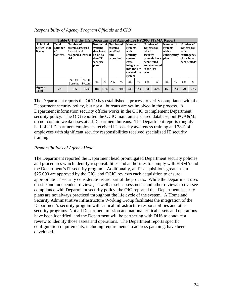| Responsibility of Agency Program Officials and CIO |  |  |  |  |
|----------------------------------------------------|--|--|--|--|
|----------------------------------------------------|--|--|--|--|

|                                                |                                                 | Table C.1 of the U.S. Department of Agriculture FY2003 FISMA Report          |                          |                                                                  |               |                                                                  |               |                                                                                                                       |      |                                                                                     |                                |                                                              |      |                                                                |               |
|------------------------------------------------|-------------------------------------------------|------------------------------------------------------------------------------|--------------------------|------------------------------------------------------------------|---------------|------------------------------------------------------------------|---------------|-----------------------------------------------------------------------------------------------------------------------|------|-------------------------------------------------------------------------------------|--------------------------------|--------------------------------------------------------------|------|----------------------------------------------------------------|---------------|
| <b>Principal</b><br>Office (PO)<br><b>Name</b> | Total<br><b>Number</b><br>'of<br><b>Systems</b> | Number of<br>systems assessed<br>for risk and<br>assigned a level of<br>risk |                          | systems<br>that have<br>an up-to-<br>date IT<br>security<br>plan |               | Number of Number of<br>systems<br>certified<br>and<br>accredited |               | Number of<br>systems<br>with<br>security<br>control<br>costs<br>integrated<br>into the life<br>cycle of the<br>system |      | Number of<br>systems for<br>which<br>security<br>been tested<br>in the last<br>vear | controls have<br>and evaluated | Number of<br>systems<br>with a<br>contingency<br><b>plan</b> |      | Number of<br>systems for<br>which<br>contingency<br>plans have | been tested*  |
|                                                |                                                 | No. Of<br><b>Systems</b>                                                     | $%$ Of<br><b>Systems</b> | No.                                                              | $\frac{0}{0}$ | No.                                                              | $\frac{0}{0}$ | No.                                                                                                                   | $\%$ | No.                                                                                 | $\frac{0}{0}$                  | No.                                                          | $\%$ | N <sub>0</sub>                                                 | $\frac{0}{0}$ |
| Agency<br><b>Total</b>                         | 271                                             | 196                                                                          | 85%                      | 182                                                              | 86%           | 37                                                               | 20%           | 249                                                                                                                   | 92%  | 83                                                                                  | 47%                            | 155                                                          | 62%  | 79                                                             | 39%           |

The Department reports the OCIO has established a process to verify compliance with the Department security policy, but not all bureaus are yet involved in the process. A Department information security officer works in the OCIO to implement Department security policy. The OIG reported the OCIO maintains a shared database, but POA&Ms do not contain weaknesses at all Department bureaus. The Department reports roughly half of all Department employees received IT security awareness training and 78% of employees with significant security responsibilities received specialized IT security training.

## *Responsibilities of Agency Head*

The Department reported the Department head promulgated Department security policies and procedures which identify responsibilities and authorities to comply with FISMA and the Department's IT security program. Additionally, all IT acquisitions greater than \$25,000 are approved by the CIO, and OCIO reviews each acquisition to ensure appropriate IT security considerations are part of the process. While the Department uses on-site and independent reviews, as well as self-assessments and other reviews to oversee compliance with Department security policy, the OIG reported that Department security plans are not always practiced throughout the life cycle of the system. A Homeland Security Administrative Infrastructure Working Group facilitates the integration of the Department's security program with critical infrastructure responsibilities and other security programs. Not all Department mission and national critical assets and operations have been identified, and the Department will be partnering with DHS to conduct a review to identify those assets and operations. The Department reports specific configuration requirements, including requirements to address patching, have been developed.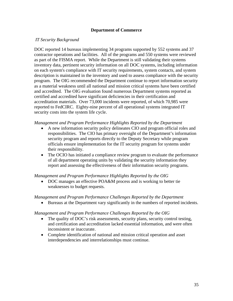#### **Department of Commerce**

#### *IT Security Background*

DOC reported 14 bureaus implementing 34 programs supported by 552 systems and 37 contractor operations and facilities. All of the programs and 550 systems were reviewed as part of the FISMA report. While the Department is still validating their systems inventory data, pertinent security information on all DOC systems, including information on each system's compliance with IT security requirements, system contacts, and system description is maintained in the inventory and used to assess compliance with the security program. The OIG recommended the Department continue to report information security as a material weakness until all national and mission critical systems have been certified and accredited. The OIG evaluation found numerous Department systems reported as certified and accredited have significant deficiencies in their certification and accreditation materials. Over 73,000 incidents were reported, of which 70,985 were reported to FedCIRC. Eighty-nine percent of all operational systems integrated IT security costs into the system life cycle.

#### *Management and Program Performance Highlights Reported by the Department*

- A new information security policy delineates CIO and program official roles and responsibilities. The CIO has primary oversight of the Department's information security program and reports directly to the Deputy Secretary while program officials ensure implementation for the IT security program for systems under their responsibility.
- The OCIO has initiated a compliance review program to evaluate the performance of all department operating units by validating the security information they report and assessing the effectiveness of their information security programs.

#### *Management and Program Performance Highlights Reported by the OIG*

• DOC manages an effective POA&M process and is working to better tie weaknesses to budget requests.

#### *Management and Program Performance Challenges Reported by the Department*

• Bureaus at the Department vary significantly in the numbers of reported incidents.

#### *Management and Program Performance Challenges Reported by the OIG*

- The quality of DOC's risk assessments, security plans, security control testing, and certification and accreditation lacked essential information, and were often inconsistent or inaccurate.
- Complete identification of national and mission critical operation and asset interdependencies and interrelationships must continue.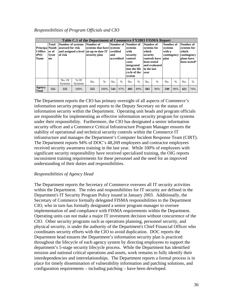## *Responsibilities of Program Officials and CIO*

| Principa Numb<br>1 Office<br><b>(PO)</b><br><b>Name</b> | <b>Total</b><br>er of<br><b>Syste</b><br>ms | of risk        | Table C.1 of the Department of Commerce FY2003 FISMA Report<br><b>Number of systems</b><br>assessed for risk<br>and assigned a level an up-to-date IT<br>No. Of<br>$%$ Of<br><b>Systems</b><br>555<br>100% |     | Number of<br>systems that have systems<br>security plan | certified<br>land<br>accredited |      | Number of Number of<br>systems<br>with<br>security<br>control<br>costs<br>integrated<br>into the life<br>cycle of the<br>system |      | Number of<br>systems for<br>which<br>security<br>been tested<br>in the last<br>vear | controls have<br>and evaluated | Number of<br>systems<br>with a<br>contingency<br><b>blan</b> |      | Number of<br>systems for<br>which<br>contingency<br>plans have | been tested* |
|---------------------------------------------------------|---------------------------------------------|----------------|------------------------------------------------------------------------------------------------------------------------------------------------------------------------------------------------------------|-----|---------------------------------------------------------|---------------------------------|------|---------------------------------------------------------------------------------------------------------------------------------|------|-------------------------------------------------------------------------------------|--------------------------------|--------------------------------------------------------------|------|----------------------------------------------------------------|--------------|
|                                                         |                                             | <b>Systems</b> |                                                                                                                                                                                                            | No. | $\%$                                                    | No.                             | $\%$ | No.                                                                                                                             | $\%$ | No.                                                                                 | $\%$                           | No.                                                          | $\%$ | No.                                                            | $\%$         |
| Agency<br><b>Total</b>                                  | 555                                         |                |                                                                                                                                                                                                            | 555 | 100%                                                    | 541                             | 97%  | 495                                                                                                                             | 89%  | 502                                                                                 | 90%                            | 549                                                          | 99%  | 421                                                            | 76%          |

The Department reports the CIO has primary oversight of all aspects of Commerce's information security program and reports to the Deputy Secretary on the status of information security within the Department. Operating unit heads and program officials are responsible for implementing an effective information security program for systems under their responsibility. Furthermore, the CIO has designated a senior information security officer and a Commerce Critical Infrastructure Program Manager ensures the stability of operational and technical security controls within the Commerce IT infrastructure and manages the Department's Computer Incident Response Team (CIRT). The Department reports 94% of DOC's 48,269 employees and contractor employees received security awareness training in the last year. While 100% of employees with significant security responsibility have received specialized training, the OIG reports inconsistent training requirements for these personnel and the need for an improved understanding of their duties and responsibilities.

#### *Responsibilities of Agency Head*

The Department reports the Secretary of Commerce oversees all IT security activities within the Department. The roles and responsibilities for IT security are defined in the Department's IT Security Program Policy issued in January 2003. Additionally, the Secretary of Commerce formally delegated FISMA responsibilities to the Department CIO, who in turn has formally designated a senior program manager to oversee implementation of and compliance with FISMA requirements within the Department. Operating units can not make a major IT investment decision without concurrence of the CIO. Other security programs such as operations planning, personnel security, and physical security, is under the authority of the Department's Chief Financial Officer who coordinates security efforts with the CIO to avoid duplication. DOC reports the Department head ensures the Department's information security plan is practiced throughout the lifecycle of each agency system by directing employees to support the department's 5-stage security lifecycle process. While the Department has identified mission and national critical operations and assets, work remains to fully identify their interdependencies and interrelationships. The Department reports a formal process is in place for timely dissemination of vulnerability information and patching solutions, and configuration requirements – including patching – have been developed.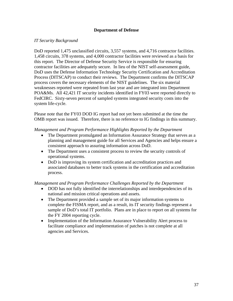### **Department of Defense**

### *IT Security Background*

DoD reported 1,475 unclassified circuits, 3,557 systems, and 4,716 contractor facilities. 1,458 circuits, 378 systems, and 4,000 contractor facilities were reviewed as a basis for this report. The Director of Defense Security Service is responsible for ensuring contractor facilities are adequately secure. In lieu of the NIST self-assessment guide, DoD uses the Defense Information Technology Security Certification and Accreditation Process (DITSCAP) to conduct their reviews. The Department confirms the DITSCAP process covers the necessary elements of the NIST guidelines. The six material weaknesses reported were repeated from last year and are integrated into Department POA&Ms. All 42,421 IT security incidents identified in FY03 were reported directly to FedCIRC. Sixty-seven percent of sampled systems integrated security costs into the system life-cycle.

Please note that the FY03 DOD IG report had not yet been submitted at the time the OMB report was issued. Therefore, there is no reference to IG findings in this summary.

*Management and Program Performance Highlights Reported by the Department* 

- The Department promulgated an Information Assurance Strategy that serves as a planning and management guide for all Services and Agencies and helps ensure a consistent approach to assuring information across DoD.
- The Department uses a consistent process to review the security controls of operational systems.
- DoD is improving its system certification and accreditation practices and associated databases to better track systems in the certification and accreditation process.

- DOD has not fully identified the interrelationships and interdependencies of its national and mission critical operations and assets.
- The Department provided a sample set of its major information systems to complete the FISMA report, and as a result, its IT security findings represent a sample of DoD's total IT portfolio. Plans are in place to report on all systems for the FY 2004 reporting cycle.
- Implementation of the Information Assurance Vulnerability Alert process to facilitate compliance and implementation of patches is not complete at all agencies and Services.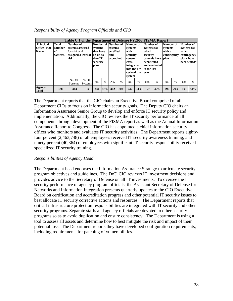| Responsibility of Agency Program Officials and CIO |  |  |  |  |
|----------------------------------------------------|--|--|--|--|
|----------------------------------------------------|--|--|--|--|

| <b>Principal</b><br>Office (PO)<br><b>Name</b> | <b>Total</b><br><b>Number</b><br>l of<br><b>Systems</b> | Number of<br>systems assessed<br>for risk and<br>assigned a level of<br>risk |                          | plan       | Table C.1 of the Department of Defense FY2003 FISMA Report<br>Number of Number of<br>systems<br>that have<br>an up-to-<br>date IT<br>security<br>$\frac{0}{0}$<br>No. |     | systems<br>certified<br>with<br>and<br>accredited<br>costs |     | Number of<br>systems<br>security<br>control<br>integrated<br>into the life<br>cycle of the<br>system | Number of<br>systems for<br>which<br>security<br>been tested<br>in the last<br>vear | controls have<br>and evaluated | Number of<br>systems<br>with a<br>contingency<br><b>blan</b> |      | Number of<br>systems for<br>which<br>contingency<br>plans have | been tested*  |
|------------------------------------------------|---------------------------------------------------------|------------------------------------------------------------------------------|--------------------------|------------|-----------------------------------------------------------------------------------------------------------------------------------------------------------------------|-----|------------------------------------------------------------|-----|------------------------------------------------------------------------------------------------------|-------------------------------------------------------------------------------------|--------------------------------|--------------------------------------------------------------|------|----------------------------------------------------------------|---------------|
|                                                |                                                         | No. Of<br><b>Systems</b>                                                     | $%$ Of<br><b>Systems</b> |            |                                                                                                                                                                       | No. | $\frac{0}{6}$                                              | No. | $\%$                                                                                                 | No.                                                                                 | $\frac{0}{0}$                  | No.                                                          | $\%$ | N <sub>0</sub>                                                 | $\frac{0}{0}$ |
| Agency<br><b>Total</b>                         | 378                                                     | 343                                                                          | 91%                      | 88%<br>334 |                                                                                                                                                                       | 302 | 80%                                                        | 242 | 64%                                                                                                  | 157                                                                                 | 42%                            | 299                                                          | 79%  | 191                                                            | 51%           |

The Department reports that the CIO chairs an Executive Board comprised of all Department CIOs to focus on information security goals. The Deputy CIO chairs an Information Assurance Senior Group to develop and enforce IT security policy and implementation. Additionally, the CIO reviews the IT security performance of all components through development of the FISMA report as well as the Annual Information Assurance Report to Congress. The CIO has appointed a chief information security officer who monitors and evaluates IT security activities. The Department reports eightyfour percent (2,463,748) of all employees received IT security awareness training, and ninety percent (40,364) of employees with significant IT security responsibility received specialized IT security training.

## *Responsibilities of Agency Head*

The Department head endorses the Information Assurance Strategy to articulate security program objectives and guidelines. The DoD CIO reviews IT investment decisions and provides advice to the Secretary of Defense on all IT investments. To oversee the IT security performance of agency program officials, the Assistant Secretary of Defense for Networks and Information Integration presents quarterly updates to the CIO Executive Board on certification and accreditation progress and other potential IT security issues to best allocate IT security corrective actions and resources. The Department reports that critical infrastructure protection responsibilities are integrated with IT security and other security programs. Separate staffs and agency officials are devoted to other security programs so as to avoid duplication and ensure consistency. The Department is using a tool to assess all assets and determine how to best mitigate the risk and impact of their potential loss. The Department reports they have developed configuration requirements, including requirements for patching of vulnerabilities.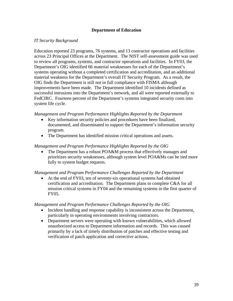## **Department of Education**

### *IT Security Background*

Education reported 23 programs, 76 systems, and 13 contractor operations and facilities across 23 Principal Offices at the Department. The NIST self-assessment guide was used to review all programs, systems, and contractor operations and facilities. In FY03, the Department's OIG identified 66 material weaknesses for each of the Department's systems operating without a completed certification and accreditation, and an additional material weakness for the Department's overall IT Security Program. As a result, the OIG finds the Department is still not in full compliance with FISMA although improvements have been made. The Department identified 10 incidents defined as successful intrusions into the Department's network, and all were reported externally to FedCIRC. Fourteen percent of the Department's systems integrated security costs into system life cycle.

#### *Management and Program Performance Highlights Reported by the Department*

- Key information security policies and procedures have been finalized, documented, and disseminated to support the Department's information security program.
- The Department has identified mission critical operations and assets.

#### *Management and Program Performance Highlights Reported by the OIG*

The Department has a robust POA&M process that effectively manages and prioritizes security weaknesses, although system level POA&Ms can be tied more fully to system budget requests.

#### *Management and Program Performance Challenges Reported by the Department*

• At the end of FY03, ten of seventy-six operational systems had obtained certification and accreditation. The Department plans to complete C&A for all mission critical systems in FY04 and the remaining systems in the first quarter of FY05.

- Incident handling and response capability is inconsistent across the Department, particularly in operating environments involving contractors.
- Department servers were operating with known vulnerabilities, which allowed unauthorized access to Department information and records. This was caused primarily by a lack of timely distribution of patches and effective testing and verification of patch application and corrective actions.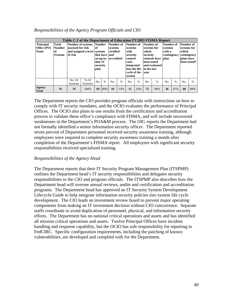| <b>Principal</b><br><b>Office</b> (PO)<br><b>Name</b> | <b>Total</b><br><b>Number</b><br>lof.<br><b>Systems</b> | of risk                  | Table C.1 of the Department of Education FY2003 FISMA Report<br>Number of systems Number Number of<br>assessed for risk<br><b>of</b><br>and assigned a level systems<br>plan<br>$%$ Of<br>No.<br><b>Systems</b> |      | systems<br>certified<br>that have land<br>an up-to- accredited<br>date IT<br>security |     |      | Number of<br>systems<br>with<br>security<br>control<br>costs<br>integrated<br>into the life<br>cycle of the<br>system |      | Number of<br>systems for<br>which<br>security<br>been tested<br>in the last<br>vear | controls have   plan<br>and evaluated | Number of<br>systems<br>with a<br>contingency |               | Number of<br>systems for<br>which<br>contingency<br>plans have | been tested* |
|-------------------------------------------------------|---------------------------------------------------------|--------------------------|-----------------------------------------------------------------------------------------------------------------------------------------------------------------------------------------------------------------|------|---------------------------------------------------------------------------------------|-----|------|-----------------------------------------------------------------------------------------------------------------------|------|-------------------------------------------------------------------------------------|---------------------------------------|-----------------------------------------------|---------------|----------------------------------------------------------------|--------------|
|                                                       |                                                         | No. Of<br><b>Systems</b> |                                                                                                                                                                                                                 | $\%$ |                                                                                       | No. | $\%$ | No.                                                                                                                   | $\%$ | No.                                                                                 | $\%$                                  | No.                                           | $\frac{0}{0}$ | No.                                                            | $\%$         |
| Agency<br><b>Total</b>                                | 76                                                      | 76                       | 100%                                                                                                                                                                                                            | 69   | 90%                                                                                   | 10  | 13%  | 11                                                                                                                    | 14%  | 75                                                                                  | 99%                                   | 36                                            | 47%           | 68                                                             | 89%          |

#### *Responsibilities of the Agency Program Officials and CIO*

The Department reports the CIO provides program officials with instructions on how to comply with IT security mandates, and the OCIO evaluates the performance of Principal Offices. The OCIO also plans to use results from the certification and accreditation process to validate these office's compliance with FISMA, and will include uncovered weaknesses in the Department's POA&M process. The OIG reports the Department had not formally identified a senior information security officer. The Department reported seven percent of Department personnel received security awareness training, although employees were required to complete security awareness training a month after completion of the Department's FISMA report. All employees with significant security responsibilities received specialized training.

## *Responsibilities of the Agency Head*

The Department reports that their IT Security Program Management Plan (ITSPMP) outlines the Department head's IT security responsibilities and delegates security responsibilities to the CIO and program officials. The ITSPMP also describes how the Department head will oversee annual reviews, audits and certification and accreditation programs. The Department head has approved an IT Security System Development Lifecycle Guide to help integrate information security policies into system life cycle development. The CIO leads an investment review board to prevent major operating components from making an IT investment decision without CIO concurrence. Separate staffs coordinate to avoid duplication of personnel, physical, and information security efforts. The Department has no national critical operations and assets and has identified all mission critical operations and assets. Twelve Principal Offices have incident handling and response capability, but the OCIO has sole responsibility for reporting to FedCIRC. Specific configuration requirements, including the patching of known vulnerabilities, are developed and complied with for the Department.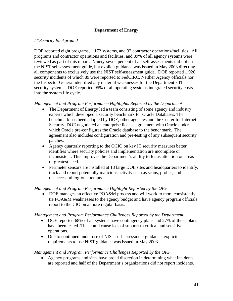## **Department of Energy**

### *IT Security Background*

DOE reported eight programs, 1,172 systems, and 32 contractor operations/facilities. All programs and contractor operations and facilities, and 89% of all agency systems were reviewed as part of this report. Ninety-seven percent of all self-assessments did not use the NIST self-assessment guide, but explicit guidance was issued in May 2003 directing all components to exclusively use the NIST self-assessment guide. DOE reported 1,926 security incidents of which 89 were reported to FedCIRC. Neither Agency officials nor the Inspector General identified any material weaknesses for the Department's IT security systems. DOE reported 95% of all operating systems integrated security costs into the system life cycle.

### *Management and Program Performance Highlights Reported by the Department*

- The Department of Energy led a team consisting of some agency and industry experts which developed a security benchmark for Oracle Databases. The benchmark has been adopted by DOE, other agencies and the Center for Internet Security. DOE negotiated an enterprise license agreement with Oracle under which Oracle pre-configures the Oracle database to the benchmark. The agreement also includes configuration and pre-testing of any subsequent security patches.
- Agency quarterly reporting to the OCIO on key IT security measures better identifies where security policies and implementation are incomplete or inconsistent. This improves the Department's ability to focus attention on areas of greatest need.
- Perimeter sensors are installed at 18 large DOE sites and headquarters to identify, track and report potentially malicious activity such as scans, probes, and unsuccessful log-on attempts.

#### *Management and Program Performance Highlight Reported by the OIG*

• DOE manages an effective POA&M process and will work to more consistently tie POA&M weaknesses to the agency budget and have agency program officials report to the CIO on a more regular basis.

#### *Management and Program Performance Challenges Reported by the Department*

- DOE reported 68% of all systems have contingency plans and 27% of those plans have been tested. This could cause loss of support to critical and sensitive operations.
- Due to continued under use of NIST self-assessment guidance, explicit requirements to use NIST guidance was issued in May 2003.

#### *Management and Program Performance Challenges Reported by the OIG*

• Agency programs and sites have broad discretion in determining what incidents are reported and half of the Department's organizations did not report incidents.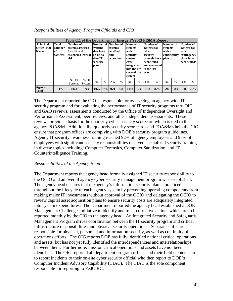| Responsibilities of Agency Program Officials and CIO |  |  |  |  |
|------------------------------------------------------|--|--|--|--|
|------------------------------------------------------|--|--|--|--|

| <b>Principal</b><br>Office (PO)<br><b>Name</b> | Total<br><b>Number</b><br><b>of</b><br><b>Systems</b> | Number of<br>systems assessed<br>for risk and<br>assigned a level of<br>risk |                          | Table C.1 of the Department of Energy FY2003 FISMA Report<br>Number of Number of<br>systems<br>that have<br>an up-to-<br>date IT<br>security<br>plan<br>$\frac{0}{0}$<br>No.<br>1075 92% |  | systems<br>certified<br>and<br>accredited |      | Number of<br>systems<br>with<br>security<br>control<br>costs<br>integrated<br>into the life<br>cycle of the<br>system |      | Number of<br>systems for<br>which<br>security<br>been tested<br>in the last<br>vear | controls have<br>and evaluated | Number of<br>systems<br>with a<br>contingency<br><b>blan</b> |               | Number of<br>systems for<br>which<br>contingency<br>plans have | been tested*  |
|------------------------------------------------|-------------------------------------------------------|------------------------------------------------------------------------------|--------------------------|------------------------------------------------------------------------------------------------------------------------------------------------------------------------------------------|--|-------------------------------------------|------|-----------------------------------------------------------------------------------------------------------------------|------|-------------------------------------------------------------------------------------|--------------------------------|--------------------------------------------------------------|---------------|----------------------------------------------------------------|---------------|
|                                                |                                                       | No. Of<br><b>Systems</b>                                                     | $%$ Of<br><b>Systems</b> |                                                                                                                                                                                          |  | No.                                       | $\%$ | No.                                                                                                                   | $\%$ | No.                                                                                 | $\frac{0}{0}$                  | No.                                                          | $\frac{0}{0}$ | No.                                                            | $\frac{0}{0}$ |
| Agency<br><b>Total</b>                         | 1172                                                  | 1041                                                                         | 89%                      |                                                                                                                                                                                          |  | 970                                       | 83%  | 1112                                                                                                                  | 95%  | 1014                                                                                | 87%                            | 792                                                          | 68%           | 316                                                            | 27%           |

The Department reported the CIO is responsible for overseeing an agency-wide IT security program and for evaluating the performance of IT security programs thru OIG and GAO reviews, assessments conducted by the Office of Independent Oversight and Performance Assessment, peer reviews, and other independent assessments. These reviews provide a basis for the quarterly cyber-security scorecard which is tied to the agency POA&M. Additionally, quarterly security scorecards and POA&Ms help the CIO ensure that program offices are complying with DOE's security program guidelines. Agency IT security awareness training reached 92% of agency employees and 95% of employees with significant security responsibilities received specialized security training in diverse topics including: Computer Forensics, Computer Sanitization, and IT Counterintelligence Training.

## *Responsibilities of the Agency Head*

The Department reports the agency head formally assigned IT security responsibility to the OCIO and an overall agency cyber security management program was established. The agency head ensures that the agency's information security plan is practiced throughout the lifecycle of each agency system by preventing operating components from making major IT investments without approval of the OCIO and delegating the OCIO to review capital asset acquisition plans to ensure security costs are adequately integrated into system expenditures. The Department reported the agency head established a DOE Management Challenges initiative to identify and track corrective actions which are to be reported monthly by the CIO to the agency head. An Integrated Security and Safeguards Management Program drives coordination between the IT security program and critical infrastructure responsibilities and physical security operations. Separate staffs are responsible for physical, personnel and information security, as well as continuity of operations efforts. The OIG reports DOE has fully identified national critical operations and assets, but has not yet fully identified the interdependencies and interrelationships between them. Furthermore, mission critical operations and assets have not been identified. The OIG reported all department program offices and their field elements are to report incidents to their on-site cyber security official who then report to DOE's Computer Incident Advisory Capability (CIAC). The CIAC is the sole component responsible for reporting to FedCIRC.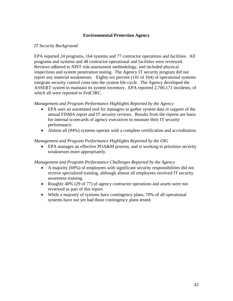# **Environmental Protection Agency**

### *IT Security Background*

EPA reported 24 programs, 164 systems and 77 contractor operations and facilities. All programs and systems and 48 contractor operational and facilities were reviewed. Reviews adhered to NIST risk-assessment methodology, and included physical inspections and system penetration testing. The Agency IT security program did not report any material weaknesses. Eighty-six percent (141 of 164) of operational systems integrate security control costs into the system life cycle. The Agency developed the ASSERT system to maintain its system inventory. EPA reported 2,700,171 incidents, of which all were reported to FedCIRC.

### *Management and Program Performance Highlights Reported by the Agency*

- EPA uses an automated tool for managers to gather system data in support of the annual FISMA report and IT security reviews. Results from the reports are basis for internal scorecards of agency executives to measure their IT security performance.
- Almost all (94%) systems operate with a complete certification and accreditation.

### *Management and Program Performance Highlights Reported by the OIG*

• EPA manages an effective POA&M process, and is working to prioritize security weaknesses more appropriately.

- A majority (69%) of employees with significant security responsibilities did not receive specialized training, although almost all employees received IT security awareness training.
- Roughly 40% (29 of 77) of agency contractor operations and assets were not reviewed as part of this report.
- While a majority of systems have contingency plans, 70% of all operational systems have not yet had those contingency plans tested.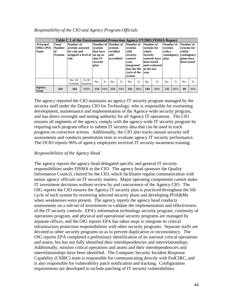| Responsibility of the CIO and Agency Program Officials |  |  |  |  |  |
|--------------------------------------------------------|--|--|--|--|--|
|--------------------------------------------------------|--|--|--|--|--|

|                                 |                        |                                             |                          |      |                                                                                                |         |                                         | Table C.1 of the Environmental Protection Agency FY2003 FISMA Report |                                                                              |                                                         |                                |                                      |      |                                                   |      |
|---------------------------------|------------------------|---------------------------------------------|--------------------------|------|------------------------------------------------------------------------------------------------|---------|-----------------------------------------|----------------------------------------------------------------------|------------------------------------------------------------------------------|---------------------------------------------------------|--------------------------------|--------------------------------------|------|---------------------------------------------------|------|
| <b>Principal</b><br>Office (PO) | Total<br><b>Number</b> | Number of<br>systems assessed               |                          |      |                                                                                                | systems |                                         | Number of<br>systems<br>with                                         |                                                                              | Number of<br>systems for                                |                                | Number of<br>systems                 |      | Number of<br>systems for                          |      |
| <b>Name</b>                     | l of<br><b>Systems</b> | for risk and<br>assigned a level of<br>risk |                          | plan | Number of Number of<br>systems<br>that have<br>an up-to-<br>date IT<br>security<br>$\%$<br>No. |         | certified<br>and<br>accredited<br>costs |                                                                      | security<br>control<br>integrated<br>into the life<br>cycle of the<br>system | which<br>security<br>been tested<br>in the last<br>vear | controls have<br>and evaluated | with a<br>contingency<br><b>blan</b> |      | which<br>contingency<br>plans have<br>been tested |      |
|                                 |                        | No. Of<br><b>Systems</b>                    | $%$ Of<br><b>Systems</b> |      |                                                                                                | No.     | $\%$                                    | No.                                                                  | $\%$                                                                         | No.                                                     | $\frac{0}{0}$                  | No.                                  | $\%$ | No.                                               | $\%$ |
| Agency<br><b>Total</b>          | 164                    | 164                                         | 154<br>100%<br>94%       |      | 154                                                                                            | 94%     | 141                                     | 86%                                                                  | 144                                                                          | 88%                                                     | 132                            | 80%                                  | 49   | 30%                                               |      |

The agency reported the CIO maintains an agency IT security program managed by the security staff under the Deputy CIO for Technology, who is responsible for overseeing development, maintenance and implementation of the Agency-wide security program, and has direct oversight and testing authority for all Agency IT operations. The CIO ensures all segments of the agency comply with the agency-wide IT security program by requiring each program office to submit IT security data that can be used to track progress on corrective actions. Additionally, the CIO also tracks annual security self assessments and conducts penetration tests to evaluate agency IT security performance. The OCIO reports 96% of agency employees received IT security awareness training.

# *Responsibilities of the Agency Head*

The agency reports the agency head delegated specific and general IT security responsibilities under FISMA to the CIO. The agency head sponsors the Quality Information Council, chaired by the CIO, which facilitates regular communication with senior agency officials on IT security matters. Major operating components cannot make IT investment decisions without review by and concurrence of the Agency CIO. The OIG reports the CIO ensures the Agency IT security plan is practiced throughout the life cycle of each system by reviewing selected security plans and developing POA&Ms when weaknesses were present. The agency reports the agency head conducts assessments on a sub-set of investments to validate the implementation and effectiveness of the IT security controls. EPA's information technology security program, continuity of operations program, and physical and operational security programs are managed by separate offices, and the OIG reports EPA has taken steps to integrate its critical infrastructure protection responsibilities with other security programs. Separate staffs are devoted to other security programs so as to prevent duplication or inconsistency. The OIG reports EPA completed a preliminary identification of its national critical operations and assets, but has not fully identified their interdependencies and interrelationships. Additionally, mission critical operations and assets and their interdependencies and interrelationships have been identified. The Computer Security Incident Response Capability (CSIRC) team is responsible for communicating directly with FedCIRC, and is also responsible for vulnerability patch notification and tracking. Configuration requirements are developed to include patching of IT security vulnerabilities.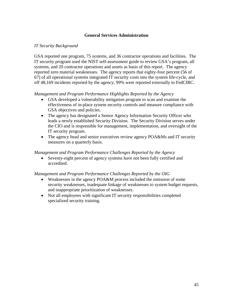## **General Services Administration**

### *IT Security Background*

GSA reported one program, 75 systems, and 36 contractor operations and facilities. The IT security program used the NIST self-assessment guide to review GSA's program, all systems, and 20 contractor operations and assets as basis of this report. The agency reported zero material weaknesses. The agency reports that eighty-four percent (56 of 67) of all operational systems integrated IT security costs into the system life-cycle, and off 48,169 incidents reported by the agency, 99% were reported externally to FedCIRC.

### *Management and Program Performance Highlights Reported by the Agency*

- GSA developed a vulnerability mitigation program to scan and examine the effectiveness of in-place system security controls and measure compliance with GSA objectives and policies.
- The agency has designated a Senior Agency Information Security Officer who leads a newly established Security Division. The Security Division serves under the CIO and is responsible for management, implementation, and oversight of the IT security program.
- The agency head and senior executives review agency POA&Ms and IT security measures on a quarterly basis.

### *Management and Program Performance Challenges Reported by the Agency*

• Seventy-eight percent of agency systems have not been fully certified and accredited.

- Weaknesses in the agency POA&M process included the omission of some security weaknesses, inadequate linkage of weaknesses to system budget requests, and inappropriate prioritization of weaknesses.
- Not all employees with significant IT security responsibilities completed specialized security training.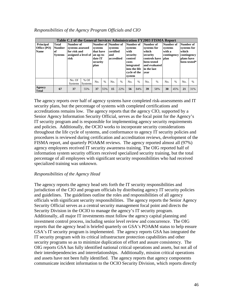| <b>Principal</b><br><b>Office</b> (PO)<br><b>Name</b> | Total<br><b>Number</b><br>l of<br><b>Systems</b> | Number of<br>systems assessed<br>for risk and<br>assigned a level of an up-to-<br>risk |                          | plan      | Table C.1 of the General Services Administration FY2003 FISMA Report<br>Number of Number of<br>systems<br>that have<br>and<br>date IT<br>security<br>$\%$<br>No. |     | systems<br>certified<br>accredited | Number of<br>systems<br>with<br>security<br>control<br>costs<br>integrated<br>into the life<br>cycle of the<br>system |               | Number of<br>systems for<br>which<br>security<br>been tested<br>in the last<br>vear | controls have  plan<br>and evaluated | Number of<br>systems<br>with a<br>contingency |               | Number of<br>systems for<br>which<br>contingency<br>plans have | been tested* |
|-------------------------------------------------------|--------------------------------------------------|----------------------------------------------------------------------------------------|--------------------------|-----------|------------------------------------------------------------------------------------------------------------------------------------------------------------------|-----|------------------------------------|-----------------------------------------------------------------------------------------------------------------------|---------------|-------------------------------------------------------------------------------------|--------------------------------------|-----------------------------------------------|---------------|----------------------------------------------------------------|--------------|
|                                                       |                                                  | No. Of<br><b>Systems</b>                                                               | $%$ Of<br><b>Systems</b> |           |                                                                                                                                                                  | No. | $\frac{0}{0}$                      | No.                                                                                                                   | $\frac{0}{0}$ | No.                                                                                 | $\frac{0}{0}$                        | No.                                           | $\frac{0}{6}$ | N <sub>0</sub>                                                 | $\%$         |
| Agency<br><b>Total</b>                                | 67                                               | 37                                                                                     | 55%                      | 37<br>55% |                                                                                                                                                                  | 15  | 22%                                | 56                                                                                                                    | 84%           | 39                                                                                  | 58%                                  | 30                                            | 45%           | 21                                                             | 31%          |

#### *Responsibilities of the Agency Program Officials and CIO*

The agency reports over half of agency systems have completed risk-assessments and IT security plans, but the percentage of systems with completed certifications and accreditations remains low. The agency reports that the agency CIO, supported by a Senior Agency Information Security Official, serves as the focal point for the Agency's IT security program and is responsible for implementing agency security requirements and policies. Additionally, the OCIO works to incorporate security considerations throughout the life cycle of systems, and conformance to agency IT security policies and procedures is reviewed during certification and accreditation reviews, development of the FISMA report, and quarterly POA&M reviews. The agency reported almost all (97%) agency employees received IT security awareness training. The OIG reported half of information system security officers received specialized security training, but the total percentage of all employees with significant security responsibilities who had received specialized training was unknown.

#### *Responsibilities of the Agency Head*

The agency reports the agency head sets forth the IT security responsibilities and jurisdiction of the CIO and program officials by distributing agency IT security policies and guidelines. The guidelines outline the roles and responsibilities of all agency officials with significant security responsibilities. The agency reports the Senior Agency Security Official serves as a central security management focal point and directs the Security Division in the OCIO to manage the agency's IT security program. Additionally, all major IT investments must follow the agency capital planning and investment control process, including senior level review and concurrence. The OIG reports that the agency head is briefed quarterly on GSA's POA&M status to help ensure GSA's IT security program is implemented. The agency reports GSA has integrated the IT security program with its critical infrastructure protection capabilities and other security programs so as to minimize duplication of effort and assure consistency. The OIG reports GSA has fully identified national critical operations and assets, but not all of their interdependencies and interrelationships. Additionally, mission critical operations and assets have not been fully identified. The agency reports that agency components communicate incident information to the OCIO Security Division, which reports directly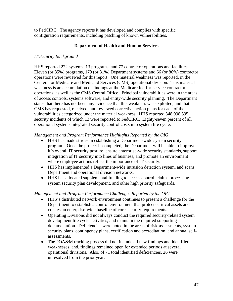to FedCIRC. The agency reports it has developed and complies with specific configuration requirements, including patching of known vulnerabilities.

### **Department of Health and Human Services**

### *IT Security Background*

HHS reported 222 systems, 13 programs, and 77 contractor operations and facilities. Eleven (or 85%) programs, 179 (or 81%) Department systems and 66 (or 86%) contractor operations were reviewed for this report. One material weakness was reported, in the Centers for Medicare and Medicaid Services (CMS) operational division. This material weakness is an accumulation of findings at the Medicare fee-for-service contractor operations, as well as the CMS Central Office. Principal vulnerabilities were in the areas of access controls, systems software, and entity-wide security planning. The Department states that there has not been any evidence that this weakness was exploited, and that CMS has requested, received, and reviewed corrective action plans for each of the vulnerabilities categorized under the material weakness. HHS reported 348,998,595 security incidents of which 13 were reported to FedCIRC. Eighty-seven percent of all operational systems integrated security control costs into system life cycle.

### *Management and Program Performance Highlights Reported by the OIG*

- HHS has made strides in establishing a Department-wide system security program. Once the project is completed, the Department will be able to improve it's overall IT security posture, ensure enterprise-wide security standards, support integration of IT security into lines of business, and promote an environment where employee actions reflect the importance of IT security.
- HHS has implemented a Department-wide intrusion detection system, and scans Department and operational division networks.
- HHS has allocated supplemental funding to access control, claims processing system security plan development, and other high priority safeguards.

- HHS's distributed network environment continues to present a challenge for the Department to establish a control environment that protects critical assets and creates an enterprise-wide baseline of core security requirements.
- Operating Divisions did not always conduct the required security-related system development life cycle activities, and maintain the required supporting documentation. Deficiencies were noted in the areas of risk-assessments, system security plans, contingency plans, certification and accreditation, and annual selfassessments.
- The POA&M tracking process did not include all new findings and identified weaknesses, and, findings remained open for extended periods at several operational divisions. Also, of 71 total identified deficiencies, 26 were unresolved from the prior year.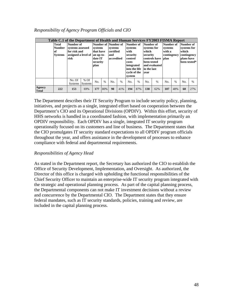| Responsibility of Agency Program Officials and CIO |  |  |  |  |
|----------------------------------------------------|--|--|--|--|
|----------------------------------------------------|--|--|--|--|

|                        |                                                  | Table C.1 of the Department of Health and Human Services FY2003 FISMA Report           |                          |                                                     |               |                                                                  |      |                                                                                                                       |      |                                                                                     |                                |                                                              |               |                                                                |              |
|------------------------|--------------------------------------------------|----------------------------------------------------------------------------------------|--------------------------|-----------------------------------------------------|---------------|------------------------------------------------------------------|------|-----------------------------------------------------------------------------------------------------------------------|------|-------------------------------------------------------------------------------------|--------------------------------|--------------------------------------------------------------|---------------|----------------------------------------------------------------|--------------|
|                        | Total<br><b>Number</b><br>lof.<br><b>Systems</b> | Number of<br>systems assessed<br>for risk and<br>assigned a level of an up-to-<br>risk |                          | systems<br>that have<br>date IT<br>security<br>plan |               | Number of Number of<br>systems<br>certified<br>and<br>accredited |      | Number of<br>systems<br>with<br>security<br>control<br>costs<br>integrated<br>into the life<br>cycle of the<br>system |      | Number of<br>systems for<br>which<br>security<br>been tested<br>in the last<br>vear | controls have<br>and evaluated | Number of<br>systems<br>with a<br>contingency<br><b>blan</b> |               | Number of<br>systems for<br>which<br>contingency<br>plans have | been tested* |
|                        |                                                  | No. Of<br><b>Systems</b>                                                               | $%$ Of<br><b>Systems</b> | No.                                                 | $\frac{0}{0}$ | No.                                                              | $\%$ | No.                                                                                                                   | $\%$ | No.                                                                                 | $\frac{0}{0}$                  | No.                                                          | $\frac{0}{6}$ | No.                                                            | $\%$         |
| Agency<br><b>Total</b> | 222                                              | 153                                                                                    | 69%                      | 177                                                 | 80%           | 90                                                               | 41%  | 194                                                                                                                   | 87%  | 138                                                                                 | 62%                            | 107                                                          | 48%           | 60                                                             | 27%          |

The Department describes their IT Security Program to include security policy, planning, initiatives, and projects as a single, integrated effort based on cooperation between the Department's CIO and its Operational Divisions (OPDIV). Within this effort, security of HHS networks is handled in a coordinated fashion, with implementation primarily an OPDIV responsibility. Each OPDIV has a single, integrated IT security program operationally focused on its customers and line of business. The Department states that the CIO promulgates IT security standard expectations to all OPDIV program officials throughout the year, and offers assistance in the development of processes to enhance compliance with federal and departmental requirements.

# *Responsibilities of Agency Head*

As stated in the Department report, the Secretary has authorized the CIO to establish the Office of Security Development, Implementation, and Oversight. As authorized, the Director of this office is charged with upholding the functional responsibilities of the Chief Security Officer to maintain an enterprise-wide IT security program integrated with the strategic and operational planning process. As part of the capital planning process, the Departmental components can not make IT investment decisions without a review and concurrence by the Departmental CIO. The Department states that they ensure federal mandates, such as IT security standards, policies, training and review, are included in the capital planning process.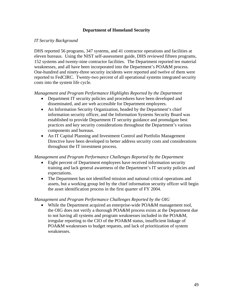### **Department of Homeland Security**

### *IT Security Background*

DHS reported 56 programs, 347 systems, and 41 contractor operations and facilities at eleven bureaus. Using the NIST self-assessment guide, DHS reviewed fifteen programs, 152 systems and twenty-nine contractor facilities. The Department reported ten material weaknesses, and all have been incorporated into the Department's POA&M process. One-hundred and ninety-three security incidents were reported and twelve of them were reported to FedCIRC. Twenty-two percent of all operational systems integrated security costs into the system life cycle.

#### *Management and Program Performance Highlights Reported by the Department*

- Department IT security policies and procedures have been developed and disseminated, and are web accessible for Department employees.
- An Information Security Organization, headed by the Department's chief information security officer, and the Information Systems Security Board was established to provide Department IT security guidance and promulgate best practices and key security considerations throughout the Department's various components and bureaus.
- An IT Capital Planning and Investment Control and Portfolio Management Directive have been developed to better address security costs and considerations throughout the IT investment process.

#### *Management and Program Performance Challenges Reported by the Department*

- Eight percent of Department employees have received information security training and lack general awareness of the Department's IT security policies and expectations.
- The Department has not identified mission and national critical operations and assets, but a working group led by the chief information security officer will begin the asset identification process in the first quarter of FY 2004.

#### *Management and Program Performance Challenges Reported by the OIG*

• While the Department acquired an enterprise-wide POA&M management tool, the OIG does not verify a thorough POA&M process exists at the Department due to not having all systems and program weaknesses included in the POA&M, irregular reporting to the CIO of the POA&M status, insufficient linkage of POA&M weaknesses to budget requests, and lack of prioritization of system weaknesses.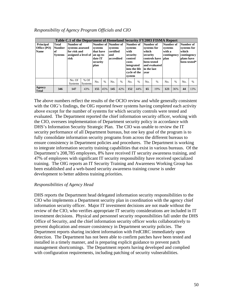| Responsibility of Agency Program Officials and CIO |  |  |  |  |
|----------------------------------------------------|--|--|--|--|
|----------------------------------------------------|--|--|--|--|

|                        |                | Table C.1 of the Department of Homeland Security FY2003 FISMA Report |                          |                      |                     |                     |               |                     |         |             |                              |             |             |                |               |
|------------------------|----------------|----------------------------------------------------------------------|--------------------------|----------------------|---------------------|---------------------|---------------|---------------------|---------|-------------|------------------------------|-------------|-------------|----------------|---------------|
| <b>Principal</b>       | Total          | Number of                                                            |                          |                      |                     | Number of Number of |               | Number of           |         | Number of   |                              | Number of   |             | Number of      |               |
| Office (PO)            | <b>Number</b>  | systems assessed                                                     |                          | systems              |                     | systems             |               | systems             |         | systems for |                              | systems     |             | systems for    |               |
| <b>Name</b>            | l of           | for risk and                                                         |                          | that have            |                     | certified           |               | with                |         | which       |                              | with a      |             | which          |               |
|                        | <b>Systems</b> | assigned a level of                                                  |                          | an up-to-            |                     | and                 |               | security            |         | security    |                              | contingency |             | contingency    |               |
|                        |                | risk                                                                 |                          |                      | date IT<br>security |                     | accredited    |                     | control |             | controls have<br>been tested |             | <b>blan</b> |                | plans have    |
|                        |                |                                                                      |                          |                      |                     |                     |               | costs<br>integrated |         |             | and evaluated                |             |             |                | been tested*  |
|                        |                |                                                                      |                          |                      | plan                |                     |               | into the life       |         | in the last |                              |             |             |                |               |
|                        |                |                                                                      |                          |                      |                     |                     |               | cycle of the        |         | vear        |                              |             |             |                |               |
|                        |                |                                                                      |                          |                      |                     |                     |               | system              |         |             |                              |             |             |                |               |
|                        |                | No. Of<br><b>Systems</b>                                             | $%$ Of<br><b>Systems</b> | $\frac{0}{0}$<br>No. |                     | No.                 | $\frac{0}{6}$ | No.                 | $\%$    | No.         | $\frac{0}{0}$                | No.         | $\%$        | N <sub>0</sub> | $\frac{0}{0}$ |
| Agency<br><b>Total</b> | 346            | 147                                                                  | 155<br>45%<br>43%        |                      | 145                 | 42%                 | 152           | 44%                 | 65      | 19%         | 123                          | 36%         | 44          | 13%            |               |

The above numbers reflect the results of the OCIO review and while generally consistent with the OIG's findings, the OIG reported fewer systems having completed each activity above except for the number of systems for which security controls were tested and evaluated. The Department reported the chief information security officer, working with the CIO, oversees implementation of Department security policy in accordance with DHS's Information Security Strategic Plan. The CIO was unable to review the IT security performance of all Department bureaus, but one key goal of the program is to fully consolidate information security programs from across the different bureaus to ensure consistency in Department policies and procedures. The Department is working to integrate information security training capabilities that exist in various bureaus. Of the Department's 208,785 employees, 8% have received IT security awareness training, and 47% of employees with significant IT security responsibility have received specialized training. The OIG reports an IT Security Training and Awareness Working Group has been established and a web-based security awareness training course is under development to better address training priorities.

## *Responsibilities of Agency Head*

DHS reports the Department head delegated information security responsibilities to the CIO who implements a Department security plan in coordination with the agency chief information security officer. Major IT investment decisions are not made without the review of the CIO, who verifies appropriate IT security considerations are included in IT investment decisions. Physical and personnel security responsibilities fall under the DHS Office of Security, and the chief information security officer works collaboratively to prevent duplication and ensure consistency in Department security policies. The Department reports sharing incident information with FedCIRC immediately upon detection. The Department has not been able to confirm patches have been tested and installed in a timely manner, and is preparing explicit guidance to prevent patch management shortcomings. The Department reports having developed and complied with configuration requirements, including patching of security vulnerabilities.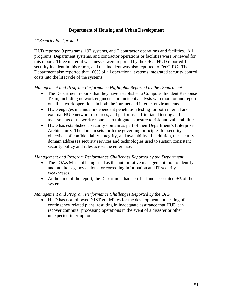# **Department of Housing and Urban Development**

## *IT Security Background*

HUD reported 9 programs, 197 systems, and 2 contractor operations and facilities. All programs, Department systems, and contractor operations or facilities were reviewed for this report. Three material weaknesses were reported by the OIG. HUD reported 1 security incident in this report, and this incident was also reported to FedCIRC. The Department also reported that 100% of all operational systems integrated security control costs into the lifecycle of the systems.

### *Management and Program Performance Highlights Reported by the Department*

- The Department reports that they have established a Computer Incident Response Team, including network engineers and incident analysts who monitor and report on all network operations in both the intranet and internet environments.
- HUD engages in annual independent penetration testing for both internal and external HUD network resources, and performs self-initiated testing and assessments of network resources to mitigate exposure to risk and vulnerabilities.
- HUD has established a security domain as part of their Department's Enterprise Architecture. The domain sets forth the governing principles for security objectives of confidentiality, integrity, and availability. In addition, the security domain addresses security services and technologies used to sustain consistent security policy and rules across the enterprise.

#### *Management and Program Performance Challenges Reported by the Department*

- The POA&M is not being used as the authoritative management tool to identify and monitor agency actions for correcting information and IT security weaknesses.
- At the time of the report, the Department had certified and accredited 9% of their systems.

## *Management and Program Performance Challenges Reported by the OIG*

• HUD has not followed NIST guidelines for the development and testing of contingency related plans, resulting in inadequate assurance that HUD can recover computer processing operations in the event of a disaster or other unexpected interruption.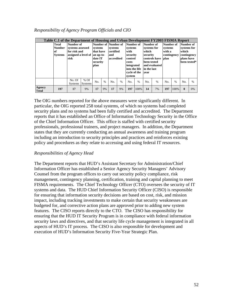| Responsibility of Agency Program Officials and CIO |  |  |  |  |
|----------------------------------------------------|--|--|--|--|
|----------------------------------------------------|--|--|--|--|

|                               | <b>Total</b><br><b>Number</b><br>lof.<br><b>Systems</b> | risk           | Number of<br>systems assessed<br>for risk and<br>assigned a level of an up-to-<br>$%$ Of<br>No. Of |     | systems<br>that have<br>date IT<br>security | Number of Number of<br>systems<br>certified<br>and<br>accredited |               | Number of<br>systems<br>with<br>security<br>control<br>costs<br>integrated<br>into the life<br>cycle of the<br>system |               | which<br>vear | Table C.1 of the Department of Housing and Urban Development FY2003 FISMA Report<br>Number of<br>Number of<br>systems for<br>systems<br>with a<br>contingency<br>security<br>controls have<br><b>blan</b><br>been tested<br>and evaluated<br>in the last<br>$\%$<br>$\%$<br>No.<br>14<br>197<br>7% |  |      | Number of<br>systems for<br>which<br>contingency<br>plans have<br>been tested* |      |
|-------------------------------|---------------------------------------------------------|----------------|----------------------------------------------------------------------------------------------------|-----|---------------------------------------------|------------------------------------------------------------------|---------------|-----------------------------------------------------------------------------------------------------------------------|---------------|---------------|----------------------------------------------------------------------------------------------------------------------------------------------------------------------------------------------------------------------------------------------------------------------------------------------------|--|------|--------------------------------------------------------------------------------|------|
|                               |                                                         | <b>Systems</b> | <b>Systems</b>                                                                                     | No. | $\%$                                        | No.                                                              | $\frac{0}{6}$ | No.                                                                                                                   | $\frac{0}{0}$ | No.           |                                                                                                                                                                                                                                                                                                    |  |      | No.                                                                            | $\%$ |
| <b>Agency</b><br><b>Total</b> | 197                                                     | 17             | 9%                                                                                                 |     | 9%                                          | 17                                                               | 9%            | 197                                                                                                                   | 100%          |               |                                                                                                                                                                                                                                                                                                    |  | 100% | $\mathbf{0}$                                                                   | 0%   |

The OIG numbers reported for the above measures were significantly different. In particular, the OIG reported 258 total systems, of which no systems had completed security plans and no systems had been fully certified and accredited. The Department reports that it has established an Office of Information Technology Security in the Office of the Chief Information Officer. This office is staffed with certified security professionals, professional trainers, and project managers. In addition, the Department states that they are currently conducting an annual awareness and training program including an introduction to security principles and practices and reinforces existing policy and procedures as they relate to accessing and using federal IT resources.

## *Responsibilities of Agency Head*

The Department reports that HUD's Assistant Secretary for Administration/Chief Information Officer has established a Senior Agency Security Managers' Advisory Counsel from the program offices to carry out security policy compliance, risk management, contingency planning, certification, training and capital planning to meet FISMA requirements. The Chief Technology Officer (CTO) oversees the security of IT systems and data. The HUD Chief Information Security Officer (CISO) is responsible for ensuring that information security decisions are based on cost, risk, and mission impact, including tracking investments to make certain that security weaknesses are budgeted for, and corrective action plans are approved prior to adding new system features. The CISO reports directly to the CTO. The CISO has responsibility for ensuring that the HUD IT Security Program is in compliance with federal information security laws and directives, and that security life cycle management is integrated in all aspects of HUD's IT process. The CISO is also responsible for development and execution of HUD's Information Security Five-Year Strategic Plan.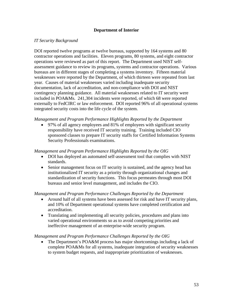# **Department of Interior**

## *IT Security Background*

DOI reported twelve programs at twelve bureaus, supported by 164 systems and 80 contractor operations and facilities. Eleven programs, 80 systems, and eight contractor operations were reviewed as part of this report. The Department used NIST selfassessment guidance to review its programs, systems and contractor operations. Various bureaus are in different stages of completing a systems inventory. Fifteen material weaknesses were reported by the Department, of which thirteen were repeated from last year. Causes of material weaknesses varied including inadequate security documentation, lack of accreditation, and non-compliance with DOI and NIST contingency planning guidance. All material weaknesses related to IT security were included in POA&Ms. 241,304 incidents were reported, of which 68 were reported externally to FedCIRC or law enforcement. DOI reported 96% of all operational systems integrated security costs into the life cycle of the system.

*Management and Program Performance Highlights Reported by the Department* 

• 97% of all agency employees and 81% of employees with significant security responsibility have received IT security training. Training included CIO sponsored classes to prepare IT security staffs for Certified Information Systems Security Professionals examinations.

#### *Management and Program Performance Highlights Reported by the OIG*

- DOI has deployed an automated self-assessment tool that complies with NIST standards.
- Senior management focus on IT security is sustained, and the agency head has institutionalized IT security as a priority through organizational changes and standardization of security functions. This focus permeates through most DOI bureaus and senior level management, and includes the CIO.

*Management and Program Performance Challenges Reported by the Department* 

- Around half of all systems have been assessed for risk and have IT security plans, and 10% of Department operational systems have completed certification and accreditation.
- Translating and implementing all security policies, procedures and plans into varied operational environments so as to avoid competing priorities and ineffective management of an enterprise-wide security program.

#### *Management and Program Performance Challenges Reported by the OIG*

• The Department's POA&M process has major shortcomings including a lack of complete POA&Ms for all systems, inadequate integration of security weaknesses to system budget requests, and inappropriate prioritization of weaknesses.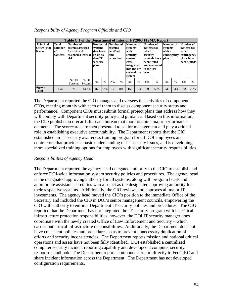| Responsibility of Agency Program Officials and CIO |  |  |  |  |  |
|----------------------------------------------------|--|--|--|--|--|
|----------------------------------------------------|--|--|--|--|--|

| <b>Principal</b><br>Office (PO)<br><b>Name</b> | Total<br><b>Number</b><br><b>of</b><br><b>Systems</b> | Number of<br>systems assessed<br>for risk and<br>assigned a level of<br>risk |                          | Table C.1 of the Department of Interior FY2003 FISMA Report<br>Number of Number of<br>systems<br>that have<br>an up-to-<br>date IT<br>security<br>plan<br>$\frac{0}{0}$<br>No. |     | systems<br>certified<br>and<br>accredited |               | Number of<br>systems<br>with<br>security<br>control<br>costs<br>integrated<br>into the life<br>cycle of the<br>system |      | Number of<br>systems for<br>which<br>security<br>been tested<br>in the last<br>vear | controls have<br>and evaluated | Number of<br>systems<br>with a<br>contingency<br><b>blan</b> |               | Number of<br>systems for<br>which<br>contingency<br>plans have | been tested*  |
|------------------------------------------------|-------------------------------------------------------|------------------------------------------------------------------------------|--------------------------|--------------------------------------------------------------------------------------------------------------------------------------------------------------------------------|-----|-------------------------------------------|---------------|-----------------------------------------------------------------------------------------------------------------------|------|-------------------------------------------------------------------------------------|--------------------------------|--------------------------------------------------------------|---------------|----------------------------------------------------------------|---------------|
|                                                |                                                       | No. Of<br><b>Systems</b>                                                     | $%$ Of<br><b>Systems</b> |                                                                                                                                                                                |     | No.                                       | $\frac{0}{0}$ | No.                                                                                                                   | $\%$ | No.                                                                                 | $\frac{0}{0}$                  | No.                                                          | $\frac{0}{0}$ | No.                                                            | $\frac{0}{0}$ |
| Agency<br><b>Total</b>                         | 164                                                   | 71                                                                           | 43.3%                    | 87                                                                                                                                                                             | 53% | 17                                        | 10%           | 158                                                                                                                   | 96%  | 99                                                                                  | 60%                            | 56                                                           | 34%           | 32                                                             | 20%           |

The Department reported the CIO manages and oversees the activities of component CIOs, meeting monthly with each of them to discuss component security status and performance. Component CIOs must submit formal project plans that address how they will comply with Department security policy and guidance. Based on this information, the CIO publishes scorecards for each bureau that monitors nine major performance elements. The scorecards are then presented to senior management and play a critical role in establishing executive accountability. The Department reports that the CIO established an IT security awareness training program for all DOI employees and contractors that provides a basic understanding of IT security issues, and is developing more specialized training options for employees with significant security responsibilities.

## *Responsibilities of Agency Head*

The Department reported the agency head delegated authority to the CIO to establish and enforce DOI-wide information system security policies and procedures. The agency head is the designated approving authority for all systems, along with program heads and appropriate assistant secretaries who also act as the designated approving authority for their respective systems. Additionally, the CIO reviews and approves all major IT investments. The agency head moved the CIO's position to the immediate Office of the Secretary and included the CIO in DOI's senior management councils, empowering the CIO with authority to enforce Department IT security policies and procedures. The OIG reported that the Department has not integrated the IT security program with its critical infrastructure protection responsibilities, however, the DOI IT security manager does coordinate with the newly created Office of Law Enforcement and Security – which carries out critical infrastructure responsibilities. Additionally, the Department does not have consistent policies and procedures so as to prevent unnecessary duplication of efforts and security inconsistencies. The Department reports mission and national critical operations and assets have not been fully identified. DOI established a centralized computer security incident reporting capability and developed a computer security response handbook. The Department reports components report directly to FedCIRC and share incident information across the Department. The Department has not developed configuration requirements.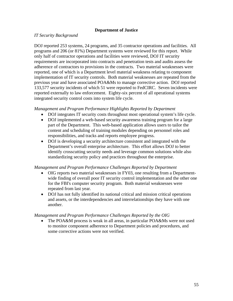### **Department of Justice**

### *IT Security Background*

DOJ reported 253 systems, 24 programs, and 35 contractor operations and facilities. All programs and 206 (or 81%) Department systems were reviewed for this report. While only half of contractor operations and facilities were reviewed, DOJ IT security requirements are incorporated into contracts and penetration tests and audits assess the adherence of contractors to provisions in the contracts. Two material weaknesses were reported, one of which is a Department level material weakness relating to component implementation of IT security controls. Both material weaknesses are repeated from the previous year and have associated POA&Ms to manage corrective action. DOJ reported 133,577 security incidents of which 51 were reported to FedCIRC. Seven incidents were reported externally to law enforcement. Eighty-six percent of all operational systems integrated security control costs into system life cycle.

#### *Management and Program Performance Highlights Reported by Department*

- DOJ integrates IT security costs throughout most operational system's life cycle.
- DOJ implemented a web-based security awareness training program for a large part of the Department. This web-based application allows users to tailor the content and scheduling of training modules depending on personnel roles and responsibilities, and tracks and reports employee progress.
- DOJ is developing a security architecture consistent and integrated with the Department's overall enterprise architecture. This effort allows DOJ to better identify crosscutting security needs and leverage common solutions while also standardizing security policy and practices throughout the enterprise.

#### *Management and Program Performance Challenges Reported by Department*

- OIG reports two material weaknesses in FY03, one resulting from a Departmentwide finding of overall poor IT security control implementation and the other one for the FBI's computer security program. Both material weaknesses were repeated from last year.
- DOJ has not fully identified its national critical and mission critical operations and assets, or the interdependencies and interrelationships they have with one another.

#### *Management and Program Performance Challenges Reported by the OIG*

The POA&M process is weak in all areas, in particular POA&Ms were not used to monitor component adherence to Department policies and procedures, and some corrective actions were not verified.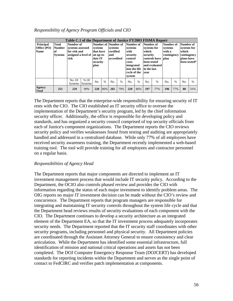| Responsibility of Agency Program Officials and CIO |  |  |  |  |  |
|----------------------------------------------------|--|--|--|--|--|
|----------------------------------------------------|--|--|--|--|--|

| <b>Principal</b><br>Office (PO)<br><b>Name</b> | <b>Total</b><br><b>Number</b><br><b>of</b><br><b>Systems</b> | Number of<br>systems assessed<br>for risk and<br>risk | Table C.1 of the Department of Justice FY2003 FISMA Report<br>Number of Number of<br>systems<br>that have<br>assigned a level of an up-to-<br>date IT<br>security<br>plan<br>$%$ Of<br>$\%$<br>No.<br><b>Systems</b> |     | systems<br>certified<br>and<br>accredited |     | Number of<br>systems<br>with<br>security<br>control<br>costs<br>integrated<br>into the life<br>cycle of the<br>system |     | Number of<br>systems for<br>which<br>security<br>been tested<br>in the last<br>vear | controls have<br>and evaluated | Number of<br>systems<br>with a<br>contingency<br><b>blan</b> |     | Number of<br>systems for<br>which<br>contingency<br>plans have<br>been tested* |     |      |
|------------------------------------------------|--------------------------------------------------------------|-------------------------------------------------------|----------------------------------------------------------------------------------------------------------------------------------------------------------------------------------------------------------------------|-----|-------------------------------------------|-----|-----------------------------------------------------------------------------------------------------------------------|-----|-------------------------------------------------------------------------------------|--------------------------------|--------------------------------------------------------------|-----|--------------------------------------------------------------------------------|-----|------|
|                                                |                                                              | No. Of<br><b>Systems</b>                              |                                                                                                                                                                                                                      |     |                                           | No. | $\frac{0}{0}$                                                                                                         | No. | $\%$                                                                                | No.                            | $\frac{0}{0}$                                                | No. | $\frac{0}{0}$                                                                  | No. | $\%$ |
| Agency<br><b>Total</b>                         | 255                                                          | 229                                                   | 90%                                                                                                                                                                                                                  | 220 | 86%                                       | 202 | 79%                                                                                                                   | 220 | 86%                                                                                 | 197                            | 77%                                                          | 196 | 77%                                                                            | 80  | 31%  |

The Department reports that the enterprise-wide responsibility for ensuring security of IT rests with the CIO. The CIO established an IT security office to oversee the implementation of the Department's security program, led by the chief information security officer. Additionally, the office is responsible for developing policy and standards, and has organized a security council comprised of top security officials from each of Justice's component organizations. The Department reports the CIO reviews security policy and verifies weaknesses found from testing and auditing are appropriately handled and addressed in a centralized database. While only 77% of all employees have received security awareness training, the Department recently implemented a web-based training tool. The tool will provide training for all employees and contractor personnel on a regular basis.

## *Responsibilities of Agency Head*

The Department reports that major components are directed to implement an IT investment management process that would include IT security policy. According to the Department, the OCIO also controls phased review and provides the CIO with information regarding the status of each major investment to identify problem areas. The OIG reports no major IT investment decision can be made without the CIO's review and concurrence. The Department reports that program managers are responsible for integrating and maintaining IT security controls throughout the system life cycle and that the Department head reviews results of security evaluations of each component with the CIO. The Department continues to develop a security architecture as an integrated element of the Department EA, so that the IT investment process adequately incorporates security needs. The Department reported that the IT security staff coordinates with other security programs, including personnel and physical security. All Department policies are coordinated through the Assistant Attorney General to ensure consistency and clear articulation. While the Department has identified some essential infrastructure, full identification of mission and national critical operations and assets has not been completed. The DOJ Computer Emergency Response Team (DOJCERT) has developed standards for reporting incidents within the Department and serves as the single point of contact to FedCIRC and verifies patch implementation at components.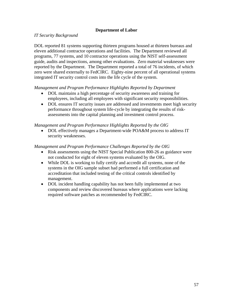# **Department of Labor**

# *IT Security Background*

DOL reported 81 systems supporting thirteen programs housed at thirteen bureaus and eleven additional contractor operations and facilities. The Department reviewed all programs, 77 systems, and 10 contractor operations using the NIST self-assessment guide, audits and inspections, among other evaluations. Zero material weaknesses were reported by the Department. The Department reported a total of 76 incidents, of which zero were shared externally to FedCIRC. Eighty-nine percent of all operational systems integrated IT security control costs into the life cycle of the system.

## *Management and Program Performance Highlights Reported by Department*

- DOL maintains a high percentage of security awareness and training for employees, including all employees with significant security responsibilities.
- DOL ensures IT security issues are addressed and investments meet high security performance throughout system life-cycle by integrating the results of riskassessments into the capital planning and investment control process.

## *Management and Program Performance Highlights Reported by the OIG*

• DOL effectively manages a Department-wide POA&M process to address IT security weaknesses.

- Risk assessments using the NIST Special Publication 800-26 as guidance were not conducted for eight of eleven systems evaluated by the OIG.
- While DOL is working to fully certify and accredit all systems, none of the systems in the OIG sample subset had performed a full certification and accreditation that included testing of the critical controls identified by management.
- DOL incident handling capability has not been fully implemented at two components and review discovered bureaus where applications were lacking required software patches as recommended by FedCIRC.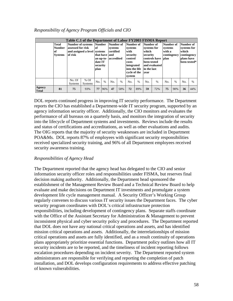|                        | <b>Total</b><br><b>Number</b><br>of<br><b>Systems</b> | of risk        | Table C.1 of the Department of Labor FY2003 FISMA Report<br>Number of systems Number Number of<br>assessed for risk<br>lof<br>and assigned a level systems<br>plan<br>No. Of<br>$%$ Of |     | that have land<br>date IT<br>security | systems<br>certified<br>an up-to- accredited |               | Number of<br>systems<br>with<br>security<br>control<br>costs<br>integrated<br>into the life<br>cycle of the<br>system |               | Number of<br>systems for<br>which<br>security<br>been tested<br>in the last<br>vear | controls have   plan<br>and evaluated | Number of<br>systems<br>with a<br>contingency |      | Number of<br>systems for<br>which<br>contingency<br>plans have | been tested* |
|------------------------|-------------------------------------------------------|----------------|----------------------------------------------------------------------------------------------------------------------------------------------------------------------------------------|-----|---------------------------------------|----------------------------------------------|---------------|-----------------------------------------------------------------------------------------------------------------------|---------------|-------------------------------------------------------------------------------------|---------------------------------------|-----------------------------------------------|------|----------------------------------------------------------------|--------------|
|                        |                                                       | <b>Systems</b> | Systems                                                                                                                                                                                | No. | $\%$                                  | No.                                          | $\frac{0}{0}$ | No.                                                                                                                   | $\frac{0}{6}$ | No.                                                                                 | $\frac{0}{0}$                         | No.                                           | $\%$ | No.                                                            | $\%$         |
| Agency<br><b>Total</b> | 81                                                    | 75             | 93%                                                                                                                                                                                    | 77  | 96%                                   | 47                                           | 58%           | 72                                                                                                                    | 89%           | 59                                                                                  | 72%                                   | 75                                            | 90%  | 36                                                             | 44%          |

#### *Responsibility of Agency Program Officials and CIO*

DOL reports continued progress in improving IT security performance. The Department reports the CIO has established a Department-wide IT security program, supported by an agency information security officer. Additionally, the CIO monitors and evaluates the performance of all bureaus on a quarterly basis, and monitors the integration of security into the lifecycle of Department systems and investments. Reviews include the results and status of certifications and accreditations, as well as other evaluations and audits. The OIG reports that the majority of security weaknesses are included in Department POA&Ms. DOL reports 87% of employees with significant security responsibilities received specialized security training, and 96% of all Department employees received security awareness training.

#### *Responsibilities of Agency Head*

The Department reported that the agency head has delegated to the CIO and senior information security officer roles and responsibilities under FISMA, but reserves final decision making authority. Additionally, the Department head sponsored the establishment of the Management Review Board and a Technical Review Board to help evaluate and make decisions on Department IT investments and promulgate a system development life cycle management manual. A Security Officer's Working Group regularly convenes to discuss various IT security issues the Department faces. The cyber security program coordinates with DOL's critical infrastructure protection responsibilities, including development of contingency plans. Separate staffs coordinate with the Office of the Assistant Secretary for Administration & Management to prevent inconsistent physical and cyber security policy and procedures. The Department reported that DOL does not have any national critical operations and assets, and has identified mission critical operations and assets. Additionally, the interrelationships of mission critical operations and assets are fully identified, and as a result continuity of operations plans appropriately prioritize essential functions. Department policy outlines how all IT security incidents are to be reported, and the timeliness of incident reporting follows escalation procedures depending on incident severity. The Department reported system administrators are responsible for verifying and reporting the completion of patch installation, and DOL develops configuration requirements to address effective patching of known vulnerabilities.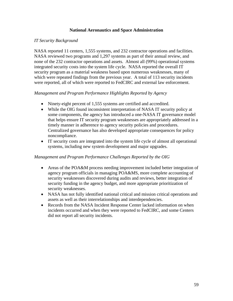### **National Aeronautics and Space Administration**

### *IT Security Background*

NASA reported 11 centers, 1,555 systems, and 232 contractor operations and facilities. NASA reviewed two programs and 1,297 systems as part of their annual review, and none of the 232 contractor operations and assets. Almost all (99%) operational systems integrated security costs into the system life cycle. NASA reported the overall IT security program as a material weakness based upon numerous weaknesses, many of which were repeated findings from the previous year. A total of 113 security incidents were reported, all of which were reported to FedCIRC and external law enforcement.

### *Management and Program Performance Highlights Reported by Agency*

- Ninety-eight percent of 1,555 systems are certified and accredited.
- While the OIG found inconsistent interpretation of NASA IT security policy at some components, the agency has introduced a one-NASA IT governance model that helps ensure IT security program weaknesses are appropriately addressed in a timely manner in adherence to agency security policies and procedures. Centralized governance has also developed appropriate consequences for policy noncompliance.
- IT security costs are integrated into the system life cycle of almost all operational systems, including new system development and major upgrades.

- Areas of the POA&M process needing improvement included better integration of agency program officials in managing POA&MS, more complete accounting of security weaknesses discovered during audits and reviews, better integration of security funding in the agency budget, and more appropriate prioritization of security weaknesses.
- NASA has not fully identified national critical and mission critical operations and assets as well as their interrelationships and interdependencies.
- Records from the NASA Incident Response Center lacked information on when incidents occurred and when they were reported to FedCIRC, and some Centers did not report all security incidents.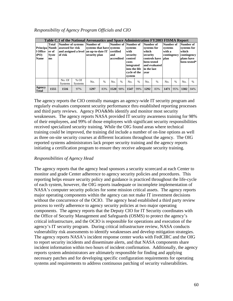| Responsibility of Agency Program Officials and CIO |  |
|----------------------------------------------------|--|
|----------------------------------------------------|--|

| Principa Numb<br>1 Office<br><b>(PO)</b><br><b>Name</b> | <b>Total</b><br>er of<br><b>Syste</b><br>ms | Number of systems Number of<br>assessed for risk<br>of risk |                          | Table C.1 of the National Aeronautics and Space Administration FY2003 FISMA Report<br>systems that have systems<br>and assigned a level an up-to-date IT<br>security plan<br>No.<br>$\%$<br>1297<br>83% |      | certified<br>accredited | Number of Number of<br>systems<br>with<br>security<br>control<br>costs<br>integrated<br>into the life<br>cycle of the<br>system |      | Number of<br>systems for<br>which<br>security<br>been tested<br>in the last<br>vear | controls have<br>and evaluated | Number of<br>systems<br>with a<br>contingency<br><b>blan</b> |               | Number of<br>systems for<br>which<br>contingency<br>plans have<br>been tested* |      |
|---------------------------------------------------------|---------------------------------------------|-------------------------------------------------------------|--------------------------|---------------------------------------------------------------------------------------------------------------------------------------------------------------------------------------------------------|------|-------------------------|---------------------------------------------------------------------------------------------------------------------------------|------|-------------------------------------------------------------------------------------|--------------------------------|--------------------------------------------------------------|---------------|--------------------------------------------------------------------------------|------|
|                                                         |                                             | No. Of<br><b>Systems</b>                                    | $%$ Of<br><b>Systems</b> |                                                                                                                                                                                                         | No.  | $\frac{0}{0}$           | No.                                                                                                                             | $\%$ | No.                                                                                 | $\frac{0}{0}$                  | No.                                                          | $\frac{0}{0}$ | No.                                                                            | $\%$ |
| Agency<br><b>Total</b>                                  | 1555                                        | 1516                                                        | 97%                      |                                                                                                                                                                                                         | 1520 | 98%                     | 1547                                                                                                                            | 99%  | 1292                                                                                | 83%                            | 1471                                                         | 95%           | 1302                                                                           | 84%  |

The agency reports the CIO centrally manages an agency-wide IT security program and regularly evaluates component security performance thru established reporting processes and third party reviews. Agency POA&Ms identify and monitor most security weaknesses. The agency reports NASA provided IT security awareness training for 98% of their employees, and 99% of those employees with significant security responsibilities received specialized security training. While the OIG found areas where technical training could be improved, the training did include a number of on-line options as well as three on-site security courses at different locations throughout the agency. The OIG reported systems administrators lack proper security training and the agency reports initiating a certification program to ensure they receive adequate security training.

## *Responsibilities of Agency Head*

The agency reports that the agency head sponsors a security scorecard at each Center to monitor and grade Center adherence to agency security policies and procedures. This reporting helps ensure security policy and guidance is practiced throughout the life-cycle of each system, however, the OIG reports inadequate or incomplete implementation of NASA's computer security policies for some mission critical assets. The agency reports major operating components within the agency can not make IT investment decisions without the concurrence of the OCIO. The agency head established a third party review process to verify adherence to agency security policies at two major operating components. The agency reports that the Deputy CIO for IT Security coordinates with the Office of Security Management and Safeguards (OSMS) to protect the agency's critical infrastructure, and the OCIO is responsible for operations and execution of the agency's IT security program. During critical infrastructure review, NASA conducts vulnerability risk assessments to identify weaknesses and develop mitigation strategies. The agency reports NASA's incident response center works with FedCIRC and the OIG to report security incidents and disseminate alerts, and that NASA components share incident information within two hours of incident confirmation. Additionally, the agency reports system administrators are ultimately responsible for finding and applying necessary patches and for developing specific configuration requirements for operating systems and requirements to address continuous patching of security vulnerabilities.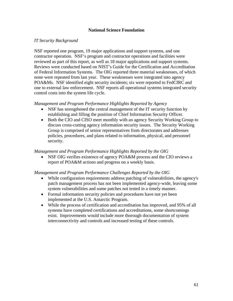### **National Science Foundation**

### *IT Security Background*

NSF reported one program, 19 major applications and support systems, and one contractor operation. NSF's program and contractor operations and facilities were reviewed as part of this report, as well as 18 major applications and support systems. Reviews were conducted based on NIST's Guide for the Certification and Accreditation of Federal Information Systems. The OIG reported three material weaknesses, of which none were repeated from last year. These weaknesses were integrated into agency POA&Ms. NSF identified eight security incidents; six were reported to FedCIRC and one to external law enforcement. NSF reports all operational systems integrated security control costs into the system life cycle.

#### *Management and Program Performance Highlights Reported by Agency*

- NSF has strengthened the central management of the IT security function by establishing and filling the position of Chief Information Security Officer.
- Both the CIO and CISO meet monthly with an agency Security Working Group to discuss cross-cutting agency information security issues. The Security Working Group is comprised of senior representatives from directorates and addresses policies, procedures, and plans related to information, physical, and personnel security.

### *Management and Program Performance Highlights Reported by the OIG*

• NSF OIG verifies existence of agency POA&M process and the CIO reviews a report of POA&M actions and progress on a weekly basis.

- While configuration requirements address patching of vulnerabilities, the agency's patch management process has not been implemented agency-wide, leaving some system vulnerabilities and some patches not tested in a timely manner.
- Formal information security policies and procedures have not yet been implemented at the U.S. Antarctic Program.
- While the process of certification and accreditation has improved, and 95% of all systems have completed certifications and accreditations, some shortcomings exist. Improvements would include more thorough documentation of system interconnectivity and controls and increased testing of these controls.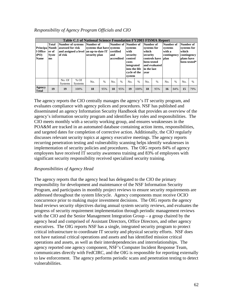| Principa Numb<br>l Office<br><b>(PO)</b><br><b>Name</b> | <b>Total</b><br>er of<br><b>Syste</b><br>ms | <b>Number of systems</b><br>assessed for risk<br>of risk |                          | Number of | Table C.1 of National Science Foundation FY2003 FISMA Report<br>systems that have systems<br>and assigned a level an up-to-date IT certified<br>security plan<br>and<br>$\%$<br>No. |                | accredited    | Number of Number of<br>systems<br>with<br>security<br>control<br>costs<br>integrated<br>into the life<br>cvcle of the<br>system |      | Number of<br>systems for<br>which<br>security<br>been tested<br>in the last<br>vear | controls have<br>and evaluated | Number of<br>systems<br>with a<br>contingency<br>plan |      | Number of<br>systems for<br>which<br>contingency<br>plans have<br>been tested* |      |
|---------------------------------------------------------|---------------------------------------------|----------------------------------------------------------|--------------------------|-----------|-------------------------------------------------------------------------------------------------------------------------------------------------------------------------------------|----------------|---------------|---------------------------------------------------------------------------------------------------------------------------------|------|-------------------------------------------------------------------------------------|--------------------------------|-------------------------------------------------------|------|--------------------------------------------------------------------------------|------|
|                                                         |                                             | No. Of<br><b>Systems</b>                                 | $%$ Of<br><b>Systems</b> |           |                                                                                                                                                                                     | N <sub>0</sub> | $\frac{0}{0}$ | No.                                                                                                                             | $\%$ | No.                                                                                 | $\%$                           | No.                                                   | $\%$ | No.                                                                            | $\%$ |
| Agency<br><b>Total</b>                                  | 19                                          | 19                                                       | 100%                     | 18        | 95%                                                                                                                                                                                 | 18             | 95%           | 19                                                                                                                              | 100% | 18                                                                                  | 95%                            | 16                                                    | 84%  | 15                                                                             | 79%  |

#### *Responsibility of Agency Program Officials and CIO*

The agency reports the CIO centrally manages the agency's IT security program, and evaluates compliance with agency polices and procedures. NSF has published and disseminated an agency Information Security Handbook that provides an overview of the agency's information security program and identifies key roles and responsibilities. The CIO meets monthly with a security working group, and ensures weaknesses in the POA&M are tracked in an automated database containing action items, responsibilities, and targeted dates for completion of corrective action. Additionally, the CIO regularly discusses relevant security topics at agency executive meetings. The agency reports recurring penetration testing and vulnerability scanning helps identify weaknesses in implementation of security policies and procedures. The OIG reports 84% of agency employees have received IT security awareness training and 83% of employees with significant security responsibility received specialized security training.

## *Responsibilities of Agency Head*

The agency reports that the agency head has delegated to the CIO the primary responsibility for development and maintenance of the NSF Information Security Program, and participates in monthly project reviews to ensure security requirements are addressed throughout the system lifecycle. Agency components must receive OCIO concurrence prior to making major investment decisions. The OIG reports the agency head reviews security objectives during annual system security reviews, and evaluates the progress of security requirement implementation through periodic management reviews with the CIO and the Senior Management Integration Group – a group chaired by the agency head and comprised of Assistant Directors, Office Directors, and other agency executives. The OIG reports NSF has a single, integrated security program to protect critical infrastructure to coordinate IT security and physical security efforts. NSF does not have national critical operations and assets and has identified mission critical operations and assets, as well as their interdependencies and interrelationships. The agency reported one agency component, NSF's Computer Incident Response Team, communicates directly with FedCIRC, and the OIG is responsible for reporting externally to law enforcement. The agency performs periodic scans and penetration testing to detect vulnerabilities.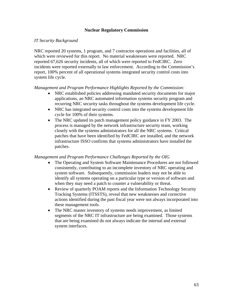### **Nuclear Regulatory Commission**

### *IT Security Background*

NRC reported 20 systems, 1 program, and 7 contractor operations and facilities, all of which were reviewed for this report. No material weaknesses were reported. NRC reported 67,626 security incidents, all of which were reported to FedCIRC. Zero incidents were reported externally to law enforcement. According to the Commission's report, 100% percent of all operational systems integrated security control costs into system life cycle.

#### *Management and Program Performance Highlights Reported by the Commission:*

- NRC established policies addressing mandated security documents for major applications, an NRC automated information systems security program and recurring NRC security tasks throughout the systems development life cycle.
- NRC has integrated security control costs into the systems development life cycle for 100% of their systems.
- The NRC updated its patch management policy guidance in FY 2003. The process is managed by the network infrastructure security team, working closely with the systems administrators for all the NRC systems. Critical patches that have been identified by FedCIRC are installed, and the network infrastructure ISSO confirms that systems administrators have installed the patches.

- The Operating and System Software Maintenance Procedures are not followed consistently, contributing to an incomplete inventory of NRC operating and system software. Subsequently, commission leaders may not be able to identify all systems operating on a particular type or version of software and when they may need a patch to counter a vulnerability or threat.
- Review of quarterly POAM reports and the Information Technology Security Tracking Systems (ITSSTS), reveal that new weaknesses and corrective actions identified during the past fiscal year were not always incorporated into these management tools.
- The NRC master inventory of systems needs improvement, as limited segments of the NRC IT infrastructure are being examined. Those systems that are being examined do not always indicate the internal and external system interfaces.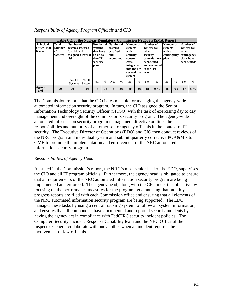| Responsibility of Agency Program Officials and CIO |  |  |  |  |
|----------------------------------------------------|--|--|--|--|
|----------------------------------------------------|--|--|--|--|

| <b>Principal</b><br>Office (PO)<br><b>Name</b> | Total<br><b>Number</b><br>l of<br><b>Systems</b> | Number of<br>systems assessed<br>for risk and<br>assigned a level of<br>risk |                          | Table C.1 of the Nuclear Regulatory Commission FY2003 FISMA Report<br>Number of Number of<br>systems<br>that have<br>an up-to-<br>date IT<br>security<br>plan<br>$\frac{0}{0}$<br>No. |     | systems<br>certified<br>and<br>accredited |     | Number of<br>systems<br>with<br>security<br>control<br>costs<br>integrated<br>into the life<br>cycle of the<br>system |                      | Number of<br>systems for<br>which<br>security<br>been tested<br>in the last<br>vear | controls have<br>and evaluated | Number of<br>systems<br>with a<br>contingency<br><b>blan</b> |                | Number of<br>systems for<br>which<br>contingency<br>plans have | been tested* |
|------------------------------------------------|--------------------------------------------------|------------------------------------------------------------------------------|--------------------------|---------------------------------------------------------------------------------------------------------------------------------------------------------------------------------------|-----|-------------------------------------------|-----|-----------------------------------------------------------------------------------------------------------------------|----------------------|-------------------------------------------------------------------------------------|--------------------------------|--------------------------------------------------------------|----------------|----------------------------------------------------------------|--------------|
|                                                |                                                  | No. Of<br><b>Systems</b>                                                     | $%$ Of<br><b>Systems</b> |                                                                                                                                                                                       | No. | $\frac{0}{6}$                             | No. | $\%$                                                                                                                  | $\frac{0}{0}$<br>No. |                                                                                     | No.                            | $\%$                                                         | N <sub>0</sub> | $\frac{0}{0}$                                                  |              |
| Agency<br><b>Total</b>                         | 20                                               | 20                                                                           | 100%                     | 18                                                                                                                                                                                    | 90% | 18                                        | 90% | 20                                                                                                                    | 100%                 | 18                                                                                  | 90%                            | 18                                                           | 90%            | 17                                                             | 85%          |

The Commission reports that the CIO is responsible for managing the agency-wide automated information security program. In turn, the CIO assigned the Senior Information Technology Security Officer (SITSO) with the task of exercising day to day management and oversight of the commission's security program. The agency-wide automated information security program management directive outlines the responsibilities and authority of all other senior agency officials in the context of IT security. The Executive Director of Operations (EDO) and CIO then conduct reviews of the NRC program and individual system and submit quarterly corrective POA&M's to OMB to promote the implementation and enforcement of the NRC automated information security program.

## *Responsibilities of Agency Head*

As stated in the Commission's report, the NRC's most senior leader, the EDO, supervises the CIO and all IT program officials. Furthermore, the agency head is obligated to ensure that all requirements of the NRC automated information security program are being implemented and enforced. The agency head, along with the CIO, meet this objective by focusing on the performance measures for the program, guaranteeing that monthly progress reports are filed with each Commission office and ensuring that all elements of the NRC automated information security program are being supported. The EDO manages these tasks by using a central tracking system to follow all system information, and ensures that all components have documented and reported security incidents by having the agency act in compliance with FedCIRC security incident policies. The Computer Security Incident Response Capability team and the NRC Office of the Inspector General collaborate with one another when an incident requires the involvement of law officials.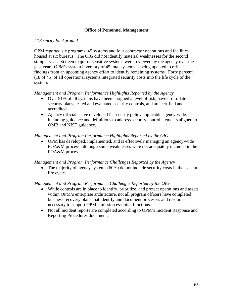## **Office of Personnel Management**

### *IT Security Background*

OPM reported six programs, 45 systems and four contractor operations and facilities housed at six bureaus. The OIG did not identify material weaknesses for the second straight year. Sixteen major or sensitive systems were reviewed by the agency over the past year. OPM's system inventory of 45 total systems is being updated to reflect findings from an upcoming agency effort to identify remaining systems. Forty percent (18 of 45) of all operational systems integrated security costs into the life cycle of the system.

*Management and Program Performance Highlights Reported by the Agency* 

- Over 91% of all systems have been assigned a level of risk, have up-to-date security plans, tested and evaluated security controls, and are certified and accredited.
- Agency officials have developed IT security policy applicable agency-wide, including guidance and definitions to address security control elements aligned to OMB and NIST guidance.

#### *Management and Program Performance Highlights Reported by the OIG*

• OPM has developed, implemented, and is effectively managing an agency-wide POA&M process, although some weaknesses were not adequately included in the POA&M process.

#### *Management and Program Performance Challenges Reported by the Agency*

The majority of agency systems (60%) do not include security costs in the system life cycle.

- While controls are in place to identify, prioritize, and protect operations and assets within OPM's enterprise architecture, not all program officers have completed business recovery plans that identify and document processes and resources necessary to support OPM's mission essential functions.
- Not all incident reports are completed according to OPM's Incident Response and Reporting Procedures document.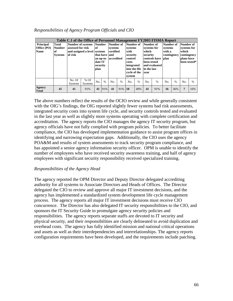|                                                       | Table C.1 of the Office of Personnel Management FY2003 FISMA Report |                                                                                          |                          |                                                      |               |                                                           |               |                                                                                                                       |               |                                                                                                                              |               |                                               |               |                                                                                |      |
|-------------------------------------------------------|---------------------------------------------------------------------|------------------------------------------------------------------------------------------|--------------------------|------------------------------------------------------|---------------|-----------------------------------------------------------|---------------|-----------------------------------------------------------------------------------------------------------------------|---------------|------------------------------------------------------------------------------------------------------------------------------|---------------|-----------------------------------------------|---------------|--------------------------------------------------------------------------------|------|
| <b>Principal</b><br><b>Office</b> (PO)<br><b>Name</b> | Total<br><b>Number</b><br>lof.<br><b>Systems</b>                    | Number of systems Number<br>assessed for risk<br>and assigned a level systems<br>of risk |                          | lof<br>that have land<br>date IT<br>security<br>plan |               | Number of<br>systems<br>certified<br>an up-to- accredited |               | Number of<br>systems<br>with<br>security<br>control<br>costs<br>integrated<br>into the life<br>cycle of the<br>system |               | Number of<br>systems for<br>which<br>security<br>controls have   plan<br>been tested<br>and evaluated<br>in the last<br>vear |               | Number of<br>systems<br>with a<br>contingency |               | Number of<br>systems for<br>which<br>contingency<br>plans have<br>been tested* |      |
|                                                       |                                                                     | No. Of<br><b>Systems</b>                                                                 | $%$ Of<br><b>Systems</b> | No.                                                  | $\frac{0}{0}$ | No.                                                       | $\frac{0}{0}$ | N <sub>0</sub>                                                                                                        | $\frac{0}{0}$ | No.                                                                                                                          | $\frac{0}{0}$ | No.                                           | $\frac{0}{6}$ | N <sub>0</sub>                                                                 | $\%$ |
| Agency<br><b>Total</b>                                | 45                                                                  | 41                                                                                       | 91%                      | 41                                                   | 91%           | 41                                                        | 91%           | 18                                                                                                                    | 40%           | 41                                                                                                                           | 91%           | 16                                            | 36%           | 7                                                                              | 16%  |

### *Responsibilities of Agency Program Officials and CIO*

The above numbers reflect the results of the OCIO review and while generally consistent with the OIG's findings, the OIG reported slightly fewer systems had risk assessments, integrated security costs into system life cycle, and security controls tested and evaluated in the last year as well as slightly more systems operating with complete certification and accreditation. The agency reports the CIO manages the agency IT security program, but agency officials have not fully complied with program policies. To better facilitate compliance, the CIO has developed implementation guidance to assist program offices in identifying and narrowing expectation gaps. Additionally, the CIO uses the agency POA&M and results of system assessments to track security program compliance, and has appointed a senior agency information security officer. OPM is unable to identify the number of employees who have received security awareness training, and half of agency employees with significant security responsibility received specialized training.

#### *Responsibilities of the Agency Head*

The agency reported the OPM Director and Deputy Director delegated accrediting authority for all systems to Associate Directors and Heads of Offices. The Director delegated the CIO to review and approve all major IT investment decisions, and the agency has implemented a standardized system development life cycle management process. The agency reports all major IT investment decisions must receive CIO concurrence. The Director has also delegated IT security responsibilities to the CIO, and sponsors the IT Security Guide to promulgate agency security policies and responsibilities. The agency reports separate staffs are devoted to IT security and physical security, and their responsibilities are clearly delineated to avoid duplication and overhead costs. The agency has fully identified mission and national critical operations and assets as well as their interdependencies and interrelationships. The agency reports configuration requirements have been developed, and the requirements include patching.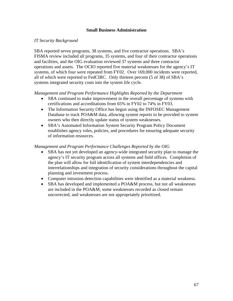### **Small Business Administration**

### *IT Security Background*

SBA reported seven programs, 38 systems, and five contractor operations. SBA's FISMA review included all programs, 35 systems, and four of their contractor operations and facilities, and the OIG evaluation reviewed 37 systems and three contractor operations and assets. The OCIO reported five material weaknesses for the agency's IT systems, of which four were repeated from FY02. Over 169,000 incidents were reported, all of which were reported to FedCIRC. Only thirteen percent (5 of 38) of SBA's systems integrated security costs into the system life cycle.

*Management and Program Performance Highlights Reported by the Department* 

- SBA continued to make improvement in the overall percentage of systems with certifications and accreditations from 65% in FY02 to 74% in FY03.
- The Information Security Office has begun using the INFOSEC Management Database to track POA&M data, allowing system reports to be provided to system owners who then directly update status of system weaknesses.
- SBA's Automated Information System Security Program Policy Document establishes agency roles, policies, and procedures for ensuring adequate security of information resources.

- SBA has not yet developed an agency-wide integrated security plan to manage the agency's IT security program across all systems and field offices. Completion of the plan will allow for full identification of system interdependencies and interrelationships and integration of security considerations throughout the capital planning and investment process.
- Computer intrusion detection capabilities were identified as a material weakness.
- SBA has developed and implemented a POA&M process, but not all weaknesses are included in the POA&M, some weaknesses recorded as closed remain uncorrected, and weaknesses are not appropriately prioritized.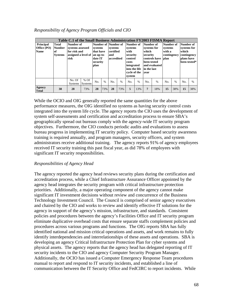| Responsibility of Agency Program Officials and CIO |  |  |  |  |  |
|----------------------------------------------------|--|--|--|--|--|
|----------------------------------------------------|--|--|--|--|--|

|                                                | Table C.1 of the Small Business Administration FY2003 FISMA Report |                                                                              |                          |                                                                  |               |                                                                  |               |                                                                                                                       |      |                                                                                                                       |      |                                                              |      |                                                                                |      |
|------------------------------------------------|--------------------------------------------------------------------|------------------------------------------------------------------------------|--------------------------|------------------------------------------------------------------|---------------|------------------------------------------------------------------|---------------|-----------------------------------------------------------------------------------------------------------------------|------|-----------------------------------------------------------------------------------------------------------------------|------|--------------------------------------------------------------|------|--------------------------------------------------------------------------------|------|
| <b>Principal</b><br>Office (PO)<br><b>Name</b> | Total<br><b>Number</b><br>'of<br><b>Systems</b>                    | Number of<br>systems assessed<br>for risk and<br>assigned a level of<br>risk |                          | systems<br>that have<br>an up-to-<br>date IT<br>security<br>plan |               | Number of Number of<br>systems<br>certified<br>and<br>accredited |               | Number of<br>systems<br>with<br>security<br>control<br>costs<br>integrated<br>into the life<br>cycle of the<br>system |      | Number of<br>systems for<br>which<br>security<br>controls have<br>been tested<br>and evaluated<br>in the last<br>vear |      | Number of<br>systems<br>with a<br>contingency<br><b>blan</b> |      | Number of<br>systems for<br>which<br>contingency<br>plans have<br>been tested* |      |
|                                                |                                                                    | No. Of<br><b>Systems</b>                                                     | $%$ Of<br><b>Systems</b> | No.                                                              | $\frac{0}{0}$ | No.                                                              | $\frac{0}{0}$ | No.                                                                                                                   | $\%$ | No.                                                                                                                   | $\%$ | No.                                                          | $\%$ | No.                                                                            | $\%$ |
| Agency<br><b>Total</b>                         | 38                                                                 | 28                                                                           | 73%                      | 28                                                               | 73%           | 28                                                               | 73%           | 5                                                                                                                     | 13%  | 7                                                                                                                     | 18%  | 15                                                           | 38%  | 15                                                                             | 38%  |

While the OCIO and OIG generally reported the same quantities for the above performance measures, the OIG identified no systems as having security control costs integrated into the system life cycle. The agency reports the CIO uses the development of system self-assessments and certification and accreditation process to ensure SBA's geographically spread out bureaus comply with the agency-wide IT security program objectives. Furthermore, the CIO conducts periodic audits and evaluations to assess bureau progress in implementing IT security policy. Computer based security awareness training is required annually, and program managers, security officers, and system administrators receive additional training. The agency reports 91% of agency employees received IT security training this past fiscal year, as did 78% of employees with significant IT security responsibilities.

## *Responsibilities of Agency Head*

The agency reported the agency head reviews security plans during the certification and accreditation process, while a Chief Infrastructure Assurance Officer appointed by the agency head integrates the security program with critical infrastructure protection priorities. Additionally, a major operating component of the agency cannot make significant IT investment decisions without review and concurrence of the Business Technology Investment Council. The Council is comprised of senior agency executives and chaired by the CIO and works to review and identify effective IT solutions for the agency in support of the agency's mission, infrastructure, and standards. Consistent policies and procedures between the agency's Facilities Office and IT security program eliminate duplicative overhead costs that ensure separate staffs complement policies and procedures across various programs and functions. The OIG reports SBA has fully identified national and mission critical operations and assets, and work remains to fully identify interdependencies and interrelationships of these assets and operations. SBA is developing an agency Critical Infrastructure Protection Plan for cyber systems and physical assets. The agency reports that the agency head has delegated reporting of IT security incidents to the CIO and agency Computer Security Program Manager. Additionally, the OCIO has issued a Computer Emergency Response Team procedures manual to report and respond to IT security incidents, and established a line of communication between the IT Security Office and FedCIRC to report incidents. While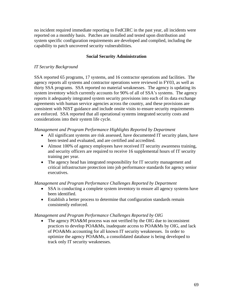no incident required immediate reporting to FedCIRC in the past year, all incidents were reported on a monthly basis. Patches are installed and tested upon distribution and system specific configuration requirements are developed and complied, including the capability to patch uncovered security vulnerabilities.

# **Social Security Administration**

## *IT Security Background*

SSA reported 65 programs, 17 systems, and 16 contractor operations and facilities. The agency reports all systems and contractor operations were reviewed in FY03, as well as thirty SSA programs. SSA reported no material weaknesses. The agency is updating its system inventory which currently accounts for 90% of all of SSA's systems. The agency reports it adequately integrated system security provisions into each of its data exchange agreements with human service agencies across the country, and these provisions are consistent with NIST guidance and include onsite visits to ensure security requirements are enforced. SSA reported that all operational systems integrated security costs and considerations into their system life cycle.

## *Management and Program Performance Highlights Reported by Department*

- All significant systems are risk assessed, have documented IT security plans, have been tested and evaluated, and are certified and accredited.
- Almost 100% of agency employees have received IT security awareness training, and security officers are required to receive 16 supplemental hours of IT security training per year.
- The agency head has integrated responsibility for IT security management and critical infrastructure protection into job performance standards for agency senior executives.

## *Management and Program Performance Challenges Reported by Department*

- SSA is conducting a complete system inventory to ensure all agency systems have been identified.
- Establish a better process to determine that configuration standards remain consistently enforced.

#### *Management and Program Performance Challenges Reported by OIG*

The agency POA&M process was not verified by the OIG due to inconsistent practices to develop POA&Ms, inadequate access to POA&Ms by OIG, and lack of POA&Ms accounting for all known IT security weaknesses. In order to optimize the agency POA&Ms, a consolidated database is being developed to track only IT security weaknesses.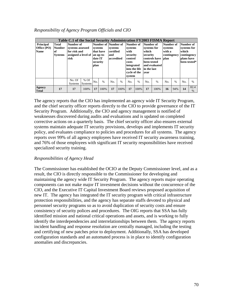| Responsibility of Agency Program Officials and CIO |  |  |  |  |
|----------------------------------------------------|--|--|--|--|
|----------------------------------------------------|--|--|--|--|

|                                                | Table C.1 of the Social Security Administration FY2003 FISMA Report |                                                                              |      |                                                                                         |      |                                           |      |                                                                                                                       |      |                                                                                                                       |               |                                                              |      |                                                                                |              |
|------------------------------------------------|---------------------------------------------------------------------|------------------------------------------------------------------------------|------|-----------------------------------------------------------------------------------------|------|-------------------------------------------|------|-----------------------------------------------------------------------------------------------------------------------|------|-----------------------------------------------------------------------------------------------------------------------|---------------|--------------------------------------------------------------|------|--------------------------------------------------------------------------------|--------------|
| <b>Principal</b><br>Office (PO)<br><b>Name</b> | Total<br><b>Number</b><br>l of<br><b>Systems</b>                    | Number of<br>systems assessed<br>for risk and<br>assigned a level of<br>risk |      | Number of Number of<br>systems<br>that have<br>an up-to-<br>date IT<br>security<br>plan |      | systems<br>certified<br>and<br>accredited |      | Number of<br>systems<br>with<br>security<br>control<br>costs<br>integrated<br>into the life<br>cycle of the<br>system |      | Number of<br>systems for<br>which<br>security<br>controls have<br>been tested<br>and evaluated<br>in the last<br>vear |               | Number of<br>systems<br>with a<br>contingency<br><b>blan</b> |      | Number of<br>systems for<br>which<br>contingency<br>plans have<br>been tested* |              |
|                                                |                                                                     | No. Of<br>$%$ Of<br><b>Systems</b><br><b>Systems</b>                         |      | $\%$<br>No.                                                                             |      | $\%$<br>No.                               |      | No.                                                                                                                   | $\%$ | No.                                                                                                                   | $\frac{0}{0}$ | No.                                                          | $\%$ | No.                                                                            | $\%$         |
| Agency<br><b>Total</b>                         | 17                                                                  | 17                                                                           | 100% | 17                                                                                      | 100% | 17                                        | 100% | 17                                                                                                                    | 100% | 17                                                                                                                    | 100%          | 16                                                           | 94%  | 14                                                                             | 82.4<br>$\%$ |

The agency reports that the CIO has implemented an agency wide IT Security Program, and the chief security officer reports directly to the CIO to provide governance of the IT Security Program. Additionally, the CIO and agency management is notified of weaknesses discovered during audits and evaluations and is updated on completed corrective actions on a quarterly basis. The chief security officer also ensures external systems maintain adequate IT security provisions, develops and implements IT security policy, and evaluates compliance to policies and procedures for all systems. The agency reports over 99% of all agency employees have received IT security awareness training, and 76% of those employees with significant IT security responsibilities have received specialized security training.

## *Responsibilities of Agency Head*

The Commissioner has established the OCIO at the Deputy Commissioner level, and as a result, the CIO is directly responsible to the Commissioner for developing and maintaining the agency wide IT Security Program. The agency reports major operating components can not make major IT investment decisions without the concurrence of the CIO, and the Executive IT Capital Investment Board reviews proposed acquisition of new IT. The agency has integrated the IT security program with critical infrastructure protection responsibilities, and the agency has separate staffs devoted to physical and personnel security programs so as to avoid duplication of security costs and ensure consistency of security polices and procedures. The OIG reports that SSA has fully identified mission and national critical operations and assets, and is working to fully identify the interdependencies and interrelationships between them. The agency reports incident handling and response resolution are centrally managed, including the testing and certifying of new patches prior to deployment. Additionally, SSA has developed configuration standards and an automated process is in place to identify configuration anomalies and discrepancies.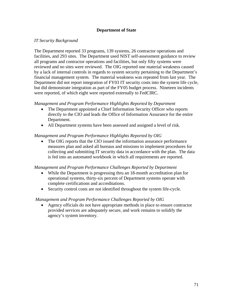# **Department of State**

## *IT Security Background*

The Department reported 33 programs, 139 systems, 26 contractor operations and facilities, and 293 sites. The Department used NIST self-assessment guidance to review all programs and contractor operations and facilities, but only fifty systems were reviewed and no sites were reviewed. The OIG reported one material weakness caused by a lack of internal controls in regards to system security pertaining to the Department's financial management system. The material weakness was repeated from last year. The Department did not report integration of FY03 IT security costs into the system life cycle, but did demonstrate integration as part of the FY05 budget process. Nineteen incidents were reported, of which eight were reported externally to FedCIRC.

## *Management and Program Performance Highlights Reported by Department*

- The Department appointed a Chief Information Security Officer who reports directly to the CIO and leads the Office of Information Assurance for the entire Department.
- All Department systems have been assessed and assigned a level of risk.

### *Management and Program Performance Highlights Reported by OIG*

• The OIG reports that the CIO issued the information assurance performance measures plan and asked all bureaus and missions to implement procedures for collecting and submitting IT security data in accordance with the plan. The data is fed into an automated workbook in which all requirements are reported.

## *Management and Program Performance Challenges Reported by Department*

- While the Department is progressing thru an 18-month accreditation plan for operational systems, thirty-six percent of Department systems operate with complete certifications and accreditations.
- Security control costs are not identified throughout the system life-cycle.

## *Management and Program Performance Challenges Reported by OIG*

• Agency officials do not have appropriate methods in place to ensure contractor provided services are adequately secure, and work remains to solidify the agency's system inventory.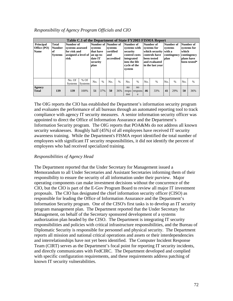|                                                | Table C.1 of the Department of State FY2003 FISMA Report |                                                                              |                          |                                                                                         |               |                                           |               |                                                                                                                 |                          |                                                                                                                 |               |                                                       |      |                                                                                |      |
|------------------------------------------------|----------------------------------------------------------|------------------------------------------------------------------------------|--------------------------|-----------------------------------------------------------------------------------------|---------------|-------------------------------------------|---------------|-----------------------------------------------------------------------------------------------------------------|--------------------------|-----------------------------------------------------------------------------------------------------------------|---------------|-------------------------------------------------------|------|--------------------------------------------------------------------------------|------|
| <b>Principal</b><br>Office (PO)<br><b>Name</b> | <b>Total</b><br><b>Number</b><br>of<br><b>Systems</b>    | Number of<br>systems assessed<br>for risk and<br>assigned a level of<br>risk |                          | Number of Number of<br>systems<br>that have<br>an up-to-<br>date IT<br>security<br>plan |               | systems<br>certified<br>and<br>accredited |               | Number of<br>systems with<br>security<br>control costs<br>integrated<br>into the life<br>cycle of the<br>system |                          | Number of<br>systems for<br>which security<br>controls have<br>been tested<br>and evaluated<br>in the last year |               | Number of<br>systems<br>with a<br>contingency<br>plan |      | Number of<br>systems for<br>which<br>contingency<br>plans have<br>been tested* |      |
|                                                |                                                          | No. Of<br><b>Systems</b>                                                     | $%$ Of<br><b>Systems</b> | No.                                                                                     | $\frac{0}{0}$ | N <sub>0</sub>                            | $\frac{0}{0}$ | No.                                                                                                             | $\%$                     | No.                                                                                                             | $\frac{0}{0}$ | No.                                                   | $\%$ | N <sub>0</sub>                                                                 | $\%$ |
| <b>Agency</b><br><b>Total</b>                  | 139                                                      | 139                                                                          | 100\%                    | 51                                                                                      | 37%           | 50                                        | 36%           | no<br>nse                                                                                                       | no<br>respo respons<br>e | 46                                                                                                              | 33%           | 41                                                    | 29%  | 50                                                                             | 36%  |

### *Responsibility of Agency Program Officials and CIO*

The OIG reports the CIO has established the Department's information security program and evaluates the performance of all bureaus through an automated reporting tool to track compliance with agency IT security measures. A senior information security officer was appointed to direct the Office of Information Assurance and the Department's Information Security program. The OIG reports that POA&Ms do not address all known security weaknesses. Roughly half (45%) of all employees have received IT security awareness training. While the Department's FISMA report identified the total number of employees with significant IT security responsibilities, it did not identify the percent of employees who had received specialized training.

## *Responsibilities of Agency Head*

The Department reported that the Under Secretary for Management issued a Memorandum to all Under Secretaries and Assistant Secretaries informing them of their responsibility to ensure the security of all information under their purview. Major operating components can make investment decisions without the concurrence of the CIO, but the CIO is part of the E-Gov Program Board to review all major IT investment proposals. The CIO has designated the chief information security officer (CISO) as responsible for leading the Office of Information Assurance and the Department's Information Security program. One of the CISO's first tasks is to develop an IT security program management plan. The Department reported that the Under Secretary for Management, on behalf of the Secretary sponsored development of a systems authorization plan headed by the CISO. The Department is integrating IT security responsibilities and policies with critical infrastructure responsibilities, and the Bureau of Diplomatic Security is responsible for personnel and physical security. The Department reports all mission and national critical operations and assets or their interdependencies and interrelationships have not yet been identified. The Computer Incident Response Team (CIRT) serves as the Department's focal point for reporting IT security incidents, and directly communicates with FedCIRC. The Department developed and complied with specific configuration requirements, and these requirements address patching of known IT security vulnerabilities.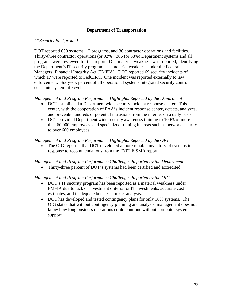# **Department of Transportation**

## *IT Security Background*

DOT reported 630 systems, 12 programs, and 36 contractor operations and facilities. Thirty-three contractor operations (or 92%), 366 (or 58%) Department systems and all programs were reviewed for this report. One material weakness was reported, identifying the Department's IT security program as a material weakness under the Federal Managers' Financial Integrity Act (FMFIA). DOT reported 69 security incidents of which 17 were reported to FedCIRC. One incident was reported externally to law enforcement. Sixty-six percent of all operational systems integrated security control costs into system life cycle.

### *Management and Program Performance Highlights Reported by the Department*

- DOT established a Department wide security incident response center. This center, with the cooperation of FAA's incident response center, detects, analyzes, and prevents hundreds of potential intrusions from the internet on a daily basis.
- DOT provided Department wide security awareness training to 100% of more than 60,000 employees, and specialized training in areas such as network security to over 600 employees.

### *Management and Program Performance Highlights Reported by the OIG*

• The OIG reported that DOT developed a more reliable inventory of systems in response to recommendations from the FY02 FISMA report.

#### *Management and Program Performance Challenges Reported by the Department*

• Thirty-three percent of DOT's systems had been certified and accredited.

## *Management and Program Performance Challenges Reported by the OIG*

- DOT's IT security program has been reported as a material weakness under FMFIA due to lack of investment criteria for IT investments, accurate cost estimates, and inadequate business impact analysis.
- DOT has developed and tested contingency plans for only 16% systems. The OIG states that without contingency planning and analysis, management does not know how long business operations could continue without computer systems support.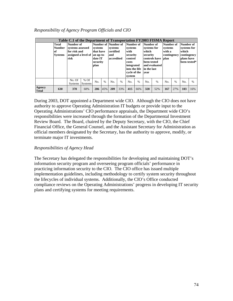| Responsibility of Agency Program Officials and CIO |  |  |  |  |
|----------------------------------------------------|--|--|--|--|
|----------------------------------------------------|--|--|--|--|

| Table C.1 of the Department of Transportation FY2003 FISMA Report |                                                         |                                                                                        |                          |                                                                            |               |                                           |      |                                                                                                                       |               |                                                                                                                       |               |                                                              |               |                                                                                |               |
|-------------------------------------------------------------------|---------------------------------------------------------|----------------------------------------------------------------------------------------|--------------------------|----------------------------------------------------------------------------|---------------|-------------------------------------------|------|-----------------------------------------------------------------------------------------------------------------------|---------------|-----------------------------------------------------------------------------------------------------------------------|---------------|--------------------------------------------------------------|---------------|--------------------------------------------------------------------------------|---------------|
|                                                                   | <b>Total</b><br><b>Number</b><br>lof.<br><b>Systems</b> | Number of<br>systems assessed<br>for risk and<br>assigned a level of an up-to-<br>risk |                          | Number of Number of<br>systems<br>that have<br>date IT<br>security<br>plan |               | systems<br>certified<br>and<br>accredited |      | Number of<br>systems<br>with<br>security<br>control<br>costs<br>integrated<br>into the life<br>cycle of the<br>system |               | Number of<br>systems for<br>which<br>security<br>controls have<br>been tested<br>and evaluated<br>in the last<br>vear |               | Number of<br>systems<br>with a<br>contingency<br><b>blan</b> |               | Number of<br>systems for<br>which<br>contingency<br>plans have<br>been tested* |               |
|                                                                   |                                                         | No. Of<br><b>Systems</b>                                                               | $%$ Of<br><b>Systems</b> | No.                                                                        | $\frac{0}{0}$ | No.                                       | $\%$ | No.                                                                                                                   | $\frac{0}{6}$ | No.                                                                                                                   | $\frac{0}{0}$ | N <sub>O</sub>                                               | $\frac{0}{6}$ | No.                                                                            | $\frac{0}{0}$ |
| Agency<br><b>Total</b>                                            | 630                                                     | 378                                                                                    | 60%                      | 286                                                                        | 45%           | 209                                       | 33%  | 415                                                                                                                   | 66%           | 328                                                                                                                   | 52%           | 167                                                          | 27%           | 103                                                                            | 16%           |

During 2003, DOT appointed a Department wide CIO. Although the CIO does not have authority to approve Operating Administration IT budgets or provide input to the Operating Administrations' CIO performance appraisals, the Department wide CIO's responsibilities were increased through the formation of the Departmental Investment Review Board. The Board, chaired by the Deputy Secretary, with the CIO, the Chief Financial Office, the General Counsel, and the Assistant Secretary for Administration as official members designated by the Secretary, has the authority to approve, modify, or terminate major IT investments.

# *Responsibilities of Agency Head*

The Secretary has delegated the responsibilities for developing and maintaining DOT's information security program and overseeing program officials' performance in practicing information security to the CIO. The CIO office has issued multiple implementation guidelines, including methodology to certify system security throughout the lifecycles of individual systems. Additionally, the CIO's Office conducted compliance reviews on the Operating Administrations' progress in developing IT security plans and certifying systems for meeting requirements.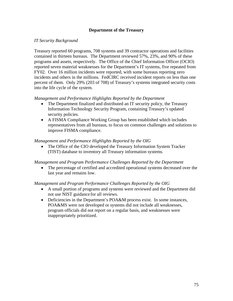## **Department of the Treasury**

## *IT Security Background*

Treasury reported 60 programs, 708 systems and 39 contractor operations and facilities contained in thirteen bureaus. The Department reviewed 57%, 23%, and 90% of these programs and assets, respectively. The Office of the Chief Information Officer (OCIO) reported seven material weaknesses for the Department's IT systems, five repeated from FY02. Over 16 million incidents were reported, with some bureaus reporting zero incidents and others in the millions. FedCIRC received incident reports on less than one percent of them. Only 29% (203 of 708) of Treasury's systems integrated security costs into the life cycle of the system.

### *Management and Performance Highlights Reported by the Department*

- The Department finalized and distributed an IT security policy, the Treasury Information Technology Security Program, containing Treasury's updated security policies.
- A FISMA Compliance Working Group has been established which includes representatives from all bureaus, to focus on common challenges and solutions to improve FISMA compliance.

### *Management and Performance Highlights Reported by the OIG*

• The Office of the CIO developed the Treasury Information System Tracker (TIST) database to inventory all Treasury information systems.

#### *Management and Program Performance Challenges Reported by the Department*

The percentage of certified and accredited operational systems decreased over the last year and remains low.

## *Management and Program Performance Challenges Reported by the OIG*

- A small portion of programs and systems were reviewed and the Department did not use NIST guidance for all reviews.
- Deficiencies in the Department's POA&M process exist. In some instances, POA&MS were not developed or systems did not include all weaknesses, program officials did not report on a regular basis, and weaknesses were inappropriately prioritized.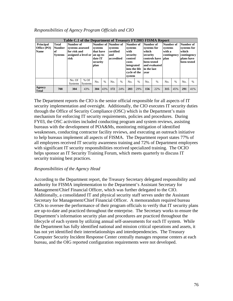| Responsibilities of Agency Program Officials and CIO |  |  |  |  |
|------------------------------------------------------|--|--|--|--|
|------------------------------------------------------|--|--|--|--|

| Table C.1 of the Department of Treasury FY2003 FISMA Report |                                                              |                                                       |                          |                                                                                      |      |                                                                  |      |                                                                                                                       |               |                                                                                                                       |               |                                                              |               |                                                                               |               |
|-------------------------------------------------------------|--------------------------------------------------------------|-------------------------------------------------------|--------------------------|--------------------------------------------------------------------------------------|------|------------------------------------------------------------------|------|-----------------------------------------------------------------------------------------------------------------------|---------------|-----------------------------------------------------------------------------------------------------------------------|---------------|--------------------------------------------------------------|---------------|-------------------------------------------------------------------------------|---------------|
| <b>Principal</b><br>Office (PO)<br><b>Name</b>              | <b>Total</b><br><b>Number</b><br><b>of</b><br><b>Systems</b> | Number of<br>systems assessed<br>for risk and<br>risk |                          | systems<br>that have<br>assigned a level or an up-to-<br>date IT<br>security<br>plan |      | Number of Number of<br>systems<br>certified<br>and<br>accredited |      | Number of<br>systems<br>with<br>security<br>control<br>costs<br>integrated<br>into the life<br>cycle of the<br>system |               | Number of<br>systems for<br>which<br>security<br>controls have<br>been tested<br>and evaluated<br>in the last<br>vear |               | Number of<br>systems<br>with a<br>contingency<br><b>blan</b> |               | Number of<br>systems for<br>which<br>contingency<br>plans have<br>been tested |               |
|                                                             |                                                              | No. Of<br><b>Systems</b>                              | $%$ Of<br><b>Systems</b> | No.                                                                                  | $\%$ | No.                                                              | $\%$ | No.                                                                                                                   | $\frac{0}{6}$ | No.                                                                                                                   | $\frac{0}{0}$ | No.                                                          | $\frac{0}{6}$ | No.                                                                           | $\frac{0}{0}$ |
| Agency<br><b>Total</b>                                      | 708                                                          | 304                                                   | 43%                      | 304                                                                                  | 43%  | 172                                                              | 24%  | 203                                                                                                                   | 29%           | 156                                                                                                                   | 22%           | 315                                                          | 45%           | 291                                                                           | 41%           |

The Department reports the CIO is the senior official responsible for all aspects of IT security implementation and oversight. Additionally, the CIO executes IT security duties through the Office of Security Compliance (OSC) which is the Department's main mechanism for enforcing IT security requirements, policies and procedures. During FY03, the OSC activities included conducting program and system reviews, assisting bureaus with the development of POA&Ms, monitoring mitigation of identified weaknesses, conducting contractor facility reviews, and executing an outreach initiative to help bureaus implement all aspects of FISMA. The Department report states 77% of all employees received IT security awareness training and 72% of Department employees with significant IT security responsibilities received specialized training. The OCIO helps sponsor an IT Security Training Forum, which meets quarterly to discuss IT security training best practices.

## *Responsibilities of the Agency Head*

According to the Department report, the Treasury Secretary delegated responsibility and authority for FISMA implementation to the Department's Assistant Secretary for Management/Chief Financial Officer, which was further delegated to the CIO. Additionally, a consolidated IT and physical security staff serves under the Assistant Secretary for Management/Chief Financial Officer. A memorandum required bureau CIOs to oversee the performance of their program officials to verify that IT security plans are up-to-date and practiced throughout the enterprise. The Secretary works to ensure the Department's information security plan and procedures are practiced throughout the lifecycle of each system by utilizing annual self-assessments for each IT system. While the Department has fully identified national and mission critical operations and assets, it has not yet identified their interrelationships and interdependencies. The Treasury Computer Security Incident Response Center centrally manages response centers at each bureau, and the OIG reported configuration requirements were not developed.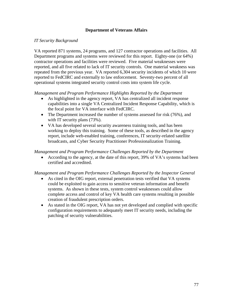## **Department of Veterans Affairs**

### *IT Security Background*

VA reported 871 systems, 24 programs, and 127 contractor operations and facilities. All Department programs and systems were reviewed for this report. Eighty-one (or 64%) contractor operations and facilities were reviewed. Five material weaknesses were reported, and all five related to lack of IT security controls. One material weakness was repeated from the previous year. VA reported 6,304 security incidents of which 10 were reported to FedCIRC and externally to law enforcement. Seventy-two percent of all operational systems integrated security control costs into system life cycle.

*Management and Program Performance Highlights Reported by the Department* 

- As highlighted in the agency report, VA has centralized all incident response capabilities into a single VA Centralized Incident Response Capability, which is the focal point for VA interface with FedCIRC.
- The Department increased the number of systems assessed for risk (76%), and with IT security plans  $(73%)$ .
- VA has developed several security awareness training tools, and has been working to deploy this training. Some of these tools, as described in the agency report, include web-enabled training, conferences, IT security-related satellite broadcasts, and Cyber Security Practitioner Professionalization Training.

#### *Management and Program Performance Challenges Reported by the Department*

• According to the agency, at the date of this report, 39% of VA's systems had been certified and accredited.

#### *Management and Program Performance Challenges Reported by the Inspector General*

- As cited in the OIG report, external penetration tests verified that VA systems could be exploited to gain access to sensitive veteran information and benefit systems. As shown in these tests, system control weaknesses could allow complete access and control of key VA health care systems resulting in possible creation of fraudulent prescription orders.
- As stated in the OIG report, VA has not yet developed and complied with specific configuration requirements to adequately meet IT security needs, including the patching of security vulnerabilities.